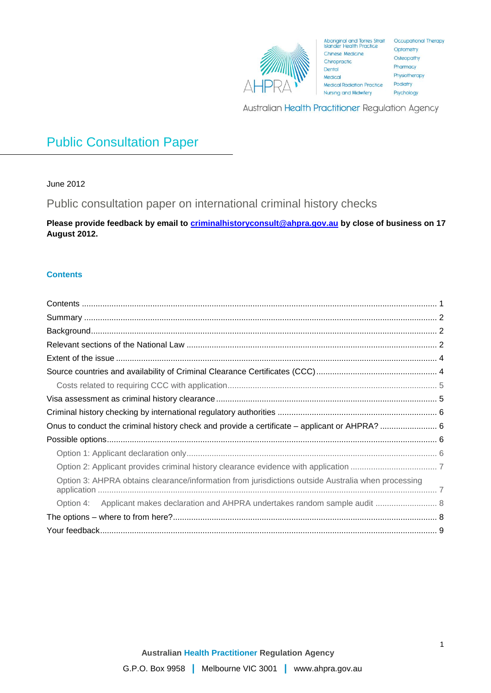

Aboriginal and Torres Strait Occupational Therapy<br>Islander Health Practice Islander Health Practice Optometry<br>Chinese Medicine Osteopathy<br>Chiropractic Osteopathy Dental Medical **Medical Radiation Practice Nursing and Midwifery** 

Optometry Pharmacy Physiotherapy Podiatry Psychology

Australian Health Practitioner Regulation Agency

# Public Consultation Paper

June 2012

Public consultation paper on international criminal history checks

Please provide feedback by email to **criminalhistoryconsult@ahpra.gov.au** by close of business on 17 **August 2012.** 

# <span id="page-0-0"></span>**Contents**

| Option 3: AHPRA obtains clearance/information from jurisdictions outside Australia when processing |  |
|----------------------------------------------------------------------------------------------------|--|
| Applicant makes declaration and AHPRA undertakes random sample audit  8<br>Option 4:               |  |
|                                                                                                    |  |
|                                                                                                    |  |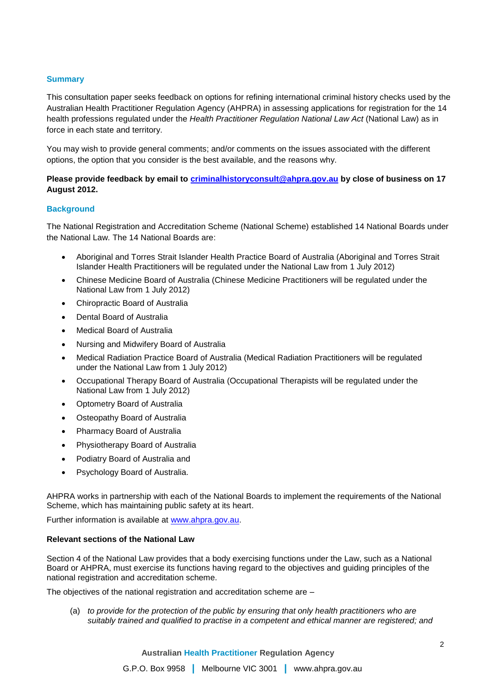# <span id="page-1-0"></span>**Summary**

This consultation paper seeks feedback on options for refining international criminal history checks used by the Australian Health Practitioner Regulation Agency (AHPRA) in assessing applications for registration for the 14 health professions regulated under the *Health Practitioner Regulation National Law Act* (National Law) as in force in each state and territory.

You may wish to provide general comments; and/or comments on the issues associated with the different options, the option that you consider is the best available, and the reasons why.

# **Please provide feedback by email to [criminalhistoryconsult@ahpra.gov.au](mailto:internationalcriminalhistoryconsult@ahpra.gov.au) by close of business on 17 August 2012.**

# <span id="page-1-1"></span>**Background**

The National Registration and Accreditation Scheme (National Scheme) established 14 National Boards under the National Law*.* The 14 National Boards are:

- Aboriginal and Torres Strait Islander Health Practice Board of Australia (Aboriginal and Torres Strait Islander Health Practitioners will be regulated under the National Law from 1 July 2012)
- Chinese Medicine Board of Australia (Chinese Medicine Practitioners will be regulated under the National Law from 1 July 2012)
- Chiropractic Board of Australia
- Dental Board of Australia
- Medical Board of Australia
- Nursing and Midwifery Board of Australia
- Medical Radiation Practice Board of Australia (Medical Radiation Practitioners will be regulated under the National Law from 1 July 2012)
- Occupational Therapy Board of Australia (Occupational Therapists will be regulated under the National Law from 1 July 2012)
- Optometry Board of Australia
- Osteopathy Board of Australia
- Pharmacy Board of Australia
- Physiotherapy Board of Australia
- Podiatry Board of Australia and
- Psychology Board of Australia.

AHPRA works in partnership with each of the National Boards to implement the requirements of the National Scheme, which has maintaining public safety at its heart.

Further information is available at [www.ahpra.gov.au.](http://www.ahpra.gov.au/)

# <span id="page-1-2"></span>**Relevant sections of the National Law**

Section 4 of the National Law provides that a body exercising functions under the Law, such as a National Board or AHPRA, must exercise its functions having regard to the objectives and guiding principles of the national registration and accreditation scheme.

The objectives of the national registration and accreditation scheme are –

(a) *to provide for the protection of the public by ensuring that only health practitioners who are suitably trained and qualified to practise in a competent and ethical manner are registered; and*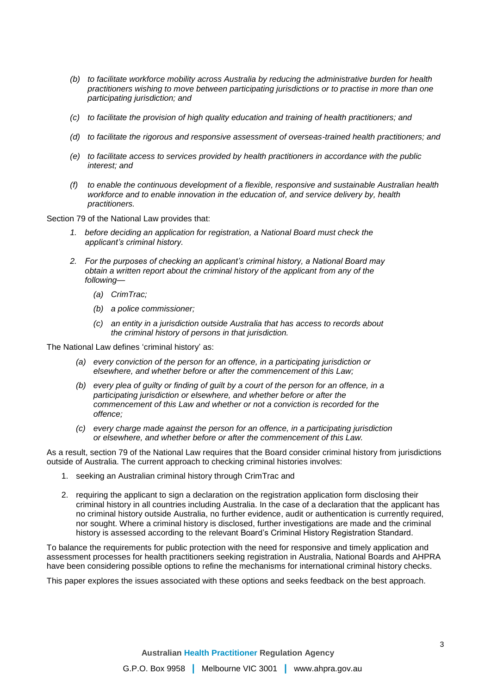- *(b) to facilitate workforce mobility across Australia by reducing the administrative burden for health practitioners wishing to move between participating jurisdictions or to practise in more than one participating jurisdiction; and*
- *(c) to facilitate the provision of high quality education and training of health practitioners; and*
- *(d) to facilitate the rigorous and responsive assessment of overseas-trained health practitioners; and*
- *(e) to facilitate access to services provided by health practitioners in accordance with the public interest; and*
- *(f) to enable the continuous development of a flexible, responsive and sustainable Australian health workforce and to enable innovation in the education of, and service delivery by, health practitioners.*

Section 79 of the National Law provides that:

- *1. before deciding an application for registration, a National Board must check the applicant's criminal history.*
- *2. For the purposes of checking an applicant's criminal history, a National Board may obtain a written report about the criminal history of the applicant from any of the following—*
	- *(a) CrimTrac;*
	- *(b) a police commissioner;*
	- *(c) an entity in a jurisdiction outside Australia that has access to records about the criminal history of persons in that jurisdiction.*

The National Law defines 'criminal history' as:

- *(a) every conviction of the person for an offence, in a participating jurisdiction or elsewhere, and whether before or after the commencement of this Law;*
- *(b) every plea of guilty or finding of guilt by a court of the person for an offence, in a participating jurisdiction or elsewhere, and whether before or after the commencement of this Law and whether or not a conviction is recorded for the offence;*
- *(c) every charge made against the person for an offence, in a participating jurisdiction or elsewhere, and whether before or after the commencement of this Law.*

As a result, section 79 of the National Law requires that the Board consider criminal history from jurisdictions outside of Australia. The current approach to checking criminal histories involves:

- 1. seeking an Australian criminal history through CrimTrac and
- 2. requiring the applicant to sign a declaration on the registration application form disclosing their criminal history in all countries including Australia. In the case of a declaration that the applicant has no criminal history outside Australia, no further evidence, audit or authentication is currently required, nor sought. Where a criminal history is disclosed, further investigations are made and the criminal history is assessed according to the relevant Board's Criminal History Registration Standard.

To balance the requirements for public protection with the need for responsive and timely application and assessment processes for health practitioners seeking registration in Australia, National Boards and AHPRA have been considering possible options to refine the mechanisms for international criminal history checks.

This paper explores the issues associated with these options and seeks feedback on the best approach.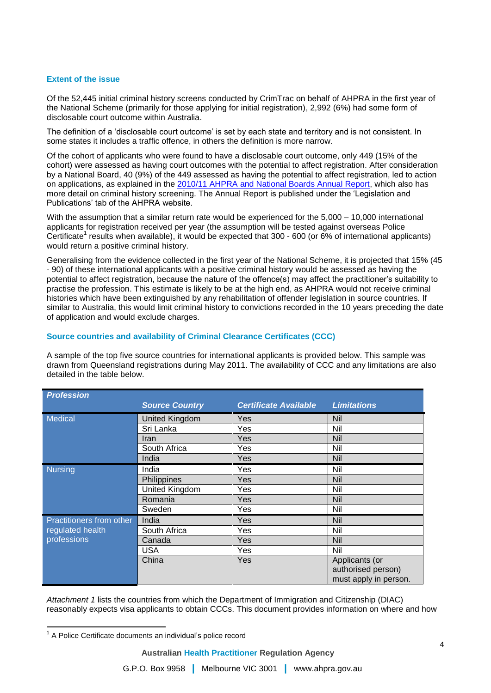# <span id="page-3-0"></span>**Extent of the issue**

Of the 52,445 initial criminal history screens conducted by CrimTrac on behalf of AHPRA in the first year of the National Scheme (primarily for those applying for initial registration), 2,992 (6%) had some form of disclosable court outcome within Australia.

The definition of a 'disclosable court outcome' is set by each state and territory and is not consistent. In some states it includes a traffic offence, in others the definition is more narrow.

Of the cohort of applicants who were found to have a disclosable court outcome, only 449 (15% of the cohort) were assessed as having court outcomes with the potential to affect registration. After consideration by a National Board, 40 (9%) of the 449 assessed as having the potential to affect registration, led to action on applications, as explained in the [2010/11 AHPRA and National Boards Annual Report,](http://www.ahpra.gov.au/documents/default.aspx?record=WD11%2f6030&dbid=AP&chksum=pTM1u6EU%2betQIekGFKrfOQ%3d%3d) which also has more detail on criminal history screening. The Annual Report is published under the 'Legislation and Publications' tab of the AHPRA website.

With the assumption that a similar return rate would be experienced for the 5,000 – 10,000 international applicants for registration received per year (the assumption will be tested against overseas Police Certificate<sup>1</sup> results when available), it would be expected that 300 - 600 (or  $6\%$  of international applicants) would return a positive criminal history.

Generalising from the evidence collected in the first year of the National Scheme, it is projected that 15% (45 - 90) of these international applicants with a positive criminal history would be assessed as having the potential to affect registration, because the nature of the offence(s) may affect the practitioner's suitability to practise the profession. This estimate is likely to be at the high end, as AHPRA would not receive criminal histories which have been extinguished by any rehabilitation of offender legislation in source countries. If similar to Australia, this would limit criminal history to convictions recorded in the 10 years preceding the date of application and would exclude charges.

# <span id="page-3-1"></span>**Source countries and availability of Criminal Clearance Certificates (CCC)**

A sample of the top five source countries for international applicants is provided below. This sample was drawn from Queensland registrations during May 2011. The availability of CCC and any limitations are also detailed in the table below.

| <b>Profession</b>               |                       |                              |                       |
|---------------------------------|-----------------------|------------------------------|-----------------------|
|                                 | <b>Source Country</b> | <b>Certificate Available</b> | <b>Limitations</b>    |
| <b>Medical</b>                  | <b>United Kingdom</b> | Yes                          | <b>Nil</b>            |
|                                 | Sri Lanka             | Yes                          | Nil                   |
|                                 | <b>Iran</b>           | Yes                          | Nil                   |
|                                 | South Africa          | Yes                          | Nil                   |
|                                 | India                 | Yes                          | Nil                   |
| <b>Nursing</b>                  | India                 | Yes                          | Nil                   |
|                                 | Philippines           | Yes                          | Nil                   |
|                                 | <b>United Kingdom</b> | Yes                          | Nil                   |
|                                 | Romania               | Yes                          | <b>Nil</b>            |
|                                 | Sweden                | Yes                          | Nil                   |
| <b>Practitioners from other</b> | India                 | Yes                          | <b>Nil</b>            |
| regulated health                | South Africa          | Yes                          | Nil                   |
| professions                     | Canada                | Yes                          | <b>Nil</b>            |
|                                 | <b>USA</b>            | Yes                          | Nil                   |
|                                 | China                 | Yes                          | Applicants (or        |
|                                 |                       |                              | authorised person)    |
|                                 |                       |                              | must apply in person. |

*Attachment 1* lists the countries from which the Department of Immigration and Citizenship (DIAC) reasonably expects visa applicants to obtain CCCs. This document provides information on where and how

 1 A Police Certificate documents an individual's police record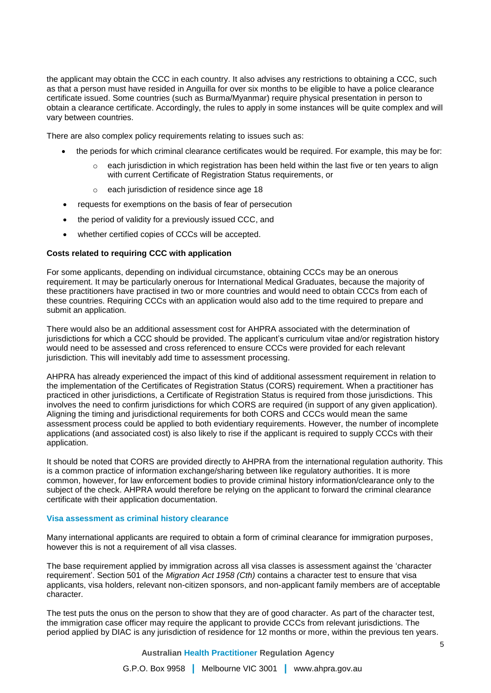the applicant may obtain the CCC in each country. It also advises any restrictions to obtaining a CCC, such as that a person must have resided in Anguilla for over six months to be eligible to have a police clearance certificate issued. Some countries (such as Burma/Myanmar) require physical presentation in person to obtain a clearance certificate. Accordingly, the rules to apply in some instances will be quite complex and will vary between countries.

There are also complex policy requirements relating to issues such as:

- the periods for which criminal clearance certificates would be required. For example, this may be for:
	- $\circ$  each jurisdiction in which registration has been held within the last five or ten years to align with current Certificate of Registration Status requirements, or
	- o each jurisdiction of residence since age 18
- requests for exemptions on the basis of fear of persecution
- the period of validity for a previously issued CCC, and
- whether certified copies of CCCs will be accepted.

#### <span id="page-4-0"></span>**Costs related to requiring CCC with application**

For some applicants, depending on individual circumstance, obtaining CCCs may be an onerous requirement. It may be particularly onerous for International Medical Graduates, because the majority of these practitioners have practised in two or more countries and would need to obtain CCCs from each of these countries. Requiring CCCs with an application would also add to the time required to prepare and submit an application.

There would also be an additional assessment cost for AHPRA associated with the determination of jurisdictions for which a CCC should be provided. The applicant's curriculum vitae and/or registration history would need to be assessed and cross referenced to ensure CCCs were provided for each relevant jurisdiction. This will inevitably add time to assessment processing.

AHPRA has already experienced the impact of this kind of additional assessment requirement in relation to the implementation of the Certificates of Registration Status (CORS) requirement. When a practitioner has practiced in other jurisdictions, a Certificate of Registration Status is required from those jurisdictions. This involves the need to confirm jurisdictions for which CORS are required (in support of any given application). Aligning the timing and jurisdictional requirements for both CORS and CCCs would mean the same assessment process could be applied to both evidentiary requirements. However, the number of incomplete applications (and associated cost) is also likely to rise if the applicant is required to supply CCCs with their application.

It should be noted that CORS are provided directly to AHPRA from the international regulation authority. This is a common practice of information exchange/sharing between like regulatory authorities. It is more common, however, for law enforcement bodies to provide criminal history information/clearance only to the subject of the check. AHPRA would therefore be relying on the applicant to forward the criminal clearance certificate with their application documentation.

#### <span id="page-4-1"></span>**Visa assessment as criminal history clearance**

Many international applicants are required to obtain a form of criminal clearance for immigration purposes, however this is not a requirement of all visa classes.

The base requirement applied by immigration across all visa classes is assessment against the 'character requirement'. Section 501 of the *Migration Act 1958 (Cth)* contains a character test to ensure that visa applicants, visa holders, relevant non-citizen sponsors, and non-applicant family members are of acceptable character.

The test puts the onus on the person to show that they are of good character. As part of the character test, the immigration case officer may require the applicant to provide CCCs from relevant jurisdictions. The period applied by DIAC is any jurisdiction of residence for 12 months or more, within the previous ten years.

#### **Australian Health Practitioner Regulation Agency**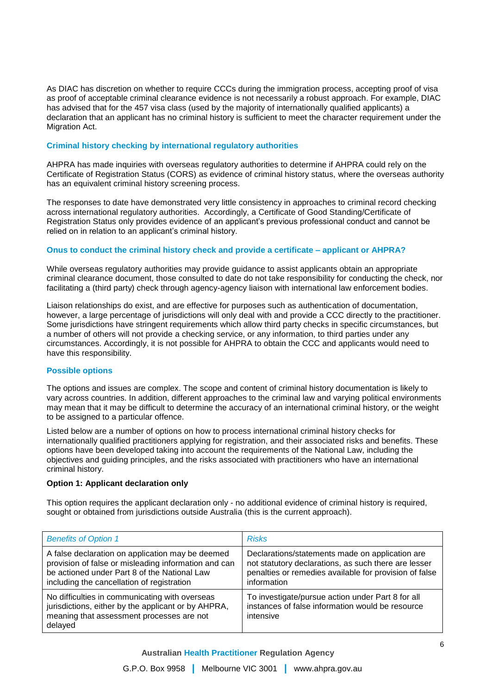As DIAC has discretion on whether to require CCCs during the immigration process, accepting proof of visa as proof of acceptable criminal clearance evidence is not necessarily a robust approach. For example, DIAC has advised that for the 457 visa class (used by the majority of internationally qualified applicants) a declaration that an applicant has no criminal history is sufficient to meet the character requirement under the Migration Act.

### <span id="page-5-0"></span>**Criminal history checking by international regulatory authorities**

AHPRA has made inquiries with overseas regulatory authorities to determine if AHPRA could rely on the Certificate of Registration Status (CORS) as evidence of criminal history status, where the overseas authority has an equivalent criminal history screening process.

The responses to date have demonstrated very little consistency in approaches to criminal record checking across international regulatory authorities. Accordingly, a Certificate of Good Standing/Certificate of Registration Status only provides evidence of an applicant's previous professional conduct and cannot be relied on in relation to an applicant's criminal history.

# <span id="page-5-1"></span>**Onus to conduct the criminal history check and provide a certificate – applicant or AHPRA?**

While overseas regulatory authorities may provide guidance to assist applicants obtain an appropriate criminal clearance document, those consulted to date do not take responsibility for conducting the check, nor facilitating a (third party) check through agency-agency liaison with international law enforcement bodies.

Liaison relationships do exist, and are effective for purposes such as authentication of documentation, however, a large percentage of jurisdictions will only deal with and provide a CCC directly to the practitioner. Some jurisdictions have stringent requirements which allow third party checks in specific circumstances, but a number of others will not provide a checking service, or any information, to third parties under any circumstances. Accordingly, it is not possible for AHPRA to obtain the CCC and applicants would need to have this responsibility.

# <span id="page-5-2"></span>**Possible options**

The options and issues are complex. The scope and content of criminal history documentation is likely to vary across countries. In addition, different approaches to the criminal law and varying political environments may mean that it may be difficult to determine the accuracy of an international criminal history, or the weight to be assigned to a particular offence.

Listed below are a number of options on how to process international criminal history checks for internationally qualified practitioners applying for registration, and their associated risks and benefits. These options have been developed taking into account the requirements of the National Law, including the objectives and guiding principles, and the risks associated with practitioners who have an international criminal history.

### <span id="page-5-3"></span>**Option 1: Applicant declaration only**

This option requires the applicant declaration only - no additional evidence of criminal history is required, sought or obtained from jurisdictions outside Australia (this is the current approach).

| <b>Benefits of Option 1</b>                                                                                                                                                                            | <b>Risks</b>                                                                                                                                                                     |
|--------------------------------------------------------------------------------------------------------------------------------------------------------------------------------------------------------|----------------------------------------------------------------------------------------------------------------------------------------------------------------------------------|
| A false declaration on application may be deemed<br>provision of false or misleading information and can<br>be actioned under Part 8 of the National Law<br>including the cancellation of registration | Declarations/statements made on application are<br>not statutory declarations, as such there are lesser<br>penalties or remedies available for provision of false<br>information |
| No difficulties in communicating with overseas<br>jurisdictions, either by the applicant or by AHPRA,<br>meaning that assessment processes are not<br>delayed                                          | To investigate/pursue action under Part 8 for all<br>instances of false information would be resource<br>intensive                                                               |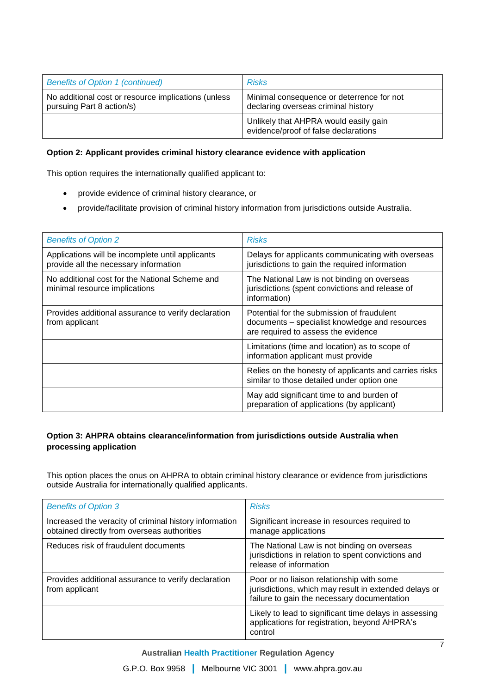| <b>Benefits of Option 1 (continued)</b>                                          | <b>Risks</b>                                                                     |
|----------------------------------------------------------------------------------|----------------------------------------------------------------------------------|
| No additional cost or resource implications (unless<br>pursuing Part 8 action/s) | Minimal consequence or deterrence for not<br>declaring overseas criminal history |
|                                                                                  | Unlikely that AHPRA would easily gain<br>evidence/proof of false declarations    |

# <span id="page-6-0"></span>**Option 2: Applicant provides criminal history clearance evidence with application**

This option requires the internationally qualified applicant to:

- provide evidence of criminal history clearance, or
- provide/facilitate provision of criminal history information from jurisdictions outside Australia.

| <b>Benefits of Option 2</b>                                                               | <b>Risks</b>                                                                                                                        |
|-------------------------------------------------------------------------------------------|-------------------------------------------------------------------------------------------------------------------------------------|
| Applications will be incomplete until applicants<br>provide all the necessary information | Delays for applicants communicating with overseas<br>jurisdictions to gain the required information                                 |
| No additional cost for the National Scheme and<br>minimal resource implications           | The National Law is not binding on overseas<br>jurisdictions (spent convictions and release of<br>information)                      |
| Provides additional assurance to verify declaration<br>from applicant                     | Potential for the submission of fraudulent<br>documents - specialist knowledge and resources<br>are required to assess the evidence |
|                                                                                           | Limitations (time and location) as to scope of<br>information applicant must provide                                                |
|                                                                                           | Relies on the honesty of applicants and carries risks<br>similar to those detailed under option one                                 |
|                                                                                           | May add significant time to and burden of<br>preparation of applications (by applicant)                                             |

# <span id="page-6-1"></span>**Option 3: AHPRA obtains clearance/information from jurisdictions outside Australia when processing application**

This option places the onus on AHPRA to obtain criminal history clearance or evidence from jurisdictions outside Australia for internationally qualified applicants.

| <b>Benefits of Option 3</b>                                                                           | <b>Risks</b>                                                                                                                                      |
|-------------------------------------------------------------------------------------------------------|---------------------------------------------------------------------------------------------------------------------------------------------------|
| Increased the veracity of criminal history information<br>obtained directly from overseas authorities | Significant increase in resources required to<br>manage applications                                                                              |
| Reduces risk of fraudulent documents                                                                  | The National Law is not binding on overseas<br>jurisdictions in relation to spent convictions and<br>release of information                       |
| Provides additional assurance to verify declaration<br>from applicant                                 | Poor or no liaison relationship with some<br>jurisdictions, which may result in extended delays or<br>failure to gain the necessary documentation |
|                                                                                                       | Likely to lead to significant time delays in assessing<br>applications for registration, beyond AHPRA's<br>control                                |
|                                                                                                       |                                                                                                                                                   |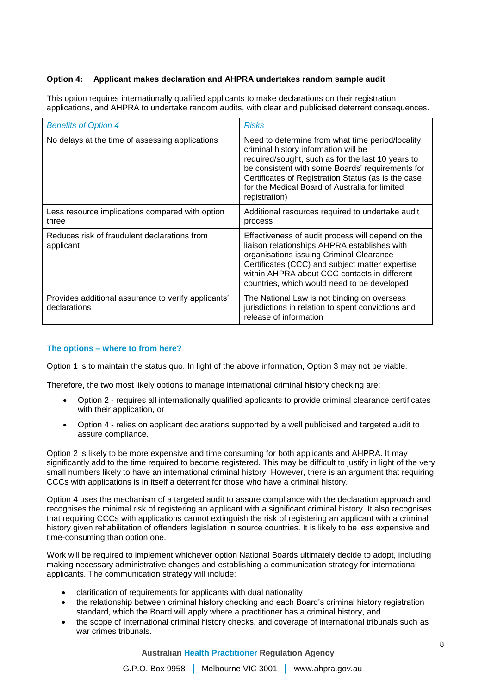# <span id="page-7-0"></span>**Option 4: Applicant makes declaration and AHPRA undertakes random sample audit**

This option requires internationally qualified applicants to make declarations on their registration applications, and AHPRA to undertake random audits, with clear and publicised deterrent consequences.

| <b>Benefits of Option 4</b>                                         | <b>Risks</b>                                                                                                                                                                                                                                                                                                                |
|---------------------------------------------------------------------|-----------------------------------------------------------------------------------------------------------------------------------------------------------------------------------------------------------------------------------------------------------------------------------------------------------------------------|
| No delays at the time of assessing applications                     | Need to determine from what time period/locality<br>criminal history information will be<br>required/sought, such as for the last 10 years to<br>be consistent with some Boards' requirements for<br>Certificates of Registration Status (as is the case<br>for the Medical Board of Australia for limited<br>registration) |
| Less resource implications compared with option<br>three            | Additional resources required to undertake audit<br>process                                                                                                                                                                                                                                                                 |
| Reduces risk of fraudulent declarations from<br>applicant           | Effectiveness of audit process will depend on the<br>liaison relationships AHPRA establishes with<br>organisations issuing Criminal Clearance<br>Certificates (CCC) and subject matter expertise<br>within AHPRA about CCC contacts in different<br>countries, which would need to be developed                             |
| Provides additional assurance to verify applicants'<br>declarations | The National Law is not binding on overseas<br>jurisdictions in relation to spent convictions and<br>release of information                                                                                                                                                                                                 |

# <span id="page-7-1"></span>**The options – where to from here?**

Option 1 is to maintain the status quo. In light of the above information, Option 3 may not be viable.

Therefore, the two most likely options to manage international criminal history checking are:

- Option 2 requires all internationally qualified applicants to provide criminal clearance certificates with their application, or
- Option 4 relies on applicant declarations supported by a well publicised and targeted audit to assure compliance.

Option 2 is likely to be more expensive and time consuming for both applicants and AHPRA. It may significantly add to the time required to become registered. This may be difficult to justify in light of the very small numbers likely to have an international criminal history. However, there is an argument that requiring CCCs with applications is in itself a deterrent for those who have a criminal history.

Option 4 uses the mechanism of a targeted audit to assure compliance with the declaration approach and recognises the minimal risk of registering an applicant with a significant criminal history. It also recognises that requiring CCCs with applications cannot extinguish the risk of registering an applicant with a criminal history given rehabilitation of offenders legislation in source countries. It is likely to be less expensive and time-consuming than option one.

Work will be required to implement whichever option National Boards ultimately decide to adopt, including making necessary administrative changes and establishing a communication strategy for international applicants. The communication strategy will include:

- clarification of requirements for applicants with dual nationality
- the relationship between criminal history checking and each Board's criminal history registration standard, which the Board will apply where a practitioner has a criminal history, and
- the scope of international criminal history checks, and coverage of international tribunals such as war crimes tribunals.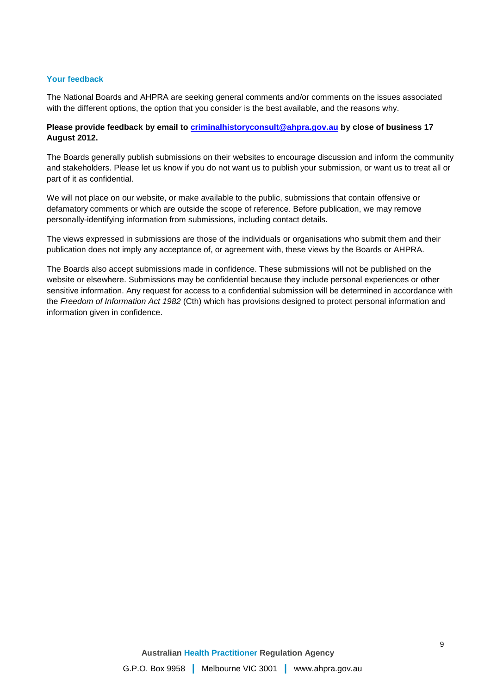# <span id="page-8-0"></span>**Your feedback**

The National Boards and AHPRA are seeking general comments and/or comments on the issues associated with the different options, the option that you consider is the best available, and the reasons why.

# **Please provide feedback by email to [criminalhistoryconsult@ahpra.gov.au](mailto:internationalcriminalhistoryconsult@ahpra.gov.au) by close of business 17 August 2012.**

The Boards generally publish submissions on their websites to encourage discussion and inform the community and stakeholders. Please let us know if you do not want us to publish your submission, or want us to treat all or part of it as confidential.

We will not place on our website, or make available to the public, submissions that contain offensive or defamatory comments or which are outside the scope of reference. Before publication, we may remove personally-identifying information from submissions, including contact details.

The views expressed in submissions are those of the individuals or organisations who submit them and their publication does not imply any acceptance of, or agreement with, these views by the Boards or AHPRA.

The Boards also accept submissions made in confidence. These submissions will not be published on the website or elsewhere. Submissions may be confidential because they include personal experiences or other sensitive information. Any request for access to a confidential submission will be determined in accordance with the *Freedom of Information Act 1982* (Cth) which has provisions designed to protect personal information and information given in confidence.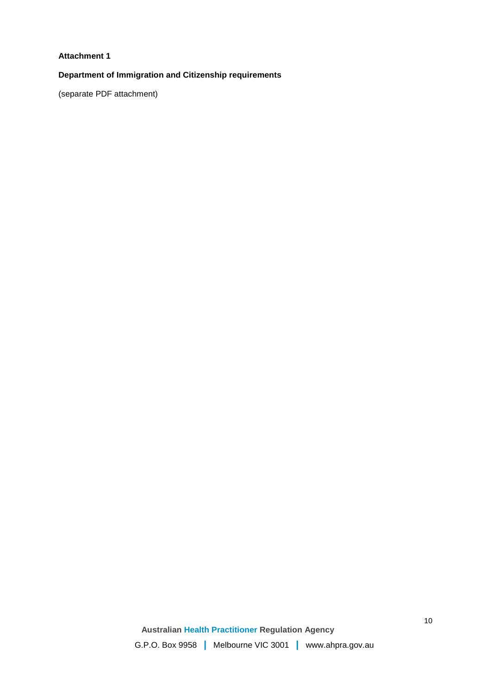# **Attachment 1**

# **Department of Immigration and Citizenship requirements**

(separate PDF attachment)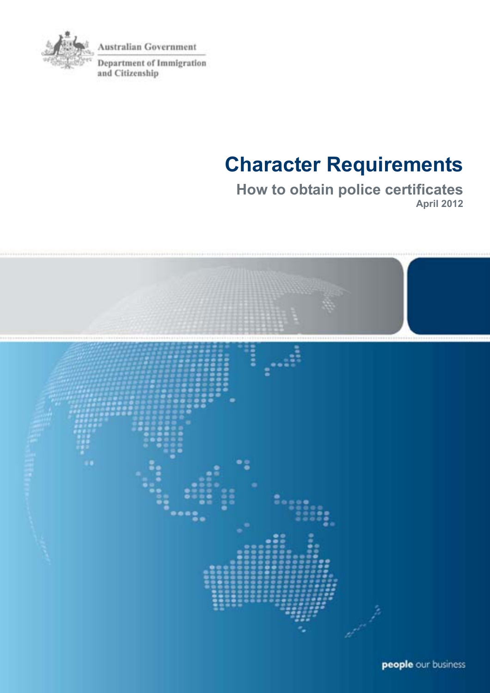

**Australian Government** 

Department of Immigration and Citizenship

# **Character Requirements**

**How to obtain police certificates April 2012**

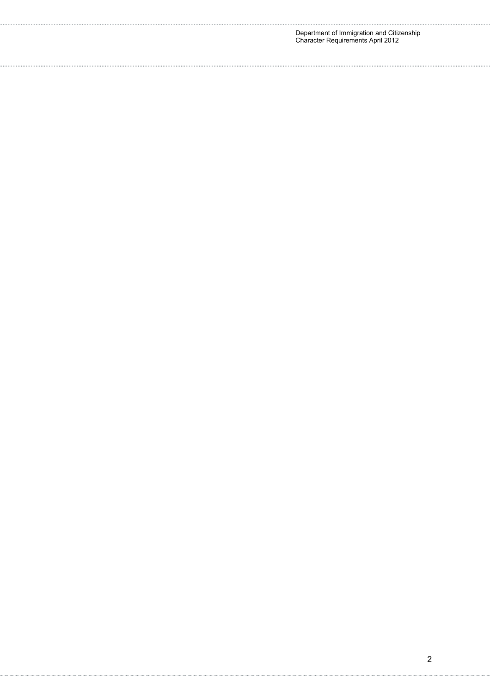. . . . . . . . . . . . .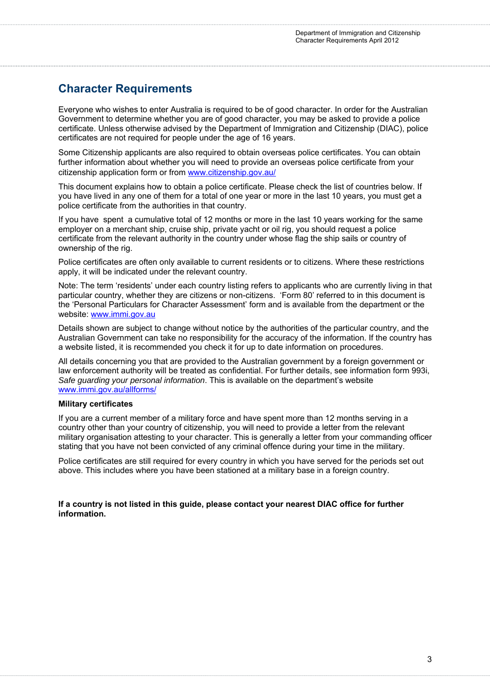# **Character Requirements**

Everyone who wishes to enter Australia is required to be of good character. In order for the Australian Government to determine whether you are of good character, you may be asked to provide a police certificate. Unless otherwise advised by the Department of Immigration and Citizenship (DIAC), police certificates are not required for people under the age of 16 years.

Some Citizenship applicants are also required to obtain overseas police certificates. You can obtain further information about whether you will need to provide an overseas police certificate from your citizenship application form or from www.citizenship.gov.au/

This document explains how to obtain a police certificate. Please check the list of countries below. If you have lived in any one of them for a total of one year or more in the last 10 years, you must get a police certificate from the authorities in that country.

If you have spent a cumulative total of 12 months or more in the last 10 years working for the same employer on a merchant ship, cruise ship, private yacht or oil rig, you should request a police certificate from the relevant authority in the country under whose flag the ship sails or country of ownership of the rig.

Police certificates are often only available to current residents or to citizens. Where these restrictions apply, it will be indicated under the relevant country.

Note: The term 'residents' under each country listing refers to applicants who are currently living in that particular country, whether they are citizens or non-citizens. 'Form 80' referred to in this document is the 'Personal Particulars for Character Assessment' form and is available from the department or the website: www.immi.gov.au

Details shown are subject to change without notice by the authorities of the particular country, and the Australian Government can take no responsibility for the accuracy of the information. If the country has a website listed, it is recommended you check it for up to date information on procedures.

All details concerning you that are provided to the Australian government by a foreign government or law enforcement authority will be treated as confidential. For further details, see information form 993i, *Safe guarding your personal information*. This is available on the department's website www.immi.gov.au/allforms/

# **Military certificates**

If you are a current member of a military force and have spent more than 12 months serving in a country other than your country of citizenship, you will need to provide a letter from the relevant military organisation attesting to your character. This is generally a letter from your commanding officer stating that you have not been convicted of any criminal offence during your time in the military.

Police certificates are still required for every country in which you have served for the periods set out above. This includes where you have been stationed at a military base in a foreign country.

**If a country is not listed in this guide, please contact your nearest DIAC office for further information.**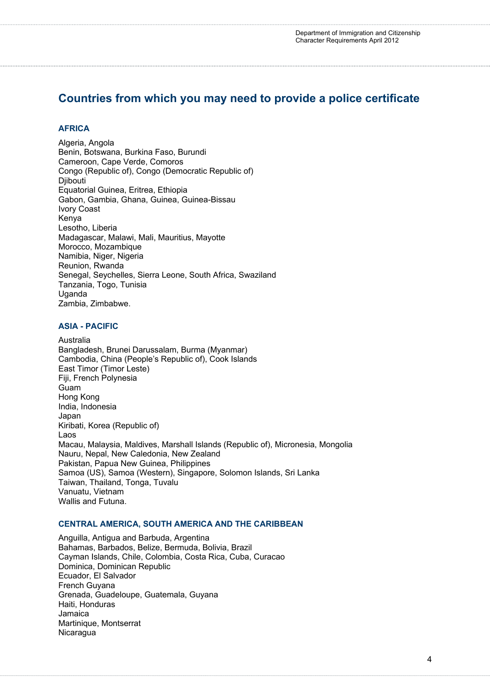# **Countries from which you may need to provide a police certificate**

# **AFRICA**

Algeria, Angola Benin, Botswana, Burkina Faso, Burundi Cameroon, Cape Verde, Comoros Congo (Republic of), Congo (Democratic Republic of) **Diibouti** Equatorial Guinea, Eritrea, Ethiopia Gabon, Gambia, Ghana, Guinea, Guinea-Bissau Ivory Coast Kenya Lesotho, Liberia Madagascar, Malawi, Mali, Mauritius, Mayotte Morocco, Mozambique Namibia, Niger, Nigeria Reunion, Rwanda Senegal, Seychelles, Sierra Leone, South Africa, Swaziland Tanzania, Togo, Tunisia Uganda Zambia, Zimbabwe.

# **ASIA - PACIFIC**

Australia Bangladesh, Brunei Darussalam, Burma (Myanmar) Cambodia, China (People's Republic of), Cook Islands East Timor (Timor Leste) Fiji, French Polynesia Guam Hong Kong India, Indonesia Japan Kiribati, Korea (Republic of) Laos Macau, Malaysia, Maldives, Marshall Islands (Republic of), Micronesia, Mongolia Nauru, Nepal, New Caledonia, New Zealand Pakistan, Papua New Guinea, Philippines Samoa (US), Samoa (Western), Singapore, Solomon Islands, Sri Lanka Taiwan, Thailand, Tonga, Tuvalu Vanuatu, Vietnam Wallis and Futuna.

# **CENTRAL AMERICA, SOUTH AMERICA AND THE CARIBBEAN**

Anguilla, Antigua and Barbuda, Argentina Bahamas, Barbados, Belize, Bermuda, Bolivia, Brazil Cayman Islands, Chile, Colombia, Costa Rica, Cuba, Curacao Dominica, Dominican Republic Ecuador, El Salvador French Guyana Grenada, Guadeloupe, Guatemala, Guyana Haiti, Honduras Jamaica Martinique, Montserrat **Nicaragua**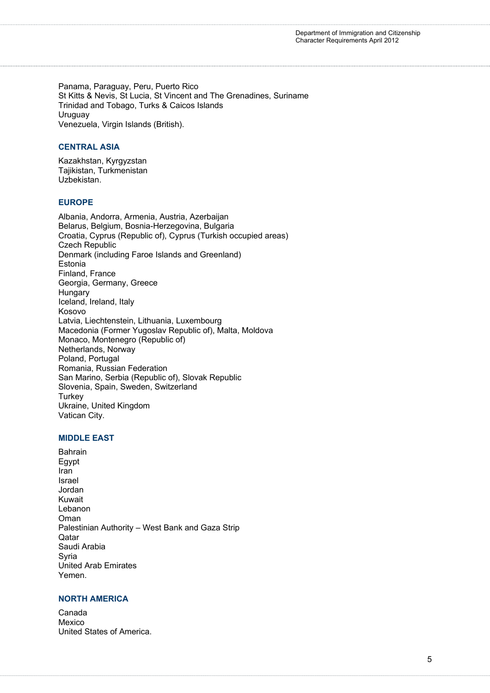Panama, Paraguay, Peru, Puerto Rico St Kitts & Nevis, St Lucia, St Vincent and The Grenadines, Suriname Trinidad and Tobago, Turks & Caicos Islands Uruguay Venezuela, Virgin Islands (British).

# **CENTRAL ASIA**

Kazakhstan, Kyrgyzstan Tajikistan, Turkmenistan Uzbekistan.

# **EUROPE**

Albania, Andorra, Armenia, Austria, Azerbaijan Belarus, Belgium, Bosnia-Herzegovina, Bulgaria Croatia, Cyprus (Republic of), Cyprus (Turkish occupied areas) Czech Republic Denmark (including Faroe Islands and Greenland) Estonia Finland, France Georgia, Germany, Greece Hungary Iceland, Ireland, Italy Kosovo Latvia, Liechtenstein, Lithuania, Luxembourg Macedonia (Former Yugoslav Republic of), Malta, Moldova Monaco, Montenegro (Republic of) Netherlands, Norway Poland, Portugal Romania, Russian Federation San Marino, Serbia (Republic of), Slovak Republic Slovenia, Spain, Sweden, Switzerland **Turkey** Ukraine, United Kingdom Vatican City.

# **MIDDLE EAST**

Bahrain Egypt Iran Israel Jordan Kuwait Lebanon Oman Palestinian Authority – West Bank and Gaza Strip **Oatar** Saudi Arabia **Syria** United Arab Emirates Yemen.

# **NORTH AMERICA**

Canada Mexico United States of America.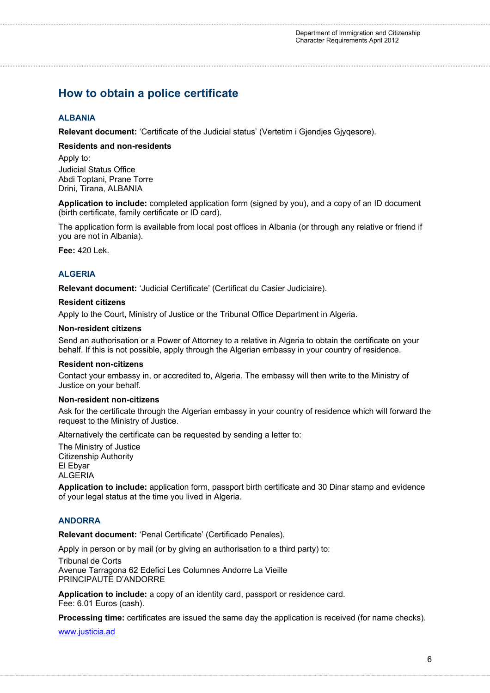# **How to obtain a police certificate**

# **ALBANIA**

**Relevant document:** 'Certificate of the Judicial status' (Vertetim i Gjendjes Gjyqesore).

# **Residents and non-residents**

Apply to: Judicial Status Office Abdi Toptani, Prane Torre Drini, Tirana, ALBANIA

**Application to include:** completed application form (signed by you), and a copy of an ID document (birth certificate, family certificate or ID card).

The application form is available from local post offices in Albania (or through any relative or friend if you are not in Albania).

**Fee:** 420 Lek.

# **ALGERIA**

**Relevant document:** 'Judicial Certificate' (Certificat du Casier Judiciaire).

#### **Resident citizens**

Apply to the Court, Ministry of Justice or the Tribunal Office Department in Algeria.

#### **Non-resident citizens**

Send an authorisation or a Power of Attorney to a relative in Algeria to obtain the certificate on your behalf. If this is not possible, apply through the Algerian embassy in your country of residence.

#### **Resident non-citizens**

Contact your embassy in, or accredited to, Algeria. The embassy will then write to the Ministry of Justice on your behalf.

#### **Non-resident non-citizens**

Ask for the certificate through the Algerian embassy in your country of residence which will forward the request to the Ministry of Justice.

Alternatively the certificate can be requested by sending a letter to:

The Ministry of Justice Citizenship Authority El Ebyar ALGERIA

**Application to include:** application form, passport birth certificate and 30 Dinar stamp and evidence of your legal status at the time you lived in Algeria.

# **ANDORRA**

**Relevant document:** 'Penal Certificate' (Certificado Penales).

Apply in person or by mail (or by giving an authorisation to a third party) to:

Tribunal de Corts Avenue Tarragona 62 Edefici Les Columnes Andorre La Vieille PRINCIPAUTE D'ANDORRE

**Application to include:** a copy of an identity card, passport or residence card. Fee: 6.01 Euros (cash).

**Processing time:** certificates are issued the same day the application is received (for name checks).

www.justicia.ad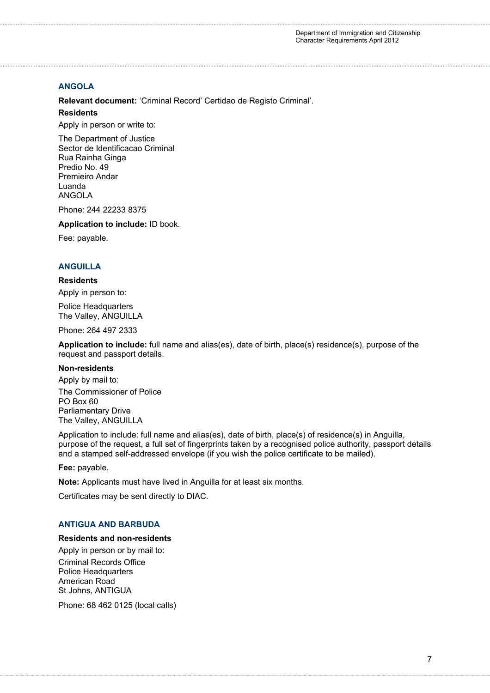# **ANGOLA**

**Relevant document:** 'Criminal Record' Certidao de Registo Criminal'. **Residents** 

Apply in person or write to:

The Department of Justice Sector de Identificacao Criminal Rua Rainha Ginga Predio No. 49 Premieiro Andar Luanda ANGOLA

Phone: 244 22233 8375

#### **Application to include:** ID book.

Fee: payable.

# **ANGUILLA**

#### **Residents**

Apply in person to:

Police Headquarters The Valley, ANGUILLA

Phone: 264 497 2333

**Application to include:** full name and alias(es), date of birth, place(s) residence(s), purpose of the request and passport details.

#### **Non-residents**

Apply by mail to: The Commissioner of Police PO Box 60 Parliamentary Drive The Valley, ANGUILLA

Application to include: full name and alias(es), date of birth, place(s) of residence(s) in Anguilla, purpose of the request, a full set of fingerprints taken by a recognised police authority, passport details and a stamped self-addressed envelope (if you wish the police certificate to be mailed).

**Fee:** payable.

**Note:** Applicants must have lived in Anguilla for at least six months.

Certificates may be sent directly to DIAC.

#### **ANTIGUA AND BARBUDA**

#### **Residents and non-residents**

Apply in person or by mail to: Criminal Records Office Police Headquarters American Road St Johns, ANTIGUA

Phone: 68 462 0125 (local calls)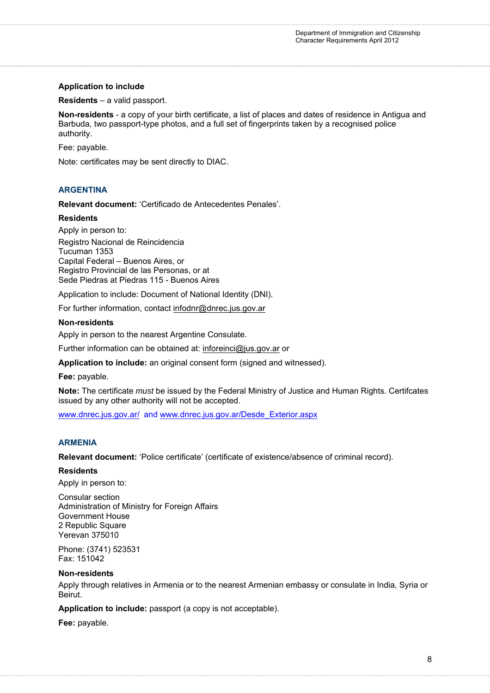# **Application to include**

# **Residents** – a valid passport.

**Non-residents** - a copy of your birth certificate, a list of places and dates of residence in Antigua and Barbuda, two passport-type photos, and a full set of fingerprints taken by a recognised police authority.

Fee: payable.

Note: certificates may be sent directly to DIAC.

#### **ARGENTINA**

**Relevant document:** 'Certificado de Antecedentes Penales'.

#### **Residents**

Apply in person to: Registro Nacional de Reincidencia Tucuman 1353 Capital Federal – Buenos Aires, or Registro Provincial de las Personas, or at Sede Piedras at Piedras 115 - Buenos Aires

Application to include: Document of National Identity (DNI).

For further information, contact infodnr@dnrec.jus.gov.ar

#### **Non-residents**

Apply in person to the nearest Argentine Consulate.

Further information can be obtained at: inforeinci@jus.gov.ar or

**Application to include:** an original consent form (signed and witnessed).

**Fee:** payable.

**Note:** The certificate *must* be issued by the Federal Ministry of Justice and Human Rights. Certifcates issued by any other authority will not be accepted.

www.dnrec.jus.gov.ar/ and www.dnrec.jus.gov.ar/Desde\_Exterior.aspx

#### **ARMENIA**

**Relevant document:** 'Police certificate' (certificate of existence/absence of criminal record).

#### **Residents**

Apply in person to:

Consular section Administration of Ministry for Foreign Affairs Government House 2 Republic Square Yerevan 375010

Phone: (3741) 523531 Fax: 151042

#### **Non-residents**

Apply through relatives in Armenia or to the nearest Armenian embassy or consulate in India, Syria or Beirut.

**Application to include:** passport (a copy is not acceptable).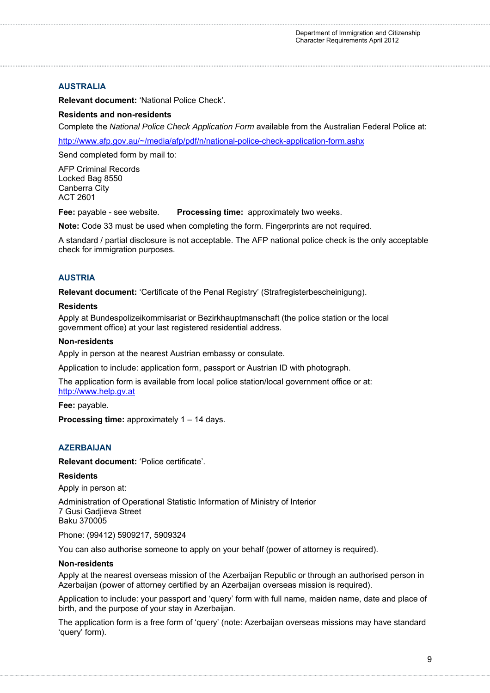# **AUSTRALIA**

**Relevant document:** 'National Police Check'.

#### **Residents and non-residents**

Complete the *National Police Check Application Form* available from the Australian Federal Police at:

http://www.afp.gov.au/~/media/afp/pdf/n/national-police-check-application-form.ashx

Send completed form by mail to:

AFP Criminal Records Locked Bag 8550 Canberra City ACT 2601

**Fee:** payable - see website. **Processing time:** approximately two weeks.

**Note:** Code 33 must be used when completing the form. Fingerprints are not required.

A standard / partial disclosure is not acceptable. The AFP national police check is the only acceptable check for immigration purposes.

#### **AUSTRIA**

**Relevant document:** 'Certificate of the Penal Registry' (Strafregisterbescheinigung).

#### **Residents**

Apply at Bundespolizeikommisariat or Bezirkhauptmanschaft (the police station or the local government office) at your last registered residential address.

#### **Non-residents**

Apply in person at the nearest Austrian embassy or consulate.

Application to include: application form, passport or Austrian ID with photograph.

The application form is available from local police station/local government office or at: http://www.help.gv.at

**Fee:** payable.

**Processing time:** approximately 1 – 14 days.

#### **AZERBAIJAN**

**Relevant document:** 'Police certificate'.

# **Residents**

Apply in person at:

Administration of Operational Statistic Information of Ministry of Interior 7 Gusi Gadjieva Street Baku 370005

Phone: (99412) 5909217, 5909324

You can also authorise someone to apply on your behalf (power of attorney is required).

#### **Non-residents**

Apply at the nearest overseas mission of the Azerbaijan Republic or through an authorised person in Azerbaijan (power of attorney certified by an Azerbaijan overseas mission is required).

Application to include: your passport and 'query' form with full name, maiden name, date and place of birth, and the purpose of your stay in Azerbaijan.

The application form is a free form of 'query' (note: Azerbaijan overseas missions may have standard 'query' form).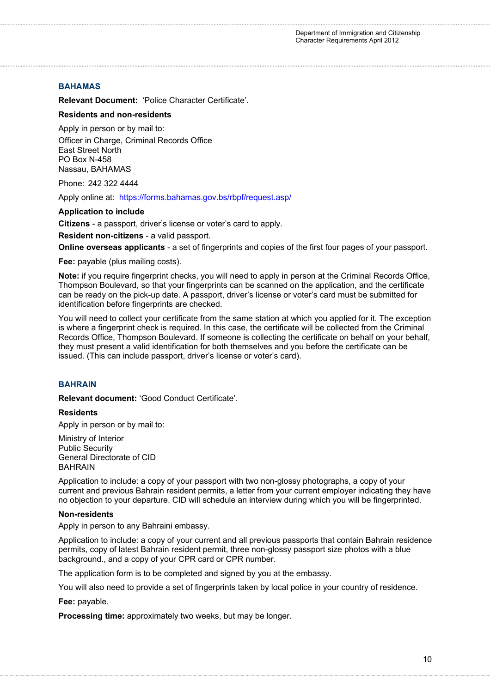# **BAHAMAS**

**Relevant Document:** 'Police Character Certificate'.

# **Residents and non-residents**

Apply in person or by mail to:

Officer in Charge, Criminal Records Office East Street North PO Box N-458 Nassau, BAHAMAS

Phone: 242 322 4444

Apply online at: https://forms.bahamas.gov.bs/rbpf/request.asp/

#### **Application to include**

**Citizens** - a passport, driver's license or voter's card to apply.

**Resident non-citizens** - a valid passport.

**Online overseas applicants** - a set of fingerprints and copies of the first four pages of your passport.

**Fee:** payable (plus mailing costs).

**Note:** if you require fingerprint checks, you will need to apply in person at the Criminal Records Office, Thompson Boulevard, so that your fingerprints can be scanned on the application, and the certificate can be ready on the pick-up date. A passport, driver's license or voter's card must be submitted for identification before fingerprints are checked.

You will need to collect your certificate from the same station at which you applied for it. The exception is where a fingerprint check is required. In this case, the certificate will be collected from the Criminal Records Office, Thompson Boulevard. If someone is collecting the certificate on behalf on your behalf, they must present a valid identification for both themselves and you before the certificate can be issued. (This can include passport, driver's license or voter's card).

# **BAHRAIN**

**Relevant document:** 'Good Conduct Certificate'.

### **Residents**

Apply in person or by mail to:

Ministry of Interior Public Security General Directorate of CID **BAHRAIN** 

Application to include: a copy of your passport with two non-glossy photographs, a copy of your current and previous Bahrain resident permits, a letter from your current employer indicating they have no objection to your departure. CID will schedule an interview during which you will be fingerprinted.

#### **Non-residents**

Apply in person to any Bahraini embassy.

Application to include: a copy of your current and all previous passports that contain Bahrain residence permits, copy of latest Bahrain resident permit, three non-glossy passport size photos with a blue background., and a copy of your CPR card or CPR number.

The application form is to be completed and signed by you at the embassy.

You will also need to provide a set of fingerprints taken by local police in your country of residence.

**Fee:** payable.

**Processing time:** approximately two weeks, but may be longer.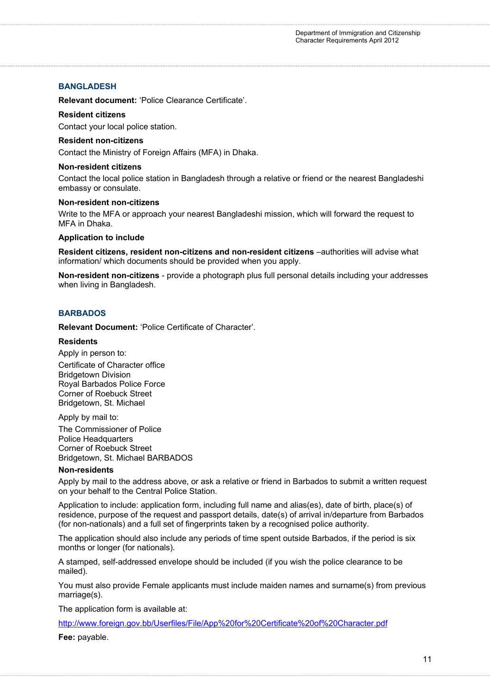# **BANGLADESH**

**Relevant document:** 'Police Clearance Certificate'.

#### **Resident citizens**

Contact your local police station.

#### **Resident non-citizens**

Contact the Ministry of Foreign Affairs (MFA) in Dhaka.

#### **Non-resident citizens**

Contact the local police station in Bangladesh through a relative or friend or the nearest Bangladeshi embassy or consulate.

#### **Non-resident non-citizens**

Write to the MFA or approach your nearest Bangladeshi mission, which will forward the request to MFA in Dhaka.

#### **Application to include**

**Resident citizens, resident non-citizens and non-resident citizens** –authorities will advise what information/ which documents should be provided when you apply.

**Non-resident non-citizens** - provide a photograph plus full personal details including your addresses when living in Bangladesh.

# **BARBADOS**

**Relevant Document:** 'Police Certificate of Character'.

#### **Residents**

Apply in person to: Certificate of Character office Bridgetown Division Royal Barbados Police Force Corner of Roebuck Street Bridgetown, St. Michael

# Apply by mail to:

The Commissioner of Police Police Headquarters Corner of Roebuck Street Bridgetown, St. Michael BARBADOS

#### **Non-residents**

Apply by mail to the address above, or ask a relative or friend in Barbados to submit a written request on your behalf to the Central Police Station.

Application to include: application form, including full name and alias(es), date of birth, place(s) of residence, purpose of the request and passport details, date(s) of arrival in/departure from Barbados (for non-nationals) and a full set of fingerprints taken by a recognised police authority.

The application should also include any periods of time spent outside Barbados, if the period is six months or longer (for nationals).

A stamped, self-addressed envelope should be included (if you wish the police clearance to be mailed).

You must also provide Female applicants must include maiden names and surname(s) from previous marriage(s).

The application form is available at:

http://www.foreign.gov.bb/Userfiles/File/App%20for%20Certificate%20of%20Character.pdf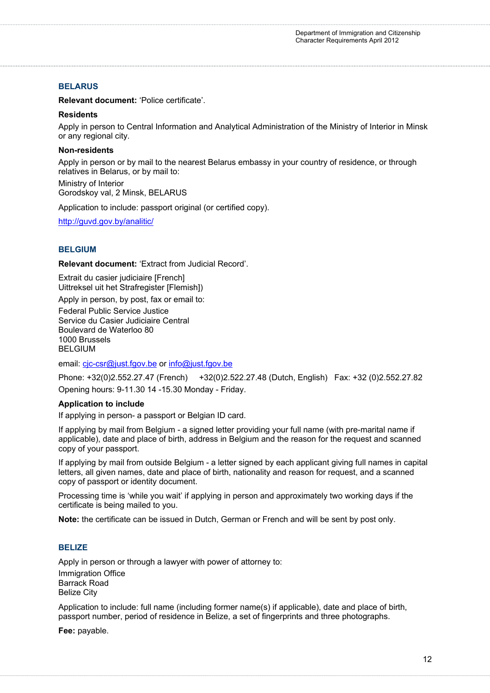# **BELARUS**

**Relevant document:** 'Police certificate'.

#### **Residents**

Apply in person to Central Information and Analytical Administration of the Ministry of Interior in Minsk or any regional city.

#### **Non-residents**

Apply in person or by mail to the nearest Belarus embassy in your country of residence, or through relatives in Belarus, or by mail to: Ministry of Interior

Gorodskoy val, 2 Minsk, BELARUS

Application to include: passport original (or certified copy).

http://guvd.gov.by/analitic/

#### **BELGIUM**

**Relevant document:** 'Extract from Judicial Record'.

Extrait du casier judiciaire [French] Uittreksel uit het Strafregister [Flemish])

Apply in person, by post, fax or email to:

Federal Public Service Justice Service du Casier Judiciaire Central Boulevard de Waterloo 80 1000 Brussels BELGIUM

email: cjc-csr@just.fgov.be or info@just.fgov.be

Phone: +32(0)2.552.27.47 (French) +32(0)2.522.27.48 (Dutch, English) Fax: +32 (0)2.552.27.82 Opening hours: 9-11.30 14 -15.30 Monday - Friday.

#### **Application to include**

If applying in person- a passport or Belgian ID card.

If applying by mail from Belgium - a signed letter providing your full name (with pre-marital name if applicable), date and place of birth, address in Belgium and the reason for the request and scanned copy of your passport.

If applying by mail from outside Belgium - a letter signed by each applicant giving full names in capital letters, all given names, date and place of birth, nationality and reason for request, and a scanned copy of passport or identity document.

Processing time is 'while you wait' if applying in person and approximately two working days if the certificate is being mailed to you.

**Note:** the certificate can be issued in Dutch, German or French and will be sent by post only.

#### **BELIZE**

Apply in person or through a lawyer with power of attorney to: Immigration Office Barrack Road Belize City

Application to include: full name (including former name(s) if applicable), date and place of birth, passport number, period of residence in Belize, a set of fingerprints and three photographs.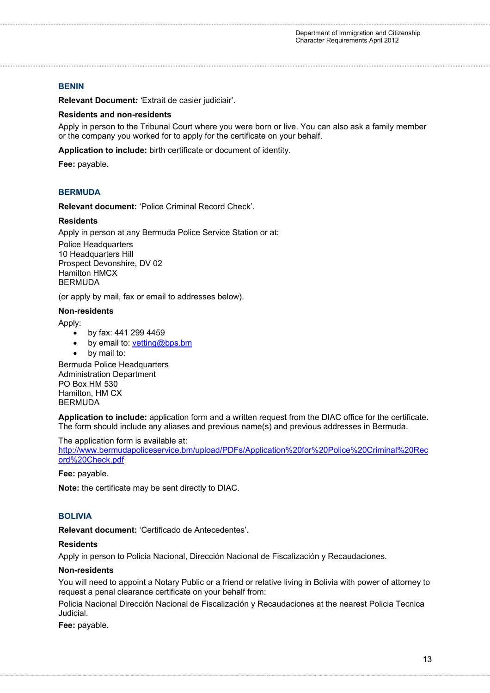# **BENIN**

**Relevant Document***: '*Extrait de casier judiciair'.

#### **Residents and non-residents**

Apply in person to the Tribunal Court where you were born or live. You can also ask a family member or the company you worked for to apply for the certificate on your behalf.

**Application to include:** birth certificate or document of identity.

**Fee:** payable.

#### **BERMUDA**

**Relevant document:** 'Police Criminal Record Check'.

#### **Residents**

Apply in person at any Bermuda Police Service Station or at: Police Headquarters

10 Headquarters Hill Prospect Devonshire, DV 02 Hamilton HMCX BERMUDA

(or apply by mail, fax or email to addresses below).

#### **Non-residents**

Apply:

- by fax: 441 299 4459
- by email to: vetting@bps.bm
- by mail to:

Bermuda Police Headquarters Administration Department PO Box HM 530 Hamilton, HM CX BERMUDA

**Application to include:** application form and a written request from the DIAC office for the certificate. The form should include any aliases and previous name(s) and previous addresses in Bermuda.

The application form is available at: http://www.bermudapoliceservice.bm/upload/PDFs/Application%20for%20Police%20Criminal%20Rec ord%20Check.pdf

# **Fee:** payable.

**Note:** the certificate may be sent directly to DIAC.

#### **BOLIVIA**

**Relevant document:** 'Certificado de Antecedentes'.

#### **Residents**

Apply in person to Policia Nacional, Dirección Nacional de Fiscalización y Recaudaciones.

#### **Non-residents**

You will need to appoint a Notary Public or a friend or relative living in Bolivia with power of attorney to request a penal clearance certificate on your behalf from:

Policia Nacional Dirección Nacional de Fiscalización y Recaudaciones at the nearest Policia Tecnica Judicial.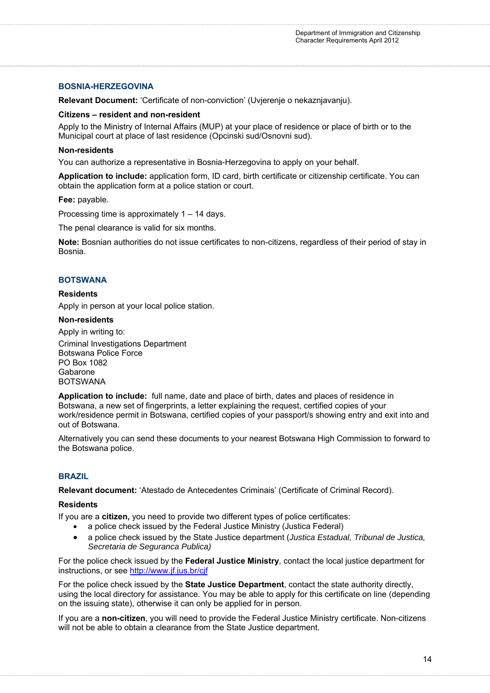# **BOSNIA-HERZEGOVINA**

**Relevant Document:** 'Certificate of non-conviction' (Uvjerenje o nekaznjavanju).

### **Citizens – resident and non-resident**

Apply to the Ministry of Internal Affairs (MUP) at your place of residence or place of birth or to the Municipal court at place of last residence (Opcinski sud/Osnovni sud).

#### **Non-residents**

You can authorize a representative in Bosnia-Herzegovina to apply on your behalf.

**Application to include:** application form, ID card, birth certificate or citizenship certificate. You can obtain the application form at a police station or court.

**Fee:** payable.

Processing time is approximately 1 – 14 days.

The penal clearance is valid for six months.

**Note:** Bosnian authorities do not issue certificates to non-citizens, regardless of their period of stay in Bosnia.

#### **BOTSWANA**

#### **Residents**

Apply in person at your local police station.

#### **Non-residents**

Apply in writing to: Criminal Investigations Department Botswana Police Force PO Box 1082 Gabarone BOTSWANA

**Application to include:** full name, date and place of birth, dates and places of residence in Botswana, a new set of fingerprints, a letter explaining the request, certified copies of your work/residence permit in Botswana, certified copies of your passport/s showing entry and exit into and out of Botswana.

Alternatively you can send these documents to your nearest Botswana High Commission to forward to the Botswana police.

#### **BRAZIL**

**Relevant document:** 'Atestado de Antecedentes Criminais' (Certificate of Criminal Record).

#### **Residents**

If you are a **citizen,** you need to provide two different types of police certificates:

- a police check issued by the Federal Justice Ministry (Justica Federal)
- a police check issued by the State Justice department (*Justica Estadual, Tribunal de Justica, Secretaria de Seguranca Publica)*

For the police check issued by the **Federal Justice Ministry**, contact the local justice department for instructions, or see http://www.jf.jus.br/cjf

For the police check issued by the **State Justice Department**, contact the state authority directly, using the local directory for assistance. You may be able to apply for this certificate on line (depending on the issuing state), otherwise it can only be applied for in person.

If you are a **non-citizen**, you will need to provide the Federal Justice Ministry certificate. Non-citizens will not be able to obtain a clearance from the State Justice department.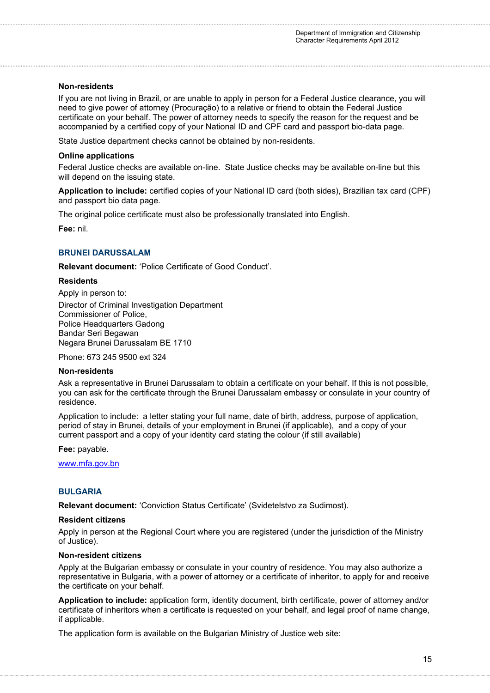# **Non-residents**

If you are not living in Brazil, or are unable to apply in person for a Federal Justice clearance, you will need to give power of attorney (Procuração) to a relative or friend to obtain the Federal Justice certificate on your behalf. The power of attorney needs to specify the reason for the request and be accompanied by a certified copy of your National ID and CPF card and passport bio-data page.

State Justice department checks cannot be obtained by non-residents.

#### **Online applications**

Federal Justice checks are available on-line. State Justice checks may be available on-line but this will depend on the issuing state.

**Application to include:** certified copies of your National ID card (both sides), Brazilian tax card (CPF) and passport bio data page.

The original police certificate must also be professionally translated into English.

**Fee:** nil.

#### **BRUNEI DARUSSALAM**

**Relevant document:** 'Police Certificate of Good Conduct'.

#### **Residents**

Apply in person to: Director of Criminal Investigation Department Commissioner of Police, Police Headquarters Gadong Bandar Seri Begawan Negara Brunei Darussalam BE 1710

Phone: 673 245 9500 ext 324

#### **Non-residents**

Ask a representative in Brunei Darussalam to obtain a certificate on your behalf. If this is not possible, you can ask for the certificate through the Brunei Darussalam embassy or consulate in your country of residence.

Application to include: a letter stating your full name, date of birth, address, purpose of application, period of stay in Brunei, details of your employment in Brunei (if applicable), and a copy of your current passport and a copy of your identity card stating the colour (if still available)

**Fee:** payable.

www.mfa.gov.bn

# **BULGARIA**

**Relevant document:** 'Conviction Status Certificate' (Svidetelstvo za Sudimost).

#### **Resident citizens**

Apply in person at the Regional Court where you are registered (under the jurisdiction of the Ministry of Justice).

#### **Non-resident citizens**

Apply at the Bulgarian embassy or consulate in your country of residence. You may also authorize a representative in Bulgaria, with a power of attorney or a certificate of inheritor, to apply for and receive the certificate on your behalf.

**Application to include:** application form, identity document, birth certificate, power of attorney and/or certificate of inheritors when a certificate is requested on your behalf, and legal proof of name change, if applicable.

The application form is available on the Bulgarian Ministry of Justice web site: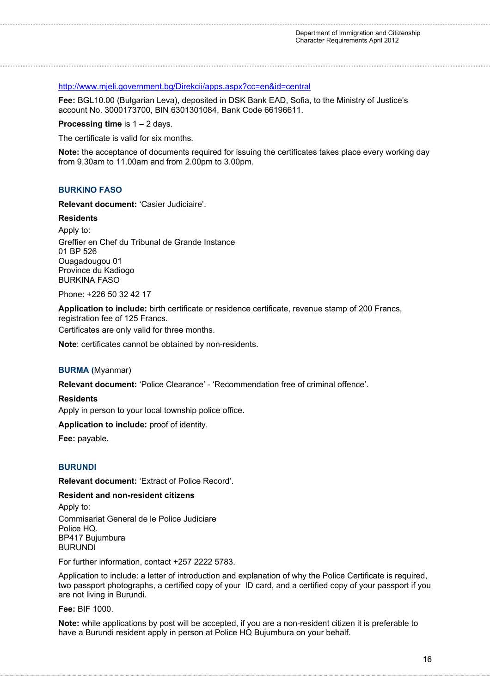#### http://www.mjeli.government.bg/Direkcii/apps.aspx?cc=en&id=central

**Fee:** BGL10.00 (Bulgarian Leva), deposited in DSK Bank EAD, Sofia, to the Ministry of Justice's account No. 3000173700, BIN 6301301084, Bank Code 66196611.

**Processing time** is 1 – 2 days.

The certificate is valid for six months.

**Note:** the acceptance of documents required for issuing the certificates takes place every working day from 9.30am to 11.00am and from 2.00pm to 3.00pm.

# **BURKINO FASO**

**Relevant document:** 'Casier Judiciaire'.

### **Residents**

Apply to: Greffier en Chef du Tribunal de Grande Instance 01 BP 526 Ouagadougou 01 Province du Kadiogo BURKINA FASO

Phone: +226 50 32 42 17

**Application to include:** birth certificate or residence certificate, revenue stamp of 200 Francs, registration fee of 125 Francs.

Certificates are only valid for three months.

**Note**: certificates cannot be obtained by non-residents.

#### **BURMA (**Myanmar)

**Relevant document:** 'Police Clearance' - 'Recommendation free of criminal offence'.

#### **Residents**

Apply in person to your local township police office.

**Application to include:** proof of identity.

**Fee:** payable.

#### **BURUNDI**

**Relevant document:** 'Extract of Police Record'.

#### **Resident and non-resident citizens**

Apply to: Commisariat General de le Police Judiciare Police HQ. BP417 Bujumbura BURUNDI

For further information, contact +257 2222 5783.

Application to include: a letter of introduction and explanation of why the Police Certificate is required, two passport photographs, a certified copy of your ID card, and a certified copy of your passport if you are not living in Burundi.

**Fee:** BIF 1000.

**Note:** while applications by post will be accepted, if you are a non-resident citizen it is preferable to have a Burundi resident apply in person at Police HQ Bujumbura on your behalf.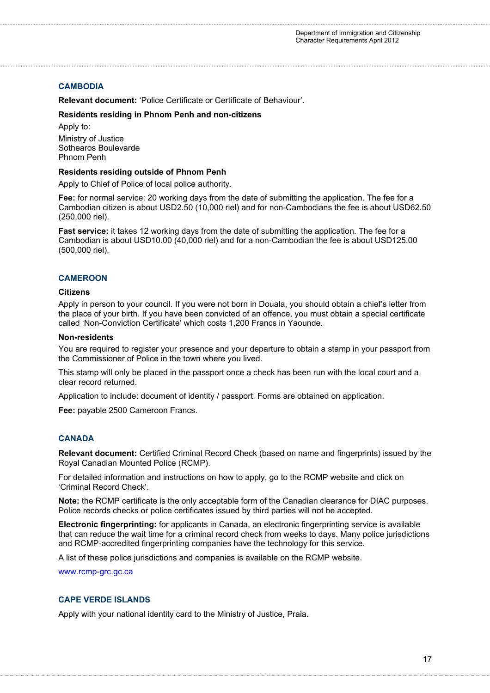# **CAMBODIA**

**Relevant document:** 'Police Certificate or Certificate of Behaviour'.

### **Residents residing in Phnom Penh and non-citizens**

Apply to: Ministry of Justice Sothearos Boulevarde Phnom Penh

#### **Residents residing outside of Phnom Penh**

Apply to Chief of Police of local police authority.

**Fee:** for normal service: 20 working days from the date of submitting the application. The fee for a Cambodian citizen is about USD2.50 (10,000 riel) and for non-Cambodians the fee is about USD62.50 (250,000 riel).

**Fast service:** it takes 12 working days from the date of submitting the application. The fee for a Cambodian is about USD10.00 (40,000 riel) and for a non-Cambodian the fee is about USD125.00 (500,000 riel).

#### **CAMEROON**

#### **Citizens**

Apply in person to your council. If you were not born in Douala, you should obtain a chief's letter from the place of your birth. If you have been convicted of an offence, you must obtain a special certificate called 'Non-Conviction Certificate' which costs 1,200 Francs in Yaounde.

#### **Non-residents**

You are required to register your presence and your departure to obtain a stamp in your passport from the Commissioner of Police in the town where you lived.

This stamp will only be placed in the passport once a check has been run with the local court and a clear record returned.

Application to include: document of identity / passport. Forms are obtained on application.

**Fee:** payable 2500 Cameroon Francs.

# **CANADA**

**Relevant document:** Certified Criminal Record Check (based on name and fingerprints) issued by the Royal Canadian Mounted Police (RCMP).

For detailed information and instructions on how to apply, go to the RCMP website and click on 'Criminal Record Check'.

**Note:** the RCMP certificate is the only acceptable form of the Canadian clearance for DIAC purposes. Police records checks or police certificates issued by third parties will not be accepted.

**Electronic fingerprinting:** for applicants in Canada, an electronic fingerprinting service is available that can reduce the wait time for a criminal record check from weeks to days. Many police jurisdictions and RCMP-accredited fingerprinting companies have the technology for this service.

A list of these police jurisdictions and companies is available on the RCMP website.

www.rcmp-grc.gc.ca

# **CAPE VERDE ISLANDS**

Apply with your national identity card to the Ministry of Justice, Praia.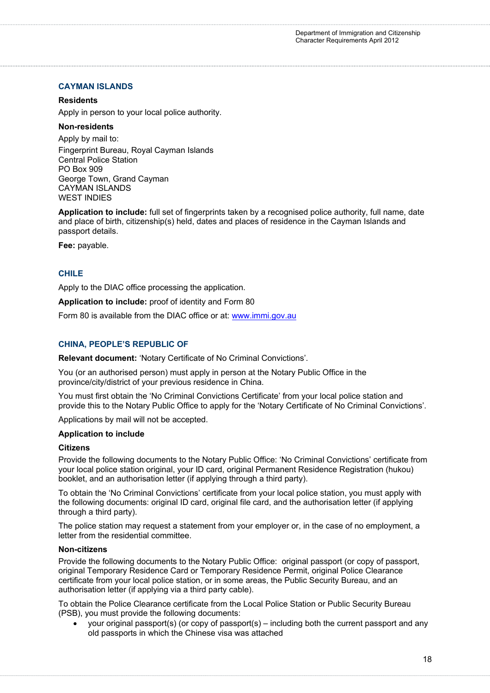# **CAYMAN ISLANDS**

#### **Residents**

Apply in person to your local police authority.

#### **Non-residents**

Apply by mail to: Fingerprint Bureau, Royal Cayman Islands Central Police Station PO Box 909 George Town, Grand Cayman CAYMAN ISLANDS WEST INDIES

**Application to include:** full set of fingerprints taken by a recognised police authority, full name, date and place of birth, citizenship(s) held, dates and places of residence in the Cayman Islands and passport details.

**Fee:** payable.

#### **CHILE**

Apply to the DIAC office processing the application.

**Application to include:** proof of identity and Form 80

Form 80 is available from the DIAC office or at: www.immi.gov.au

#### **CHINA, PEOPLE'S REPUBLIC OF**

**Relevant document:** 'Notary Certificate of No Criminal Convictions'.

You (or an authorised person) must apply in person at the Notary Public Office in the province/city/district of your previous residence in China.

You must first obtain the 'No Criminal Convictions Certificate' from your local police station and provide this to the Notary Public Office to apply for the 'Notary Certificate of No Criminal Convictions'.

Applications by mail will not be accepted.

#### **Application to include**

#### **Citizens**

Provide the following documents to the Notary Public Office: 'No Criminal Convictions' certificate from your local police station original, your ID card, original Permanent Residence Registration (hukou) booklet, and an authorisation letter (if applying through a third party).

To obtain the 'No Criminal Convictions' certificate from your local police station, you must apply with the following documents: original ID card, original file card, and the authorisation letter (if applying through a third party).

The police station may request a statement from your employer or, in the case of no employment, a letter from the residential committee.

#### **Non-citizens**

Provide the following documents to the Notary Public Office: original passport (or copy of passport, original Temporary Residence Card or Temporary Residence Permit, original Police Clearance certificate from your local police station, or in some areas, the Public Security Bureau, and an authorisation letter (if applying via a third party cable).

To obtain the Police Clearance certificate from the Local Police Station or Public Security Bureau (PSB), you must provide the following documents:

 your original passport(s) (or copy of passport(s) – including both the current passport and any old passports in which the Chinese visa was attached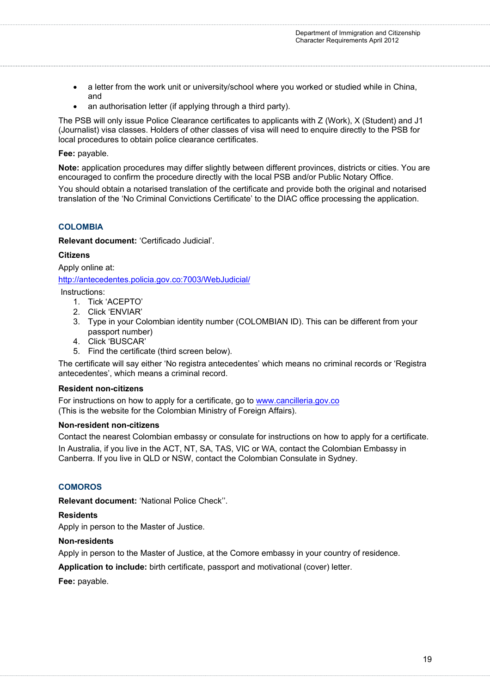- a letter from the work unit or university/school where you worked or studied while in China, and
- an authorisation letter (if applying through a third party).

The PSB will only issue Police Clearance certificates to applicants with Z (Work), X (Student) and J1 (Journalist) visa classes. Holders of other classes of visa will need to enquire directly to the PSB for local procedures to obtain police clearance certificates.

# **Fee:** payable.

**Note:** application procedures may differ slightly between different provinces, districts or cities. You are encouraged to confirm the procedure directly with the local PSB and/or Public Notary Office.

You should obtain a notarised translation of the certificate and provide both the original and notarised translation of the 'No Criminal Convictions Certificate' to the DIAC office processing the application.

# **COLOMBIA**

**Relevant document:** 'Certificado Judicial'.

# **Citizens**

Apply online at:

http://antecedentes.policia.gov.co:7003/WebJudicial/

Instructions:

- 1. Tick 'ACEPTO'
- 2. Click 'ENVIAR'
- 3. Type in your Colombian identity number (COLOMBIAN ID). This can be different from your passport number)
- 4. Click 'BUSCAR'
- 5. Find the certificate (third screen below).

The certificate will say either 'No registra antecedentes' which means no criminal records or 'Registra antecedentes', which means a criminal record.

#### **Resident non-citizens**

For instructions on how to apply for a certificate, go to www.cancilleria.gov.co (This is the website for the Colombian Ministry of Foreign Affairs).

#### **Non-resident non-citizens**

Contact the nearest Colombian embassy or consulate for instructions on how to apply for a certificate. In Australia, if you live in the ACT, NT, SA, TAS, VIC or WA, contact the Colombian Embassy in Canberra. If you live in QLD or NSW, contact the Colombian Consulate in Sydney.

#### **COMOROS**

**Relevant document:** 'National Police Check''.

#### **Residents**

Apply in person to the Master of Justice.

#### **Non-residents**

Apply in person to the Master of Justice, at the Comore embassy in your country of residence.

**Application to include:** birth certificate, passport and motivational (cover) letter.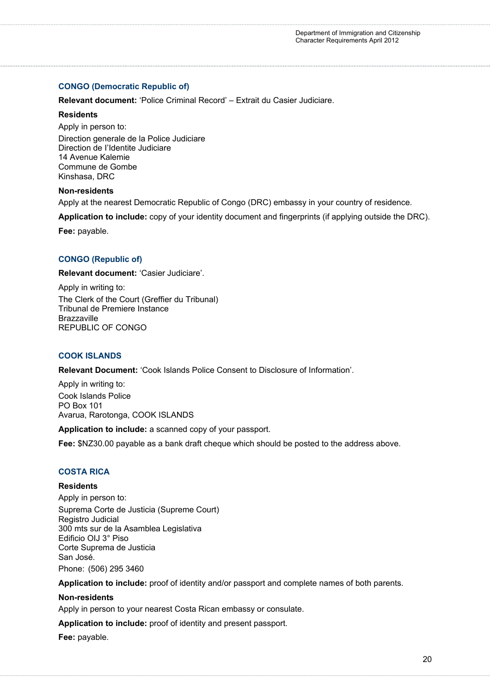# **CONGO (Democratic Republic of)**

**Relevant document:** 'Police Criminal Record' – Extrait du Casier Judiciare.

#### **Residents**

Apply in person to: Direction generale de la Police Judiciare Direction de I'Identite Judiciare 14 Avenue Kalemie Commune de Gombe Kinshasa, DRC

#### **Non-residents**

Apply at the nearest Democratic Republic of Congo (DRC) embassy in your country of residence.

**Application to include:** copy of your identity document and fingerprints (if applying outside the DRC).

**Fee:** payable.

#### **CONGO (Republic of)**

**Relevant document:** 'Casier Judiciare'.

Apply in writing to: The Clerk of the Court (Greffier du Tribunal) Tribunal de Premiere Instance **Brazzaville** REPUBLIC OF CONGO

# **COOK ISLANDS**

**Relevant Document:** 'Cook Islands Police Consent to Disclosure of Information'.

Apply in writing to: Cook Islands Police PO Box 101 Avarua, Rarotonga, COOK ISLANDS

**Application to include:** a scanned copy of your passport.

**Fee:** \$NZ30.00 payable as a bank draft cheque which should be posted to the address above.

#### **COSTA RICA**

# **Residents**

Apply in person to: Suprema Corte de Justicia (Supreme Court) Registro Judicial 300 mts sur de la Asamblea Legislativa Edificio OIJ 3° Piso Corte Suprema de Justicia San José.

Phone: (506) 295 3460

**Application to include:** proof of identity and/or passport and complete names of both parents.

#### **Non-residents**

Apply in person to your nearest Costa Rican embassy or consulate.

**Application to include:** proof of identity and present passport.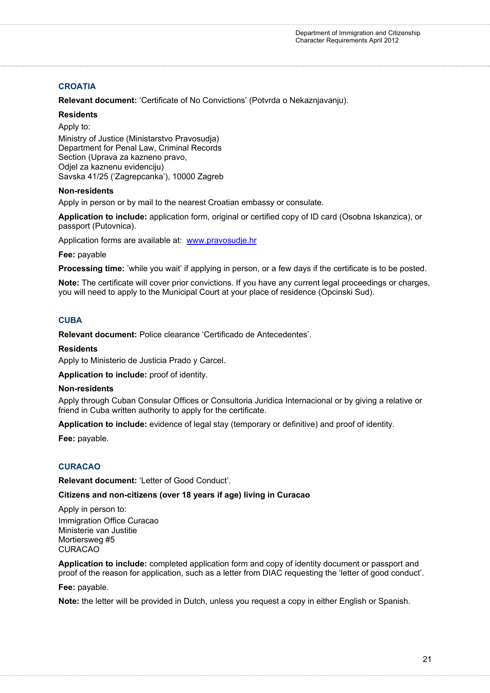# **CROATIA**

**Relevant document:** 'Certificate of No Convictions' (Potvrda o Nekaznjavanju).

### **Residents**

Apply to:

Ministry of Justice (Ministarstvo Pravosudja) Department for Penal Law, Criminal Records Section (Uprava za kazneno pravo, Odjel za kaznenu evidenciju) Savska 41/25 ('Zagrepcanka'), 10000 Zagreb

#### **Non-residents**

Apply in person or by mail to the nearest Croatian embassy or consulate.

**Application to include:** application form, original or certified copy of ID card (Osobna Iskanzica), or passport (Putovnica).

Application forms are available at: www.pravosudje.hr

**Fee:** payable

**Processing time:** 'while you wait' if applying in person, or a few days if the certificate is to be posted.

**Note:** The certificate will cover prior convictions. If you have any current legal proceedings or charges, you will need to apply to the Municipal Court at your place of residence (Opcinski Sud).

# **CUBA**

**Relevant document:** Police clearance 'Certificado de Antecedentes'.

#### **Residents**

Apply to Ministerio de Justicia Prado y Carcel.

**Application to include:** proof of identity.

#### **Non-residents**

Apply through Cuban Consular Offices or Consultoria Juridica Internacional or by giving a relative or friend in Cuba written authority to apply for the certificate.

**Application to include:** evidence of legal stay (temporary or definitive) and proof of identity.

**Fee:** payable.

# **CURACAO**

**Relevant document:** 'Letter of Good Conduct'.

# **Citizens and non-citizens (over 18 years if age) living in Curacao**

Apply in person to: Immigration Office Curacao Ministerie van Justitie Mortiersweg #5 CURACAO

**Application to include:** completed application form and copy of identity document or passport and proof of the reason for application, such as a letter from DIAC requesting the 'letter of good conduct'.

**Fee:** payable.

**Note:** the letter will be provided in Dutch, unless you request a copy in either English or Spanish.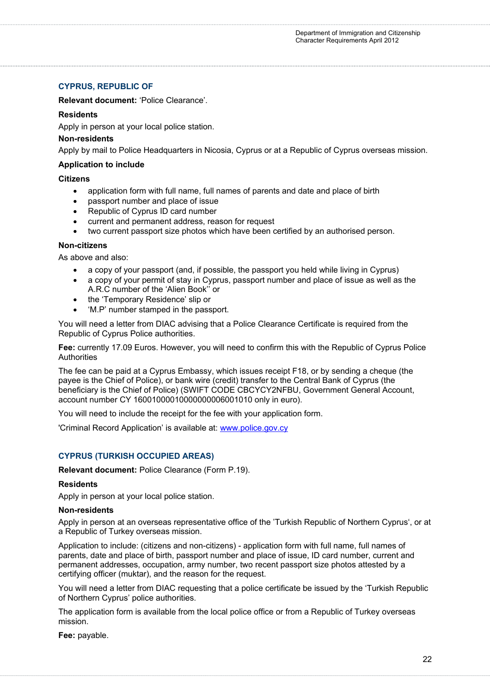# **CYPRUS, REPUBLIC OF**

**Relevant document:** 'Police Clearance'.

# **Residents**

Apply in person at your local police station.

# **Non-residents**

Apply by mail to Police Headquarters in Nicosia, Cyprus or at a Republic of Cyprus overseas mission.

### **Application to include**

# **Citizens**

- application form with full name, full names of parents and date and place of birth
- passport number and place of issue
- Republic of Cyprus ID card number
- current and permanent address, reason for request
- two current passport size photos which have been certified by an authorised person.

# **Non-citizens**

As above and also:

- a copy of your passport (and, if possible, the passport you held while living in Cyprus)
- a copy of your permit of stay in Cyprus, passport number and place of issue as well as the A.R.C number of the 'Alien Book'' or
- the 'Temporary Residence' slip or
- 'M.P' number stamped in the passport.

You will need a letter from DIAC advising that a Police Clearance Certificate is required from the Republic of Cyprus Police authorities.

**Fee:** currently 17.09 Euros. However, you will need to confirm this with the Republic of Cyprus Police **Authorities** 

The fee can be paid at a Cyprus Embassy, which issues receipt F18, or by sending a cheque (the payee is the Chief of Police), or bank wire (credit) transfer to the Central Bank of Cyprus (the beneficiary is the Chief of Police) (SWIFT CODE CBCYCY2NFBU, Government General Account, account number CY 16001000010000000006001010 only in euro).

You will need to include the receipt for the fee with your application form.

'Criminal Record Application' is available at: www.police.gov.cy

# **CYPRUS (TURKISH OCCUPIED AREAS)**

**Relevant document:** Police Clearance (Form P.19).

#### **Residents**

Apply in person at your local police station.

#### **Non-residents**

Apply in person at an overseas representative office of the 'Turkish Republic of Northern Cyprus', or at a Republic of Turkey overseas mission.

Application to include: (citizens and non-citizens) - application form with full name, full names of parents, date and place of birth, passport number and place of issue, ID card number, current and permanent addresses, occupation, army number, two recent passport size photos attested by a certifying officer (muktar), and the reason for the request.

You will need a letter from DIAC requesting that a police certificate be issued by the 'Turkish Republic of Northern Cyprus' police authorities.

The application form is available from the local police office or from a Republic of Turkey overseas mission.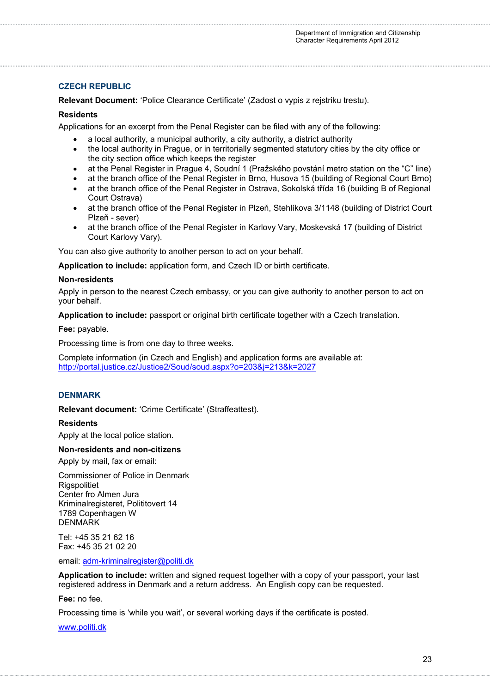# **CZECH REPUBLIC**

**Relevant Document:** 'Police Clearance Certificate' (Zadost o vypis z rejstriku trestu).

# **Residents**

Applications for an excerpt from the Penal Register can be filed with any of the following:

- a local authority, a municipal authority, a city authority, a district authority
- the local authority in Prague, or in territorially segmented statutory cities by the city office or the city section office which keeps the register
- at the Penal Register in Prague 4, Soudní 1 (Pražského povstání metro station on the "C" line)
- at the branch office of the Penal Register in Brno, Husova 15 (building of Regional Court Brno)
- at the branch office of the Penal Register in Ostrava, Sokolská třída 16 (building B of Regional Court Ostrava)
- at the branch office of the Penal Register in Plzeň, Stehlíkova 3/1148 (building of District Court Plzeň - sever)
- at the branch office of the Penal Register in Karlovy Vary, Moskevská 17 (building of District Court Karlovy Vary).

You can also give authority to another person to act on your behalf.

**Application to include:** application form, and Czech ID or birth certificate.

#### **Non-residents**

Apply in person to the nearest Czech embassy, or you can give authority to another person to act on your behalf.

**Application to include:** passport or original birth certificate together with a Czech translation.

#### **Fee:** payable.

Processing time is from one day to three weeks.

Complete information (in Czech and English) and application forms are available at: http://portal.justice.cz/Justice2/Soud/soud.aspx?o=203&j=213&k=2027

#### **DENMARK**

**Relevant document:** 'Crime Certificate' (Straffeattest).

**Residents** 

Apply at the local police station.

#### **Non-residents and non-citizens**

Apply by mail, fax or email:

Commissioner of Police in Denmark **Rigspolitiet** Center fro Almen Jura Kriminalregisteret, Polititovert 14 1789 Copenhagen W DENMARK

Tel: +45 35 21 62 16 Fax: +45 35 21 02 20

email: adm-kriminalregister@politi.dk

**Application to include:** written and signed request together with a copy of your passport, your last registered address in Denmark and a return address. An English copy can be requested.

**Fee:** no fee.

Processing time is 'while you wait', or several working days if the certificate is posted.

www.politi.dk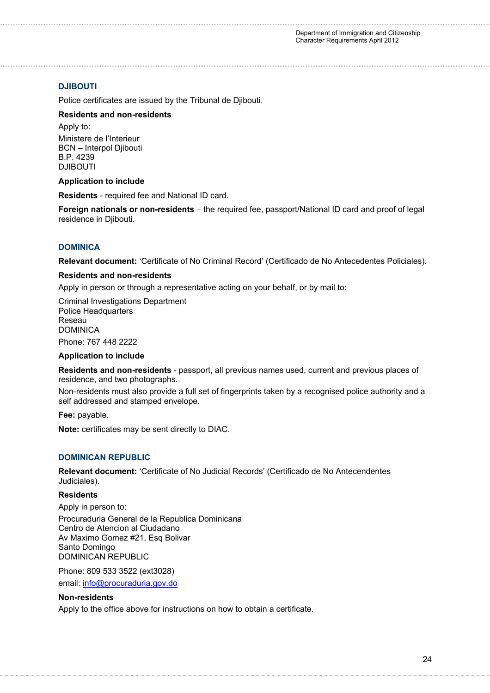# **DJIBOUTI**

Police certificates are issued by the Tribunal de Djibouti.

#### **Residents and non-residents**

Apply to: Ministere de l'Interieur BCN – Interpol Djibouti B.P. 4239 DJIBOUTI

#### **Application to include**

**Residents** - required fee and National ID card.

**Foreign nationals or non-residents** – the required fee, passport/National ID card and proof of legal residence in Djibouti.

#### **DOMINICA**

**Relevant document:** 'Certificate of No Criminal Record' (Certificado de No Antecedentes Policiales).

#### **Residents and non-residents**

Apply in person or through a representative acting on your behalf, or by mail to:

Criminal Investigations Department Police Headquarters Reseau DOMINICA Phone: 767 448 2222

#### **Application to include**

**Residents and non-residents** - passport, all previous names used, current and previous places of residence, and two photographs.

Non-residents must also provide a full set of fingerprints taken by a recognised police authority and a self addressed and stamped envelope.

**Fee:** payable.

**Note:** certificates may be sent directly to DIAC.

#### **DOMINICAN REPUBLIC**

**Relevant document:** 'Certificate of No Judicial Records' (Certificado de No Antecendentes Judiciales).

#### **Residents**

Apply in person to:

Procuraduria General de la Republica Dominicana Centro de Atencion al Ciudadano Av Maximo Gomez #21, Esq Bolivar Santo Domingo DOMINICAN REPUBLIC

Phone: 809 533 3522 (ext3028)

email: info@procuraduria.gov.do

#### **Non-residents**

Apply to the office above for instructions on how to obtain a certificate.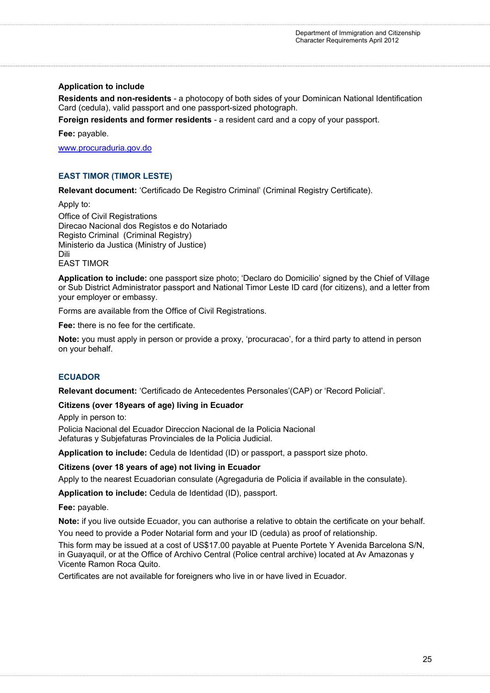# **Application to include**

**Residents and non-residents** - a photocopy of both sides of your Dominican National Identification Card (cedula), valid passport and one passport-sized photograph.

**Foreign residents and former residents** - a resident card and a copy of your passport.

**Fee:** payable.

www.procuraduria.gov.do

# **EAST TIMOR (TIMOR LESTE)**

**Relevant document:** 'Certificado De Registro Criminal' (Criminal Registry Certificate).

Apply to:

Office of Civil Registrations Direcao Nacional dos Registos e do Notariado Registo Criminal (Criminal Registry) Ministerio da Justica (Ministry of Justice) Dili EAST TIMOR

**Application to include:** one passport size photo; 'Declaro do Domicilio' signed by the Chief of Village or Sub District Administrator passport and National Timor Leste ID card (for citizens), and a letter from your employer or embassy.

Forms are available from the Office of Civil Registrations.

**Fee:** there is no fee for the certificate.

**Note:** you must apply in person or provide a proxy, 'procuracao', for a third party to attend in person on your behalf.

# **ECUADOR**

**Relevant document:** 'Certificado de Antecedentes Personales'(CAP) or 'Record Policial'.

# **Citizens (over 18years of age) living in Ecuador**

Apply in person to:

Policia Nacional del Ecuador Direccion Nacional de la Policia Nacional Jefaturas y Subjefaturas Provinciales de la Policia Judicial.

**Application to include:** Cedula de Identidad (ID) or passport, a passport size photo.

#### **Citizens (over 18 years of age) not living in Ecuador**

Apply to the nearest Ecuadorian consulate (Agregaduria de Policia if available in the consulate).

**Application to include:** Cedula de Identidad (ID), passport.

**Fee:** payable.

**Note:** if you live outside Ecuador, you can authorise a relative to obtain the certificate on your behalf. You need to provide a Poder Notarial form and your ID (cedula) as proof of relationship.

This form may be issued at a cost of US\$17.00 payable at Puente Portete Y Avenida Barcelona S/N, in Guayaquil, or at the Office of Archivo Central (Police central archive) located at Av Amazonas y Vicente Ramon Roca Quito.

Certificates are not available for foreigners who live in or have lived in Ecuador.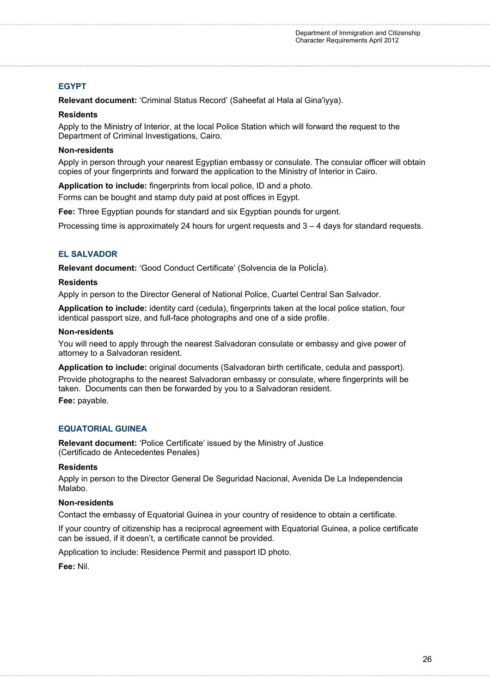# **EGYPT**

**Relevant document:** 'Criminal Status Record' (Saheefat al Hala al Gina'iyya).

### **Residents**

Apply to the Ministry of Interior, at the local Police Station which will forward the request to the Department of Criminal Investigations, Cairo.

### **Non-residents**

Apply in person through your nearest Egyptian embassy or consulate. The consular officer will obtain copies of your fingerprints and forward the application to the Ministry of Interior in Cairo.

**Application to include:** fingerprints from local police, ID and a photo.

Forms can be bought and stamp duty paid at post offices in Egypt.

**Fee:** Three Egyptian pounds for standard and six Egyptian pounds for urgent.

Processing time is approximately 24 hours for urgent requests and 3 – 4 days for standard requests.

# **EL SALVADOR**

**Relevant document:** 'Good Conduct Certificate' (Solvencia de la PolicÍa).

# **Residents**

Apply in person to the Director General of National Police, Cuartel Central San Salvador.

**Application to include:** identity card (cedula), fingerprints taken at the local police station, four identical passport size, and full-face photographs and one of a side profile.

# **Non-residents**

You will need to apply through the nearest Salvadoran consulate or embassy and give power of attorney to a Salvadoran resident.

**Application to include:** original documents (Salvadoran birth certificate, cedula and passport). Provide photographs to the nearest Salvadoran embassy or consulate, where fingerprints will be taken. Documents can then be forwarded by you to a Salvadoran resident. **Fee:** payable.

# **EQUATORIAL GUINEA**

**Relevant document:** 'Police Certificate' issued by the Ministry of Justice (Certificado de Antecedentes Penales)

#### **Residents**

Apply in person to the Director General De Seguridad Nacional, Avenida De La Independencia Malabo.

#### **Non-residents**

Contact the embassy of Equatorial Guinea in your country of residence to obtain a certificate.

If your country of citizenship has a reciprocal agreement with Equatorial Guinea, a police certificate can be issued, if it doesn't, a certificate cannot be provided.

Application to include: Residence Permit and passport ID photo.

**Fee:** Nil.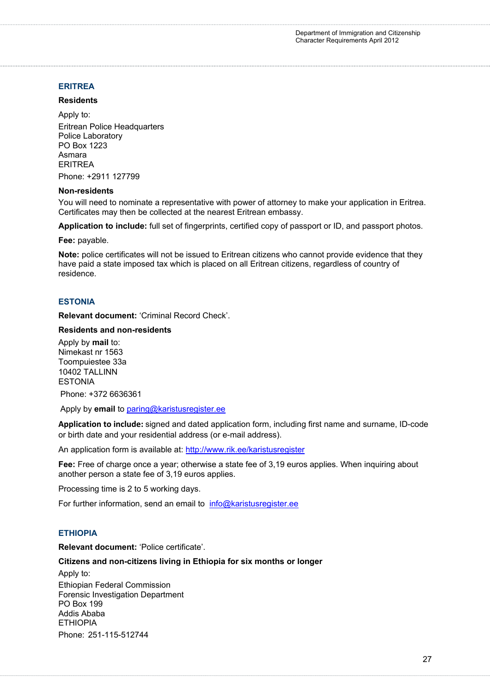# **ERITREA**

## **Residents**

Apply to: Eritrean Police Headquarters Police Laboratory PO Box 1223 Asmara ERITREA Phone: +2911 127799

#### **Non-residents**

You will need to nominate a representative with power of attorney to make your application in Eritrea. Certificates may then be collected at the nearest Eritrean embassy.

**Application to include:** full set of fingerprints, certified copy of passport or ID, and passport photos.

**Fee:** payable.

**Note:** police certificates will not be issued to Eritrean citizens who cannot provide evidence that they have paid a state imposed tax which is placed on all Eritrean citizens, regardless of country of residence.

## **ESTONIA**

**Relevant document:** 'Criminal Record Check'.

**Residents and non-residents** 

Apply by **mail** to: Nimekast nr 1563 Toompuiestee 33a 10402 TALLINN ESTONIA Phone: +372 6636361

Apply by **email** to paring@karistusregister.ee

**Application to include:** signed and dated application form, including first name and surname, ID-code or birth date and your residential address (or e-mail address).

An application form is available at: http://www.rik.ee/karistusregister

**Fee:** Free of charge once a year; otherwise a state fee of 3,19 euros applies. When inquiring about another person a state fee of 3,19 euros applies.

Processing time is 2 to 5 working days.

For further information, send an email to info@karistusregister.ee

### **ETHIOPIA**

**Relevant document:** 'Police certificate'.

### **Citizens and non-citizens living in Ethiopia for six months or longer**

Apply to: Ethiopian Federal Commission Forensic Investigation Department PO Box 199 Addis Ababa ETHIOPIA Phone: 251-115-512744

27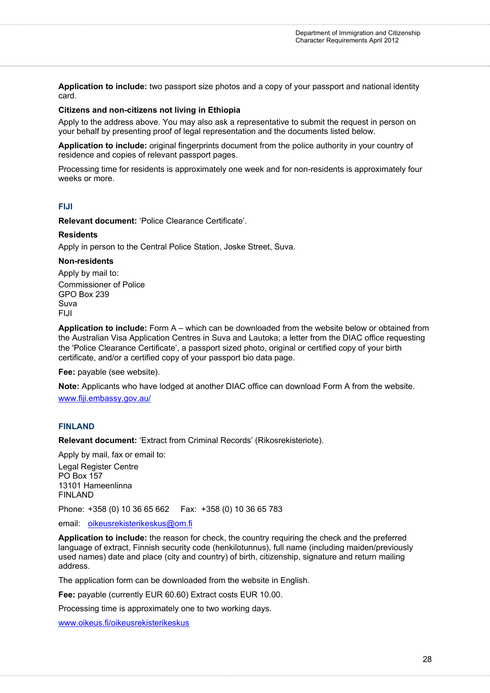**Application to include:** two passport size photos and a copy of your passport and national identity card.

## **Citizens and non-citizens not living in Ethiopia**

Apply to the address above. You may also ask a representative to submit the request in person on your behalf by presenting proof of legal representation and the documents listed below.

**Application to include:** original fingerprints document from the police authority in your country of residence and copies of relevant passport pages.

Processing time for residents is approximately one week and for non-residents is approximately four weeks or more.

## **FIJI**

**Relevant document:** 'Police Clearance Certificate'.

### **Residents**

Apply in person to the Central Police Station, Joske Street, Suva.

### **Non-residents**

Apply by mail to: Commissioner of Police GPO Box 239 Suva FIJI

**Application to include:** Form A – which can be downloaded from the website below or obtained from the Australian Visa Application Centres in Suva and Lautoka; a letter from the DIAC office requesting the 'Police Clearance Certificate', a passport sized photo, original or certified copy of your birth certificate, and/or a certified copy of your passport bio data page.

**Fee:** payable (see website).

**Note:** Applicants who have lodged at another DIAC office can download Form A from the website. www.fiji.embassy.gov.au/

### **FINLAND**

**Relevant document:** 'Extract from Criminal Records' (Rikosrekisteriote).

Apply by mail, fax or email to:

Legal Register Centre PO Box 157 13101 Hameenlinna FINLAND

Phone: +358 (0) 10 36 65 662 Fax: +358 (0) 10 36 65 783

#### email: oikeusrekisterikeskus@om.fi

**Application to include:** the reason for check, the country requiring the check and the preferred language of extract, Finnish security code (henkilotunnus), full name (including maiden/previously used names) date and place (city and country) of birth, citizenship, signature and return mailing address.

The application form can be downloaded from the website in English.

**Fee:** payable (currently EUR 60.60) Extract costs EUR 10.00.

Processing time is approximately one to two working days.

www.oikeus.fi/oikeusrekisterikeskus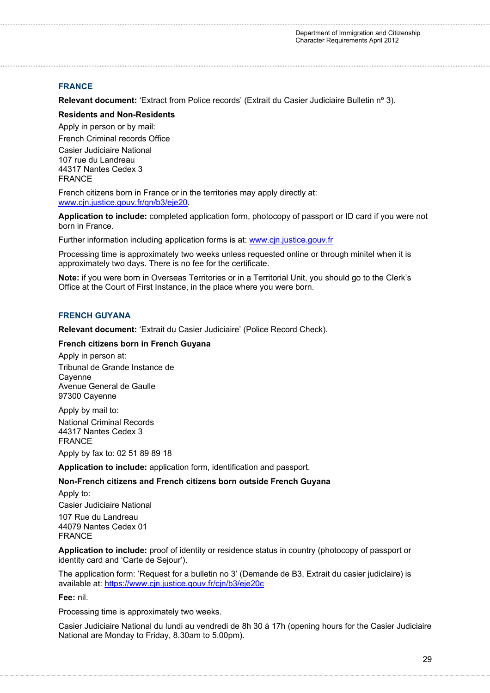# **FRANCE**

**Relevant document:** 'Extract from Police records' (Extrait du Casier Judiciaire Bulletin nº 3).

**Residents and Non-Residents** 

Apply in person or by mail:

French Criminal records Office Casier Judiciaire National 107 rue du Landreau 44317 Nantes Cedex 3 **FRANCE** 

French citizens born in France or in the territories may apply directly at: www.cjn.justice.gouv.fr/qn/b3/eje20.

**Application to include:** completed application form, photocopy of passport or ID card if you were not born in France.

Further information including application forms is at: www.cjn.justice.gouv.fr

Processing time is approximately two weeks unless requested online or through minitel when it is approximately two days. There is no fee for the certificate.

**Note:** if you were born in Overseas Territories or in a Territorial Unit, you should go to the Clerk's Office at the Court of First Instance, in the place where you were born.

## **FRENCH GUYANA**

**Relevant document:** 'Extrait du Casier Judiciaire' (Police Record Check).

### **French citizens born in French Guyana**

Apply in person at: Tribunal de Grande Instance de Cayenne Avenue General de Gaulle 97300 Cayenne

Apply by mail to: National Criminal Records 44317 Nantes Cedex 3 FRANCE

Apply by fax to: 02 51 89 89 18

**Application to include:** application form, identification and passport.

## **Non-French citizens and French citizens born outside French Guyana**

Apply to: Casier Judiciaire National 107 Rue du Landreau 44079 Nantes Cedex 01 FRANCE

**Application to include:** proof of identity or residence status in country (photocopy of passport or identity card and 'Carte de Sejour').

The application form: 'Request for a bulletin no 3' (Demande de B3, Extrait du casier judiclaire) is available at: https://www.cjn.justice.gouv.fr/cjn/b3/eje20c

**Fee:** nil.

Processing time is approximately two weeks.

Casier Judiciaire National du lundi au vendredi de 8h 30 à 17h (opening hours for the Casier Judiciaire National are Monday to Friday, 8.30am to 5.00pm).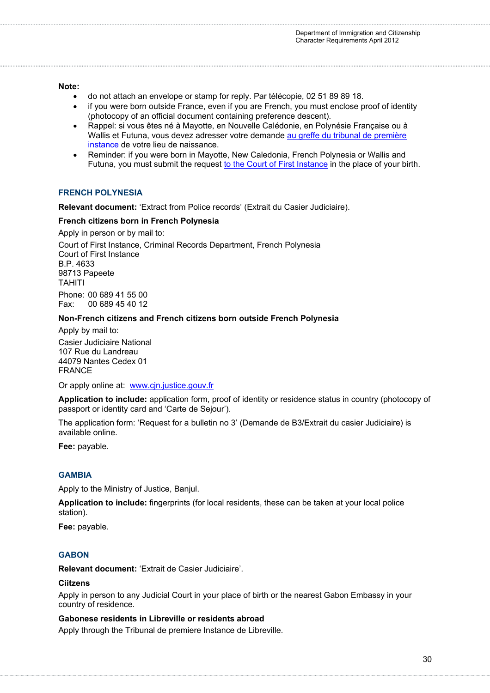### **Note:**

- do not attach an envelope or stamp for reply. Par télécopie, 02 51 89 89 18.
- if you were born outside France, even if you are French, you must enclose proof of identity (photocopy of an official document containing preference descent).
- Rappel: si vous êtes né à Mayotte, en Nouvelle Calédonie, en Polynésie Française ou à Wallis et Futuna, vous devez adresser votre demande au greffe du tribunal de première instance de votre lieu de naissance.
- Reminder: if you were born in Mayotte, New Caledonia, French Polynesia or Wallis and Futuna, you must submit the request to the Court of First Instance in the place of your birth.

### **FRENCH POLYNESIA**

**Relevant document:** 'Extract from Police records' (Extrait du Casier Judiciaire).

#### **French citizens born in French Polynesia**

Apply in person or by mail to:

Court of First Instance, Criminal Records Department, French Polynesia Court of First Instance B.P. 4633 98713 Papeete TAHITI Phone: 00 689 41 55 00 Fax: 00 689 45 40 12

### **Non-French citizens and French citizens born outside French Polynesia**

Apply by mail to:

Casier Judiciaire National 107 Rue du Landreau 44079 Nantes Cedex 01 FRANCE

Or apply online at: www.cjn.justice.gouv.fr

**Application to include:** application form, proof of identity or residence status in country (photocopy of passport or identity card and 'Carte de Sejour').

The application form: 'Request for a bulletin no 3' (Demande de B3/Extrait du casier Judiciaire) is available online.

**Fee:** payable.

## **GAMBIA**

Apply to the Ministry of Justice, Banjul.

**Application to include:** fingerprints (for local residents, these can be taken at your local police station).

**Fee:** payable.

### **GABON**

**Relevant document:** 'Extrait de Casier Judiciaire'.

#### **Ciitzens**

Apply in person to any Judicial Court in your place of birth or the nearest Gabon Embassy in your country of residence.

**Gabonese residents in Libreville or residents abroad** 

Apply through the Tribunal de premiere Instance de Libreville.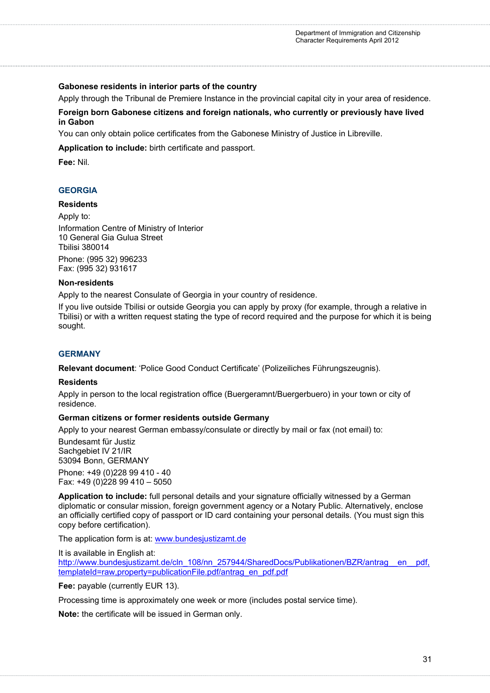Department of Immigration and Citizenship Character Requirements April 2012

## **Gabonese residents in interior parts of the country**

Apply through the Tribunal de Premiere Instance in the provincial capital city in your area of residence.

## **Foreign born Gabonese citizens and foreign nationals, who currently or previously have lived in Gabon**

You can only obtain police certificates from the Gabonese Ministry of Justice in Libreville.

**Application to include:** birth certificate and passport.

**Fee:** Nil.

## **GEORGIA**

### **Residents**

Apply to: Information Centre of Ministry of Interior 10 General Gia Gulua Street Tbilisi 380014 Phone: (995 32) 996233 Fax: (995 32) 931617

#### **Non-residents**

Apply to the nearest Consulate of Georgia in your country of residence.

If you live outside Tbilisi or outside Georgia you can apply by proxy (for example, through a relative in Tbilisi) or with a written request stating the type of record required and the purpose for which it is being sought.

### **GERMANY**

**Relevant document**: 'Police Good Conduct Certificate' (Polizeiliches Führungszeugnis).

#### **Residents**

Apply in person to the local registration office (Buergeramnt/Buergerbuero) in your town or city of residence.

## **German citizens or former residents outside Germany**

Apply to your nearest German embassy/consulate or directly by mail or fax (not email) to:

Bundesamt für Justiz Sachgebiet IV 21/IR 53094 Bonn, GERMANY Phone: +49 (0)228 99 410 - 40 Fax: +49 (0)228 99 410 – 5050

**Application to include:** full personal details and your signature officially witnessed by a German diplomatic or consular mission, foreign government agency or a Notary Public. Alternatively, enclose an officially certified copy of passport or ID card containing your personal details. (You must sign this copy before certification).

The application form is at: www.bundesjustizamt.de

It is available in English at: http://www.bundesjustizamt.de/cln\_108/nn\_257944/SharedDocs/Publikationen/BZR/antrag\_\_en\_\_pdf, templateId=raw,property=publicationFile.pdf/antrag\_en\_pdf.pdf

**Fee:** payable (currently EUR 13).

Processing time is approximately one week or more (includes postal service time).

**Note:** the certificate will be issued in German only.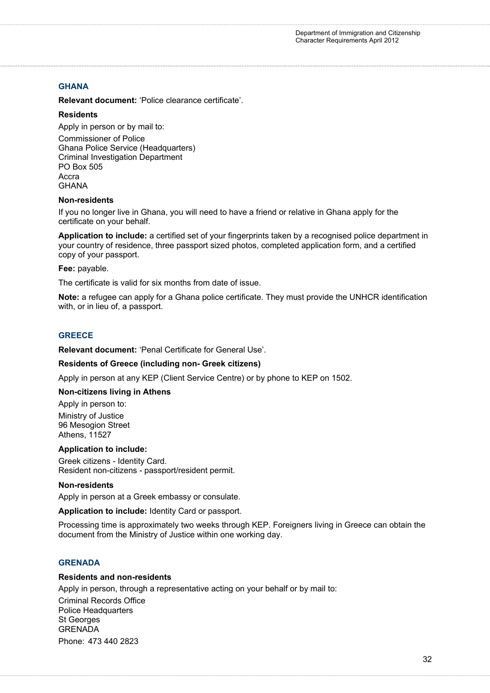# **GHANA**

**Relevant document:** 'Police clearance certificate'.

## **Residents**

Apply in person or by mail to: Commissioner of Police Ghana Police Service (Headquarters) Criminal Investigation Department PO Box 505 Accra **GHANA** 

## **Non-residents**

If you no longer live in Ghana, you will need to have a friend or relative in Ghana apply for the certificate on your behalf.

**Application to include:** a certified set of your fingerprints taken by a recognised police department in your country of residence, three passport sized photos, completed application form, and a certified copy of your passport.

### **Fee:** payable.

The certificate is valid for six months from date of issue.

**Note:** a refugee can apply for a Ghana police certificate. They must provide the UNHCR identification with, or in lieu of, a passport.

# **GREECE**

**Relevant document:** 'Penal Certificate for General Use'.

### **Residents of Greece (including non- Greek citizens)**

Apply in person at any KEP (Client Service Centre) or by phone to KEP on 1502.

## **Non-citizens living in Athens**

Apply in person to: Ministry of Justice

96 Mesogion Street Athens, 11527

## **Application to include:**

Greek citizens - Identity Card. Resident non-citizens - passport/resident permit.

### **Non-residents**

Apply in person at a Greek embassy or consulate.

**Application to include:** Identity Card or passport.

Processing time is approximately two weeks through KEP. Foreigners living in Greece can obtain the document from the Ministry of Justice within one working day.

## **GRENADA**

# **Residents and non-residents**

Apply in person, through a representative acting on your behalf or by mail to: Criminal Records Office Police Headquarters St Georges GRENADA Phone: 473 440 2823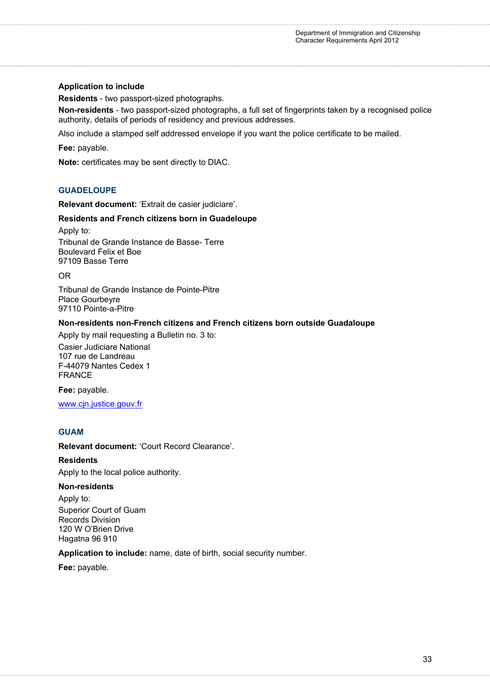# **Application to include**

**Residents** - two passport-sized photographs.

**Non-residents** - two passport-sized photographs, a full set of fingerprints taken by a recognised police authority, details of periods of residency and previous addresses.

Also include a stamped self addressed envelope if you want the police certificate to be mailed.

**Fee:** payable.

**Note:** certificates may be sent directly to DIAC.

# **GUADELOUPE**

**Relevant document:** 'Extrait de casier judiciare'.

### **Residents and French citizens born in Guadeloupe**

Apply to: Tribunal de Grande Instance de Basse- Terre Boulevard Felix et Boe 97109 Basse Terre

OR

Tribunal de Grande Instance de Pointe-Pitre Place Gourbeyre 97110 Pointe-a-Pitre

### **Non-residents non-French citizens and French citizens born outside Guadaloupe**

Apply by mail requesting a Bulletin no. 3 to:

Casier Judiciare National 107 rue de Landreau F-44079 Nantes Cedex 1 FRANCE

**Fee:** payable.

www.cjn.justice.gouv.fr

### **GUAM**

# **Relevant document:** 'Court Record Clearance'.

**Residents** 

Apply to the local police authority.

### **Non-residents**

Apply to: Superior Court of Guam Records Division 120 W O'Brien Drive Hagatna 96 910

**Application to include:** name, date of birth, social security number.

**Fee:** payable.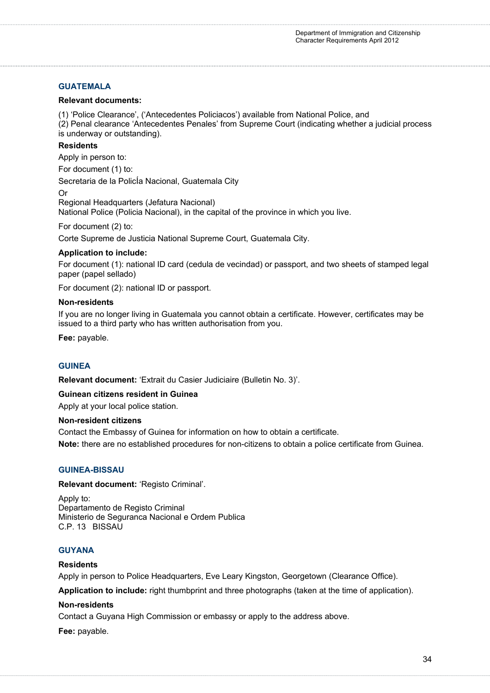# **GUATEMALA**

## **Relevant documents:**

(1) 'Police Clearance', ('Antecedentes Policiacos') available from National Police, and (2) Penal clearance 'Antecedentes Penales' from Supreme Court (indicating whether a judicial process is underway or outstanding).

## **Residents**

Apply in person to: For document (1) to: Secretaria de la PolicÍa Nacional, Guatemala City

Or

Regional Headquarters (Jefatura Nacional)

National Police (Policia Nacional), in the capital of the province in which you live.

### For document (2) to:

Corte Supreme de Justicia National Supreme Court, Guatemala City.

## **Application to include:**

For document (1): national ID card (cedula de vecindad) or passport, and two sheets of stamped legal paper (papel sellado)

For document (2): national ID or passport.

### **Non-residents**

If you are no longer living in Guatemala you cannot obtain a certificate. However, certificates may be issued to a third party who has written authorisation from you.

**Fee:** payable.

# **GUINEA**

**Relevant document:** 'Extrait du Casier Judiciaire (Bulletin No. 3)'.

### **Guinean citizens resident in Guinea**

Apply at your local police station.

### **Non-resident citizens**

Contact the Embassy of Guinea for information on how to obtain a certificate. **Note:** there are no established procedures for non-citizens to obtain a police certificate from Guinea.

### **GUINEA-BISSAU**

**Relevant document:** 'Registo Criminal'.

Apply to: Departamento de Registo Criminal Ministerio de Seguranca Nacional e Ordem Publica C.P. 13 BISSAU

# **GUYANA**

# **Residents**

Apply in person to Police Headquarters, Eve Leary Kingston, Georgetown (Clearance Office).

**Application to include:** right thumbprint and three photographs (taken at the time of application).

# **Non-residents**

Contact a Guyana High Commission or embassy or apply to the address above.

**Fee:** payable.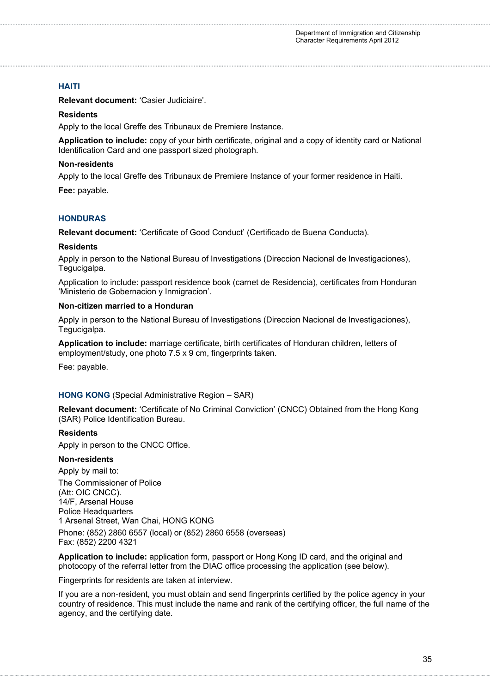# **HAITI**

**Relevant document:** 'Casier Judiciaire'.

## **Residents**

Apply to the local Greffe des Tribunaux de Premiere Instance.

**Application to include:** copy of your birth certificate, original and a copy of identity card or National Identification Card and one passport sized photograph.

### **Non-residents**

Apply to the local Greffe des Tribunaux de Premiere Instance of your former residence in Haiti.

**Fee:** payable.

### **HONDURAS**

**Relevant document:** 'Certificate of Good Conduct' (Certificado de Buena Conducta).

### **Residents**

Apply in person to the National Bureau of Investigations (Direccion Nacional de Investigaciones), Tegucigalpa.

Application to include: passport residence book (carnet de Residencia), certificates from Honduran 'Ministerio de Gobernacion y Inmigracion'.

### **Non-citizen married to a Honduran**

Apply in person to the National Bureau of Investigations (Direccion Nacional de Investigaciones), Tegucigalpa.

**Application to include:** marriage certificate, birth certificates of Honduran children, letters of employment/study, one photo 7.5 x 9 cm, fingerprints taken.

Fee: payable.

### **HONG KONG** (Special Administrative Region – SAR)

**Relevant document:** 'Certificate of No Criminal Conviction' (CNCC) Obtained from the Hong Kong (SAR) Police Identification Bureau.

### **Residents**

Apply in person to the CNCC Office.

# **Non-residents**

Apply by mail to: The Commissioner of Police (Att: OIC CNCC). 14/F, Arsenal House Police Headquarters 1 Arsenal Street, Wan Chai, HONG KONG Phone: (852) 2860 6557 (local) or (852) 2860 6558 (overseas) Fax: (852) 2200 4321

**Application to include:** application form, passport or Hong Kong ID card, and the original and photocopy of the referral letter from the DIAC office processing the application (see below).

Fingerprints for residents are taken at interview.

If you are a non-resident, you must obtain and send fingerprints certified by the police agency in your country of residence. This must include the name and rank of the certifying officer, the full name of the agency, and the certifying date.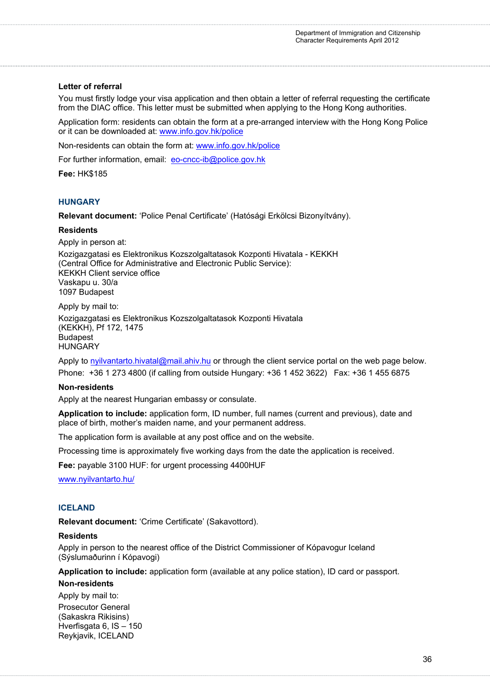## **Letter of referral**

You must firstly lodge your visa application and then obtain a letter of referral requesting the certificate from the DIAC office. This letter must be submitted when applying to the Hong Kong authorities.

Application form: residents can obtain the form at a pre-arranged interview with the Hong Kong Police or it can be downloaded at: www.info.gov.hk/police

Non-residents can obtain the form at: www.info.gov.hk/police

For further information, email: eo-cncc-ib@police.gov.hk

**Fee:** HK\$185

## **HUNGARY**

**Relevant document:** 'Police Penal Certificate' (Hatósági Erkölcsi Bizonyítvány).

#### **Residents**

Apply in person at: Kozigazgatasi es Elektronikus Kozszolgaltatasok Kozponti Hivatala - KEKKH (Central Office for Administrative and Electronic Public Service): KEKKH Client service office Vaskapu u. 30/a 1097 Budapest

Apply by mail to: Kozigazgatasi es Elektronikus Kozszolgaltatasok Kozponti Hivatala (KEKKH), Pf 172, 1475 Budapest **HUNGARY** 

Apply to nyilvantarto.hivatal@mail.ahiv.hu or through the client service portal on the web page below. Phone: +36 1 273 4800 (if calling from outside Hungary: +36 1 452 3622) Fax: +36 1 455 6875

#### **Non-residents**

Apply at the nearest Hungarian embassy or consulate.

**Application to include:** application form, ID number, full names (current and previous), date and place of birth, mother's maiden name, and your permanent address.

The application form is available at any post office and on the website.

Processing time is approximately five working days from the date the application is received.

**Fee:** payable 3100 HUF: for urgent processing 4400HUF

www.nyilvantarto.hu/

### **ICELAND**

**Relevant document:** 'Crime Certificate' (Sakavottord).

### **Residents**

Apply in person to the nearest office of the District Commissioner of Kópavogur Iceland (Sýslumaðurinn í Kópavogi)

**Application to include:** application form (available at any police station), ID card or passport.

#### **Non-residents**

Apply by mail to: Prosecutor General (Sakaskra Rikisins) Hverfisgata 6, IS – 150 Reykjavik, ICELAND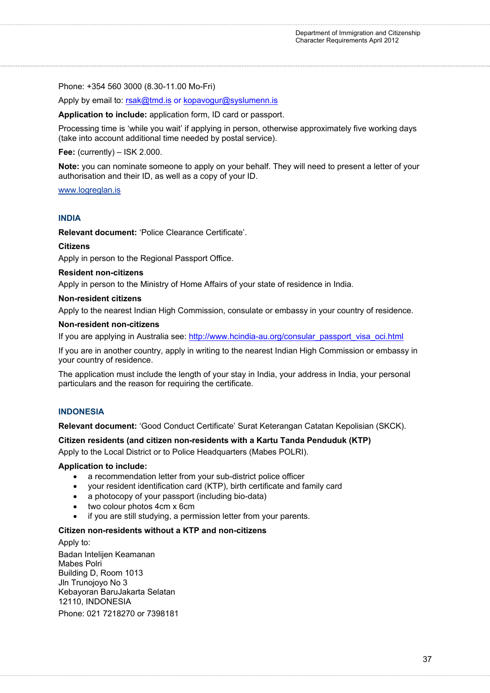Phone: +354 560 3000 (8.30-11.00 Mo-Fri)

Apply by email to: rsak@tmd.is or kopavogur@syslumenn.is

**Application to include:** application form, ID card or passport.

Processing time is 'while you wait' if applying in person, otherwise approximately five working days (take into account additional time needed by postal service).

**Fee:** (currently) – ISK 2.000.

**Note:** you can nominate someone to apply on your behalf. They will need to present a letter of your authorisation and their ID, as well as a copy of your ID.

www.logreglan.is

### **INDIA**

**Relevant document:** 'Police Clearance Certificate'.

#### **Citizens**

Apply in person to the Regional Passport Office.

#### **Resident non-citizens**

Apply in person to the Ministry of Home Affairs of your state of residence in India.

#### **Non-resident citizens**

Apply to the nearest Indian High Commission, consulate or embassy in your country of residence.

#### **Non-resident non-citizens**

If you are applying in Australia see: http://www.hcindia-au.org/consular\_passport\_visa\_oci.html

If you are in another country, apply in writing to the nearest Indian High Commission or embassy in your country of residence.

The application must include the length of your stay in India, your address in India, your personal particulars and the reason for requiring the certificate.

# **INDONESIA**

**Relevant document:** 'Good Conduct Certificate' Surat Keterangan Catatan Kepolisian (SKCK).

#### **Citizen residents (and citizen non-residents with a Kartu Tanda Penduduk (KTP)**

Apply to the Local District or to Police Headquarters (Mabes POLRI).

#### **Application to include:**

- a recommendation letter from your sub-district police officer
- your resident identification card (KTP), birth certificate and family card
- a photocopy of your passport (including bio-data)
- two colour photos 4cm x 6cm
- if you are still studying, a permission letter from your parents.

## **Citizen non-residents without a KTP and non-citizens**

Apply to: Badan Intelijen Keamanan Mabes Polri Building D, Room 1013 Jln Trunojoyo No 3 Kebayoran BaruJakarta Selatan 12110, INDONESIA Phone: 021 7218270 or 7398181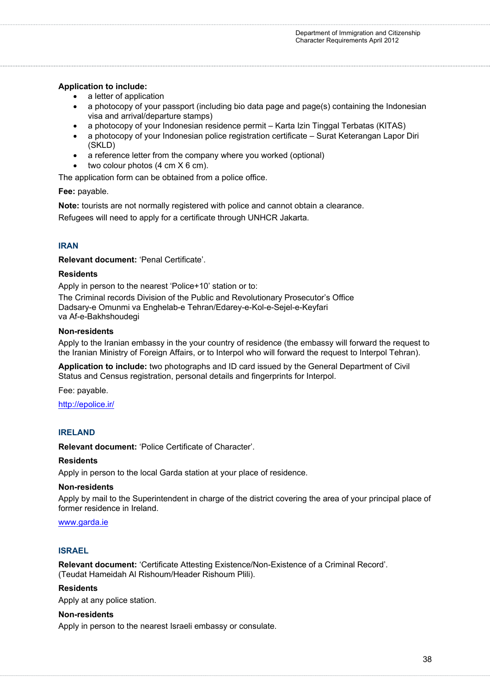# **Application to include:**

- a letter of application
- a photocopy of your passport (including bio data page and page(s) containing the Indonesian visa and arrival/departure stamps)
- a photocopy of your Indonesian residence permit Karta Izin Tinggal Terbatas (KITAS)
- a photocopy of your Indonesian police registration certificate Surat Keterangan Lapor Diri (SKLD)
- a reference letter from the company where you worked (optional)
- two colour photos (4 cm X 6 cm).

The application form can be obtained from a police office.

### **Fee:** payable.

**Note:** tourists are not normally registered with police and cannot obtain a clearance. Refugees will need to apply for a certificate through UNHCR Jakarta.

# **IRAN**

**Relevant document:** 'Penal Certificate'.

### **Residents**

Apply in person to the nearest 'Police+10' station or to:

The Criminal records Division of the Public and Revolutionary Prosecutor's Office Dadsary-e Omunmi va Enghelab-e Tehran/Edarey-e-Kol-e-Sejel-e-Keyfari va Af-e-Bakhshoudegi

## **Non-residents**

Apply to the Iranian embassy in the your country of residence (the embassy will forward the request to the Iranian Ministry of Foreign Affairs, or to Interpol who will forward the request to Interpol Tehran).

**Application to include:** two photographs and ID card issued by the General Department of Civil Status and Census registration, personal details and fingerprints for Interpol.

Fee: payable.

http://epolice.ir/

# **IRELAND**

**Relevant document:** 'Police Certificate of Character'.

### **Residents**

Apply in person to the local Garda station at your place of residence.

### **Non-residents**

Apply by mail to the Superintendent in charge of the district covering the area of your principal place of former residence in Ireland.

#### www.garda.ie

### **ISRAEL**

**Relevant document:** 'Certificate Attesting Existence/Non-Existence of a Criminal Record'. (Teudat Hameidah Al Rishoum/Header Rishoum Plili).

### **Residents**

Apply at any police station.

### **Non-residents**

Apply in person to the nearest Israeli embassy or consulate.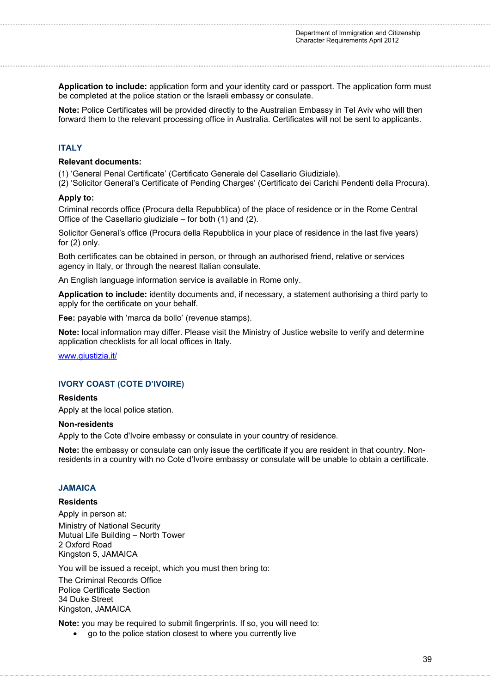**Application to include:** application form and your identity card or passport. The application form must be completed at the police station or the Israeli embassy or consulate.

**Note:** Police Certificates will be provided directly to the Australian Embassy in Tel Aviv who will then forward them to the relevant processing office in Australia. Certificates will not be sent to applicants.

# **ITALY**

### **Relevant documents:**

(1) 'General Penal Certificate' (Certificato Generale del Casellario Giudiziale).

(2) 'Solicitor General's Certificate of Pending Charges' (Certificato dei Carichi Pendenti della Procura).

### **Apply to:**

Criminal records office (Procura della Repubblica) of the place of residence or in the Rome Central Office of the Casellario giudiziale – for both (1) and (2).

Solicitor General's office (Procura della Repubblica in your place of residence in the last five years) for (2) only.

Both certificates can be obtained in person, or through an authorised friend, relative or services agency in Italy, or through the nearest Italian consulate.

An English language information service is available in Rome only.

**Application to include:** identity documents and, if necessary, a statement authorising a third party to apply for the certificate on your behalf.

**Fee:** payable with 'marca da bollo' (revenue stamps).

**Note:** local information may differ. Please visit the Ministry of Justice website to verify and determine application checklists for all local offices in Italy.

www.giustizia.it/

### **IVORY COAST (COTE D'IVOIRE)**

#### **Residents**

Apply at the local police station.

#### **Non-residents**

Apply to the Cote d'Ivoire embassy or consulate in your country of residence.

**Note:** the embassy or consulate can only issue the certificate if you are resident in that country. Nonresidents in a country with no Cote d'Ivoire embassy or consulate will be unable to obtain a certificate.

### **JAMAICA**

### **Residents**

Apply in person at: Ministry of National Security Mutual Life Building – North Tower 2 Oxford Road Kingston 5, JAMAICA

You will be issued a receipt, which you must then bring to: The Criminal Records Office Police Certificate Section 34 Duke Street Kingston, JAMAICA

**Note:** you may be required to submit fingerprints. If so, you will need to:

go to the police station closest to where you currently live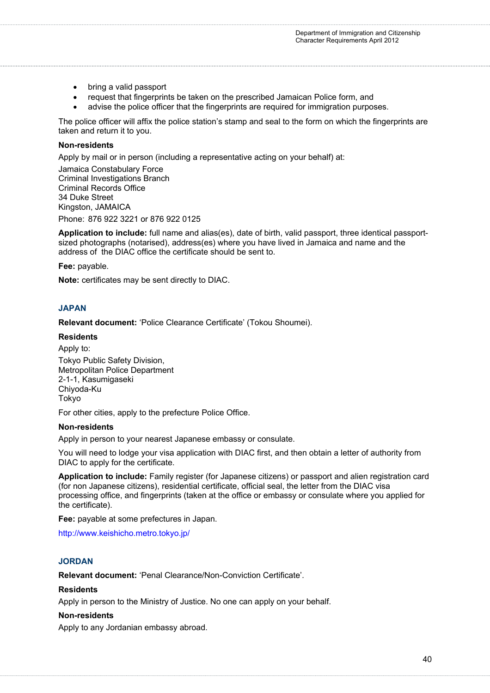- bring a valid passport
- request that fingerprints be taken on the prescribed Jamaican Police form, and
- advise the police officer that the fingerprints are required for immigration purposes.

The police officer will affix the police station's stamp and seal to the form on which the fingerprints are taken and return it to you.

## **Non-residents**

Apply by mail or in person (including a representative acting on your behalf) at:

Jamaica Constabulary Force Criminal Investigations Branch Criminal Records Office 34 Duke Street Kingston, JAMAICA Phone: 876 922 3221 or 876 922 0125

**Application to include:** full name and alias(es), date of birth, valid passport, three identical passportsized photographs (notarised), address(es) where you have lived in Jamaica and name and the address of the DIAC office the certificate should be sent to.

**Fee:** payable.

**Note:** certificates may be sent directly to DIAC.

### **JAPAN**

**Relevant document:** 'Police Clearance Certificate' (Tokou Shoumei).

### **Residents**

Apply to: Tokyo Public Safety Division, Metropolitan Police Department 2-1-1, Kasumigaseki Chiyoda-Ku Tokyo

For other cities, apply to the prefecture Police Office.

#### **Non-residents**

Apply in person to your nearest Japanese embassy or consulate.

You will need to lodge your visa application with DIAC first, and then obtain a letter of authority from DIAC to apply for the certificate.

**Application to include:** Family register (for Japanese citizens) or passport and alien registration card (for non Japanese citizens), residential certificate, official seal, the letter from the DIAC visa processing office, and fingerprints (taken at the office or embassy or consulate where you applied for the certificate).

**Fee:** payable at some prefectures in Japan.

http://www.keishicho.metro.tokyo.jp/

### **JORDAN**

**Relevant document:** 'Penal Clearance/Non-Conviction Certificate'.

### **Residents**

Apply in person to the Ministry of Justice. No one can apply on your behalf.

### **Non-residents**

Apply to any Jordanian embassy abroad.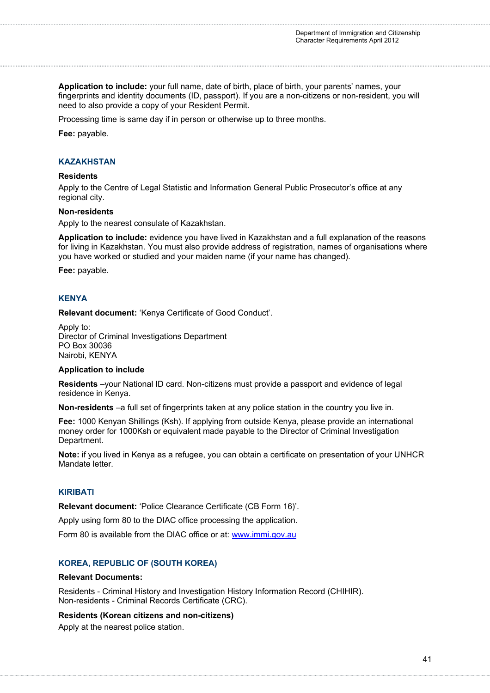**Application to include:** your full name, date of birth, place of birth, your parents' names, your fingerprints and identity documents (ID, passport). If you are a non-citizens or non-resident, you will need to also provide a copy of your Resident Permit.

Processing time is same day if in person or otherwise up to three months.

**Fee:** payable.

### **KAZAKHSTAN**

### **Residents**

Apply to the Centre of Legal Statistic and Information General Public Prosecutor's office at any regional city.

## **Non-residents**

Apply to the nearest consulate of Kazakhstan.

**Application to include:** evidence you have lived in Kazakhstan and a full explanation of the reasons for living in Kazakhstan. You must also provide address of registration, names of organisations where you have worked or studied and your maiden name (if your name has changed).

**Fee:** payable.

### **KENYA**

**Relevant document:** 'Kenya Certificate of Good Conduct'.

Apply to: Director of Criminal Investigations Department PO Box 30036 Nairobi, KENYA

#### **Application to include**

**Residents** –your National ID card. Non-citizens must provide a passport and evidence of legal residence in Kenya.

**Non-residents** –a full set of fingerprints taken at any police station in the country you live in.

**Fee:** 1000 Kenyan Shillings (Ksh). If applying from outside Kenya, please provide an international money order for 1000Ksh or equivalent made payable to the Director of Criminal Investigation Department.

**Note:** if you lived in Kenya as a refugee, you can obtain a certificate on presentation of your UNHCR Mandate letter.

## **KIRIBATI**

**Relevant document:** 'Police Clearance Certificate (CB Form 16)'.

Apply using form 80 to the DIAC office processing the application.

Form 80 is available from the DIAC office or at: www.immi.gov.au

# **KOREA, REPUBLIC OF (SOUTH KOREA)**

#### **Relevant Documents:**

Residents - Criminal History and Investigation History Information Record (CHIHIR). Non-residents - Criminal Records Certificate (CRC).

#### **Residents (Korean citizens and non-citizens)**

Apply at the nearest police station.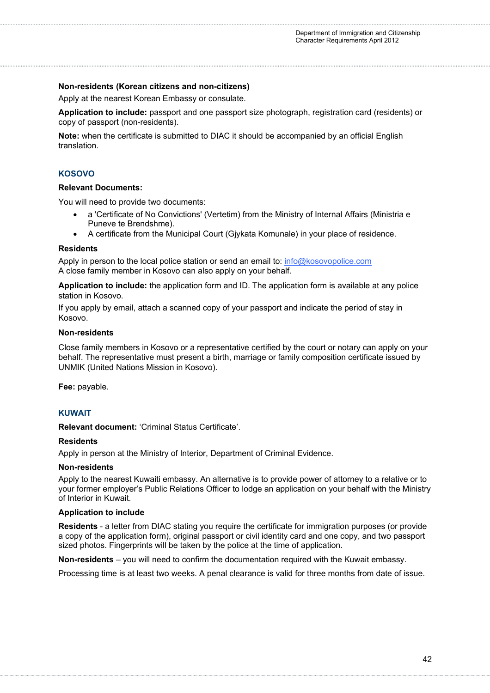## **Non-residents (Korean citizens and non-citizens)**

Apply at the nearest Korean Embassy or consulate.

**Application to include:** passport and one passport size photograph, registration card (residents) or copy of passport (non-residents).

**Note:** when the certificate is submitted to DIAC it should be accompanied by an official English translation.

## **KOSOVO**

### **Relevant Documents:**

You will need to provide two documents:

- a 'Certificate of No Convictions' (Vertetim) from the Ministry of Internal Affairs (Ministria e Puneve te Brendshme).
- A certificate from the Municipal Court (Gjykata Komunale) in your place of residence.

#### **Residents**

Apply in person to the local police station or send an email to: info@kosovopolice.com A close family member in Kosovo can also apply on your behalf.

**Application to include:** the application form and ID. The application form is available at any police station in Kosovo.

If you apply by email, attach a scanned copy of your passport and indicate the period of stay in Kosovo.

#### **Non-residents**

Close family members in Kosovo or a representative certified by the court or notary can apply on your behalf. The representative must present a birth, marriage or family composition certificate issued by UNMIK (United Nations Mission in Kosovo).

**Fee:** payable.

### **KUWAIT**

**Relevant document:** 'Criminal Status Certificate'.

#### **Residents**

Apply in person at the Ministry of Interior, Department of Criminal Evidence.

#### **Non-residents**

Apply to the nearest Kuwaiti embassy. An alternative is to provide power of attorney to a relative or to your former employer's Public Relations Officer to lodge an application on your behalf with the Ministry of Interior in Kuwait.

#### **Application to include**

**Residents** - a letter from DIAC stating you require the certificate for immigration purposes (or provide a copy of the application form), original passport or civil identity card and one copy, and two passport sized photos. Fingerprints will be taken by the police at the time of application.

**Non-residents** – you will need to confirm the documentation required with the Kuwait embassy.

Processing time is at least two weeks. A penal clearance is valid for three months from date of issue.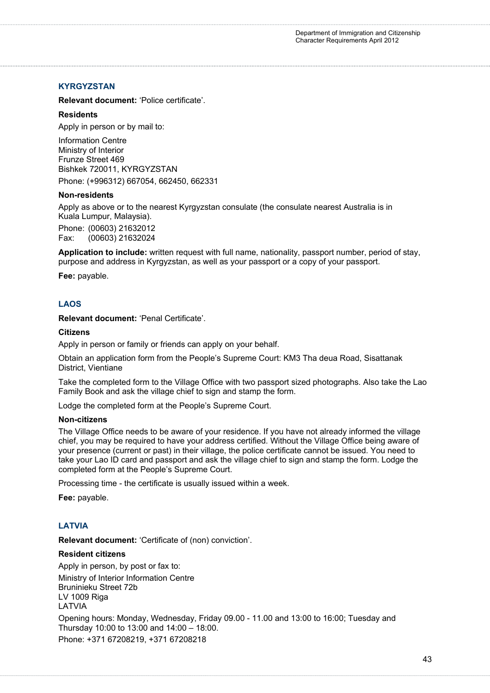# **KYRGYZSTAN**

**Relevant document:** 'Police certificate'.

## **Residents**

Apply in person or by mail to:

Information Centre Ministry of Interior Frunze Street 469 Bishkek 720011, KYRGYZSTAN Phone: (+996312) 667054, 662450, 662331

#### **Non-residents**

Apply as above or to the nearest Kyrgyzstan consulate (the consulate nearest Australia is in Kuala Lumpur, Malaysia). Phone: (00603) 21632012 Fax: (00603) 21632024

**Application to include:** written request with full name, nationality, passport number, period of stay, purpose and address in Kyrgyzstan, as well as your passport or a copy of your passport.

**Fee:** payable.

# **LAOS**

**Relevant document:** 'Penal Certificate'.

### **Citizens**

Apply in person or family or friends can apply on your behalf.

Obtain an application form from the People's Supreme Court: KM3 Tha deua Road, Sisattanak District, Vientiane

Take the completed form to the Village Office with two passport sized photographs. Also take the Lao Family Book and ask the village chief to sign and stamp the form.

Lodge the completed form at the People's Supreme Court.

#### **Non-citizens**

The Village Office needs to be aware of your residence. If you have not already informed the village chief, you may be required to have your address certified. Without the Village Office being aware of your presence (current or past) in their village, the police certificate cannot be issued. You need to take your Lao ID card and passport and ask the village chief to sign and stamp the form. Lodge the completed form at the People's Supreme Court.

Processing time - the certificate is usually issued within a week.

**Fee:** payable.

# **LATVIA**

**Relevant document:** 'Certificate of (non) conviction'.

### **Resident citizens**

Apply in person, by post or fax to: Ministry of Interior Information Centre Bruninieku Street 72b LV 1009 Riga LATVIA

Opening hours: Monday, Wednesday, Friday 09.00 - 11.00 and 13:00 to 16:00; Tuesday and Thursday 10:00 to 13:00 and 14:00 – 18:00. Phone: +371 67208219, +371 67208218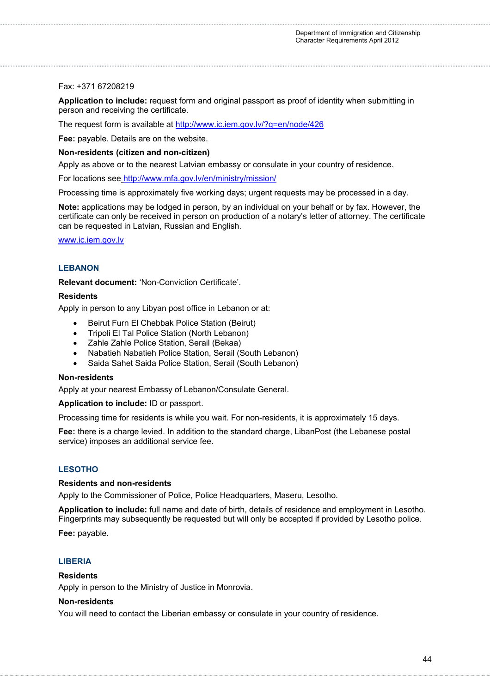## Fax: +371 67208219

**Application to include:** request form and original passport as proof of identity when submitting in person and receiving the certificate.

The request form is available at http://www.ic.iem.gov.lv/?q=en/node/426

**Fee:** payable. Details are on the website.

### **Non-residents (citizen and non-citizen)**

Apply as above or to the nearest Latvian embassy or consulate in your country of residence.

For locations see http://www.mfa.gov.lv/en/ministry/mission/

Processing time is approximately five working days; urgent requests may be processed in a day.

**Note:** applications may be lodged in person, by an individual on your behalf or by fax. However, the certificate can only be received in person on production of a notary's letter of attorney. The certificate can be requested in Latvian, Russian and English.

www.ic.iem.gov.lv

## **LEBANON**

**Relevant document:** 'Non-Conviction Certificate'.

### **Residents**

Apply in person to any Libyan post office in Lebanon or at:

- Beirut Furn El Chebbak Police Station (Beirut)
- Tripoli El Tal Police Station (North Lebanon)
- Zahle Zahle Police Station, Serail (Bekaa)
- Nabatieh Nabatieh Police Station, Serail (South Lebanon)
- Saida Sahet Saida Police Station, Serail (South Lebanon)

### **Non-residents**

Apply at your nearest Embassy of Lebanon/Consulate General.

### **Application to include:** ID or passport.

Processing time for residents is while you wait. For non-residents, it is approximately 15 days.

**Fee:** there is a charge levied. In addition to the standard charge, LibanPost (the Lebanese postal service) imposes an additional service fee.

### **LESOTHO**

### **Residents and non-residents**

Apply to the Commissioner of Police, Police Headquarters, Maseru, Lesotho.

**Application to include:** full name and date of birth, details of residence and employment in Lesotho. Fingerprints may subsequently be requested but will only be accepted if provided by Lesotho police.

**Fee:** payable.

## **LIBERIA**

### **Residents**

Apply in person to the Ministry of Justice in Monrovia.

### **Non-residents**

You will need to contact the Liberian embassy or consulate in your country of residence.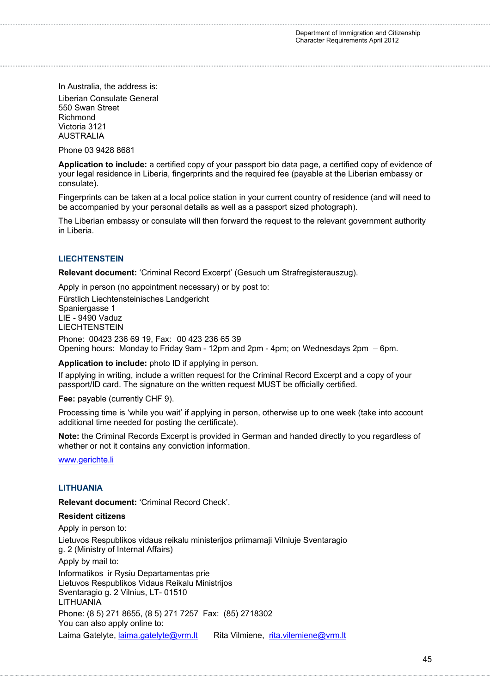In Australia, the address is: Liberian Consulate General 550 Swan Street Richmond Victoria 3121

Phone 03 9428 8681

AUSTRALIA

**Application to include:** a certified copy of your passport bio data page, a certified copy of evidence of your legal residence in Liberia, fingerprints and the required fee (payable at the Liberian embassy or consulate).

Fingerprints can be taken at a local police station in your current country of residence (and will need to be accompanied by your personal details as well as a passport sized photograph).

The Liberian embassy or consulate will then forward the request to the relevant government authority in Liberia.

## **LIECHTENSTEIN**

**Relevant document:** 'Criminal Record Excerpt' (Gesuch um Strafregisterauszug).

Apply in person (no appointment necessary) or by post to: Fürstlich Liechtensteinisches Landgericht Spaniergasse 1 LIE - 9490 Vaduz LIECHTENSTEIN Phone: 00423 236 69 19, Fax: 00 423 236 65 39

Opening hours: Monday to Friday 9am - 12pm and 2pm - 4pm; on Wednesdays 2pm – 6pm.

**Application to include:** photo ID if applying in person.

If applying in writing, include a written request for the Criminal Record Excerpt and a copy of your passport/ID card. The signature on the written request MUST be officially certified.

**Fee:** payable (currently CHF 9).

Processing time is 'while you wait' if applying in person, otherwise up to one week (take into account additional time needed for posting the certificate).

**Note:** the Criminal Records Excerpt is provided in German and handed directly to you regardless of whether or not it contains any conviction information.

www.gerichte.li

### **LITHUANIA**

**Relevant document:** 'Criminal Record Check'.

#### **Resident citizens**

Apply in person to: Lietuvos Respublikos vidaus reikalu ministerijos priimamaji Vilniuje Sventaragio g. 2 (Ministry of Internal Affairs) Apply by mail to: Informatikos ir Rysiu Departamentas prie Lietuvos Respublikos Vidaus Reikalu Ministrijos Sventaragio g. 2 Vilnius, LT- 01510 LITHUANIA Phone: (8 5) 271 8655, (8 5) 271 7257 Fax: (85) 2718302 You can also apply online to: Laima Gatelyte, laima.gatelyte@vrm.lt Rita Vilmiene, rita.vilemiene@vrm.lt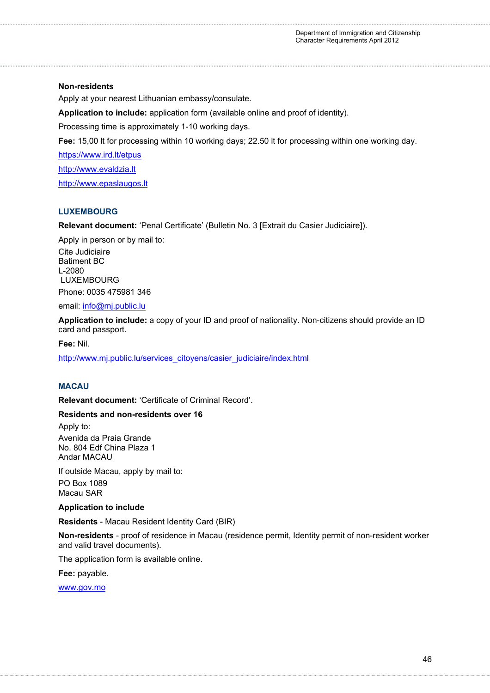Department of Immigration and Citizenship Character Requirements April 2012

# **Non-residents**

Apply at your nearest Lithuanian embassy/consulate.

**Application to include:** application form (available online and proof of identity).

Processing time is approximately 1-10 working days.

**Fee:** 15,00 lt for processing within 10 working days; 22.50 lt for processing within one working day.

https://www.ird.lt/etpus

http://www.evaldzia.lt

http://www.epaslaugos.lt

# **LUXEMBOURG**

**Relevant document:** 'Penal Certificate' (Bulletin No. 3 [Extrait du Casier Judiciaire]).

Apply in person or by mail to: Cite Judiciaire Batiment BC L-2080 LUXEMBOURG Phone: 0035 475981 346

email: info@mj.public.lu

**Application to include:** a copy of your ID and proof of nationality. Non-citizens should provide an ID card and passport.

**Fee:** Nil.

http://www.mj.public.lu/services\_citoyens/casier\_judiciaire/index.html

# **MACAU**

**Relevant document:** 'Certificate of Criminal Record'.

# **Residents and non-residents over 16**

Apply to: Avenida da Praia Grande No. 804 Edf China Plaza 1 Andar MACAU

If outside Macau, apply by mail to: PO Box 1089 Macau SAR

## **Application to include**

**Residents** - Macau Resident Identity Card (BIR)

**Non-residents** - proof of residence in Macau (residence permit, Identity permit of non-resident worker and valid travel documents).

The application form is available online.

**Fee:** payable.

www.gov.mo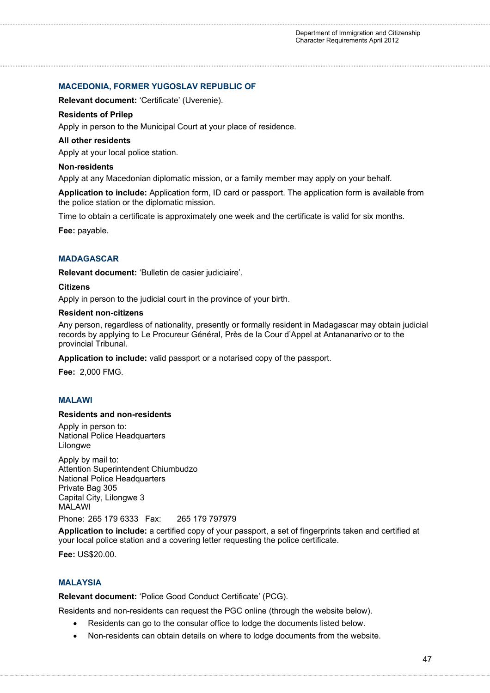# **MACEDONIA, FORMER YUGOSLAV REPUBLIC OF**

**Relevant document:** 'Certificate' (Uverenie).

# **Residents of Prilep**

Apply in person to the Municipal Court at your place of residence.

## **All other residents**

Apply at your local police station.

### **Non-residents**

Apply at any Macedonian diplomatic mission, or a family member may apply on your behalf.

**Application to include:** Application form, ID card or passport. The application form is available from the police station or the diplomatic mission.

Time to obtain a certificate is approximately one week and the certificate is valid for six months.

**Fee:** payable.

## **MADAGASCAR**

**Relevant document:** 'Bulletin de casier judiciaire'.

### **Citizens**

Apply in person to the judicial court in the province of your birth.

#### **Resident non-citizens**

Any person, regardless of nationality, presently or formally resident in Madagascar may obtain judicial records by applying to Le Procureur Général, Près de la Cour d'Appel at Antananarivo or to the provincial Tribunal.

**Application to include:** valid passport or a notarised copy of the passport.

**Fee:** 2,000 FMG.

## **MALAWI**

### **Residents and non-residents**

Apply in person to: National Police Headquarters Lilongwe

Apply by mail to: Attention Superintendent Chiumbudzo National Police Headquarters Private Bag 305 Capital City, Lilongwe 3 MALAWI

Phone: 265 179 6333 Fax: 265 179 797979

**Application to include:** a certified copy of your passport, a set of fingerprints taken and certified at your local police station and a covering letter requesting the police certificate.

**Fee:** US\$20.00.

## **MALAYSIA**

**Relevant document:** 'Police Good Conduct Certificate' (PCG).

Residents and non-residents can request the PGC online (through the website below).

- Residents can go to the consular office to lodge the documents listed below.
- Non-residents can obtain details on where to lodge documents from the website.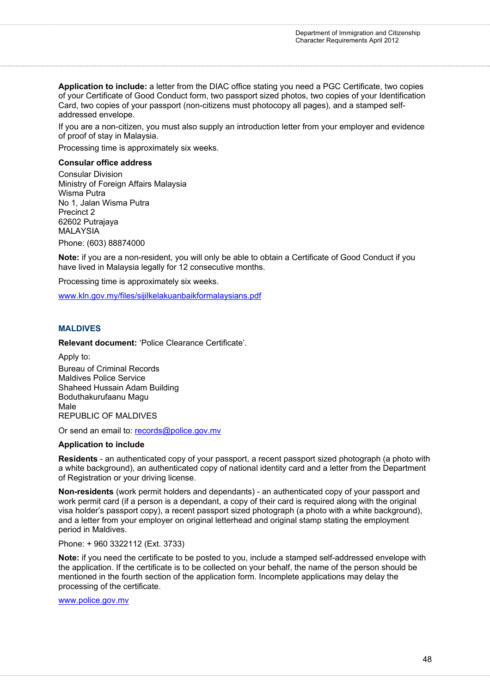**Application to include:** a letter from the DIAC office stating you need a PGC Certificate, two copies of your Certificate of Good Conduct form, two passport sized photos, two copies of your Identification Card, two copies of your passport (non-citizens must photocopy all pages), and a stamped selfaddressed envelope.

If you are a non-citizen, you must also supply an introduction letter from your employer and evidence of proof of stay in Malaysia.

Processing time is approximately six weeks.

### **Consular office address**

Consular Division Ministry of Foreign Affairs Malaysia Wisma Putra No 1, Jalan Wisma Putra Precinct 2 62602 Putrajaya MALAYSIA

Phone: (603) 88874000

**Note:** if you are a non-resident, you will only be able to obtain a Certificate of Good Conduct if you have lived in Malaysia legally for 12 consecutive months.

Processing time is approximately six weeks.

www.kln.gov.my/files/sijilkelakuanbaikformalaysians.pdf

# **MALDIVES**

**Relevant document:** 'Police Clearance Certificate'.

Apply to: Bureau of Criminal Records Maldives Police Service Shaheed Hussain Adam Building Boduthakurufaanu Magu Male REPUBLIC OF MALDIVES

Or send an email to: records@police.gov.mv

### **Application to include**

**Residents** - an authenticated copy of your passport, a recent passport sized photograph (a photo with a white background), an authenticated copy of national identity card and a letter from the Department of Registration or your driving license.

**Non-residents** (work permit holders and dependants) - an authenticated copy of your passport and work permit card (if a person is a dependant, a copy of their card is required along with the original visa holder's passport copy), a recent passport sized photograph (a photo with a white background), and a letter from your employer on original letterhead and original stamp stating the employment period in Maldives.

Phone: + 960 3322112 (Ext. 3733)

**Note:** if you need the certificate to be posted to you, include a stamped self-addressed envelope with the application. If the certificate is to be collected on your behalf, the name of the person should be mentioned in the fourth section of the application form. Incomplete applications may delay the processing of the certificate.

www.police.gov.mv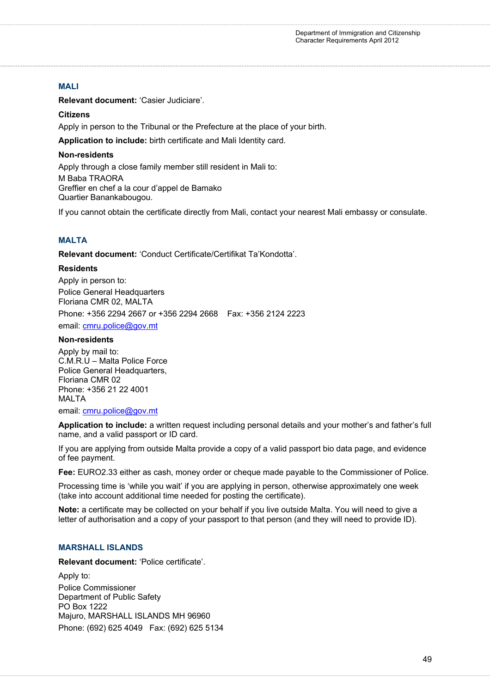# **MALI**

## **Relevant document:** 'Casier Judiciare'.

## **Citizens**

Apply in person to the Tribunal or the Prefecture at the place of your birth.

**Application to include:** birth certificate and Mali Identity card.

## **Non-residents**

Apply through a close family member still resident in Mali to: M Baba TRAORA Greffier en chef a la cour d'appel de Bamako Quartier Banankabougou.

If you cannot obtain the certificate directly from Mali, contact your nearest Mali embassy or consulate.

## **MALTA**

**Relevant document:** 'Conduct Certificate/Certifikat Ta'Kondotta'.

### **Residents**

Apply in person to: Police General Headquarters Floriana CMR 02, MALTA Phone: +356 2294 2667 or +356 2294 2668 Fax: +356 2124 2223 email: cmru.police@gov.mt

### **Non-residents**

Apply by mail to: C.M.R.U – Malta Police Force Police General Headquarters, Floriana CMR 02 Phone: +356 21 22 4001 MALTA

# email: cmru.police@gov.mt

**Application to include:** a written request including personal details and your mother's and father's full name, and a valid passport or ID card.

If you are applying from outside Malta provide a copy of a valid passport bio data page, and evidence of fee payment.

**Fee:** EURO2.33 either as cash, money order or cheque made payable to the Commissioner of Police.

Processing time is 'while you wait' if you are applying in person, otherwise approximately one week (take into account additional time needed for posting the certificate).

**Note:** a certificate may be collected on your behalf if you live outside Malta. You will need to give a letter of authorisation and a copy of your passport to that person (and they will need to provide ID).

### **MARSHALL ISLANDS**

**Relevant document:** 'Police certificate'.

Apply to: Police Commissioner Department of Public Safety PO Box 1222 Majuro, MARSHALL ISLANDS MH 96960 Phone: (692) 625 4049 Fax: (692) 625 5134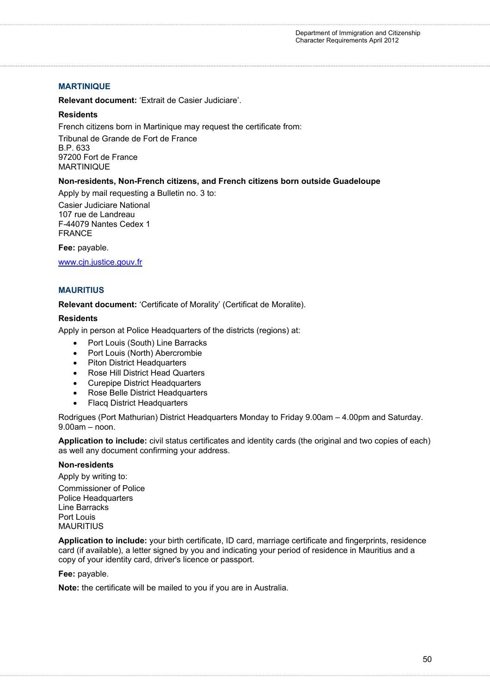# **MARTINIQUE**

**Relevant document:** 'Extrait de Casier Judiciare'.

### **Residents**

French citizens born in Martinique may request the certificate from: Tribunal de Grande de Fort de France B.P. 633 97200 Fort de France MARTINIQUE

# **Non-residents, Non-French citizens, and French citizens born outside Guadeloupe**

Apply by mail requesting a Bulletin no. 3 to: Casier Judiciare National 107 rue de Landreau F-44079 Nantes Cedex 1 FRANCE

**Fee:** payable.

www.cjn.justice.gouv.fr

#### **MAURITIUS**

**Relevant document:** 'Certificate of Morality' (Certificat de Moralite).

## **Residents**

Apply in person at Police Headquarters of the districts (regions) at:

- Port Louis (South) Line Barracks
- Port Louis (North) Abercrombie
- **Piton District Headquarters**
- Rose Hill District Head Quarters
- Curepipe District Headquarters
- Rose Belle District Headquarters
- Flacq District Headquarters

Rodrigues (Port Mathurian) District Headquarters Monday to Friday 9.00am – 4.00pm and Saturday. 9.00am – noon.

**Application to include:** civil status certificates and identity cards (the original and two copies of each) as well any document confirming your address.

### **Non-residents**

Apply by writing to: Commissioner of Police Police Headquarters Line Barracks Port Louis **MAURITIUS** 

**Application to include:** your birth certificate, ID card, marriage certificate and fingerprints, residence card (if available), a letter signed by you and indicating your period of residence in Mauritius and a copy of your identity card, driver's licence or passport.

**Fee:** payable.

**Note:** the certificate will be mailed to you if you are in Australia.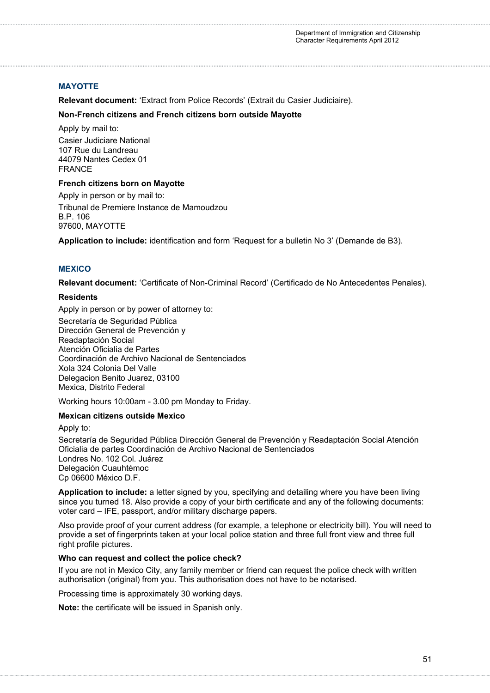# **MAYOTTE**

**Relevant document:** 'Extract from Police Records' (Extrait du Casier Judiciaire).

## **Non-French citizens and French citizens born outside Mayotte**

Apply by mail to: Casier Judiciare National 107 Rue du Landreau 44079 Nantes Cedex 01 FRANCE

## **French citizens born on Mayotte**

Apply in person or by mail to: Tribunal de Premiere Instance de Mamoudzou B.P. 106 97600, MAYOTTE

**Application to include:** identification and form 'Request for a bulletin No 3' (Demande de B3).

## **MEXICO**

**Relevant document:** 'Certificate of Non-Criminal Record' (Certificado de No Antecedentes Penales).

### **Residents**

Apply in person or by power of attorney to: Secretaría de Seguridad Pública Dirección General de Prevención y Readaptación Social Atención Oficialia de Partes Coordinación de Archivo Nacional de Sentenciados Xola 324 Colonia Del Valle Delegacion Benito Juarez, 03100 Mexica, Distrito Federal

Working hours 10:00am - 3.00 pm Monday to Friday.

# **Mexican citizens outside Mexico**

Apply to:

Secretaría de Seguridad Pública Dirección General de Prevención y Readaptación Social Atención Oficialia de partes Coordinación de Archivo Nacional de Sentenciados Londres No. 102 Col. Juárez Delegación Cuauhtémoc Cp 06600 México D.F.

**Application to include:** a letter signed by you, specifying and detailing where you have been living since you turned 18. Also provide a copy of your birth certificate and any of the following documents: voter card – IFE, passport, and/or military discharge papers.

Also provide proof of your current address (for example, a telephone or electricity bill). You will need to provide a set of fingerprints taken at your local police station and three full front view and three full right profile pictures.

### **Who can request and collect the police check?**

If you are not in Mexico City, any family member or friend can request the police check with written authorisation (original) from you. This authorisation does not have to be notarised.

Processing time is approximately 30 working days.

**Note:** the certificate will be issued in Spanish only.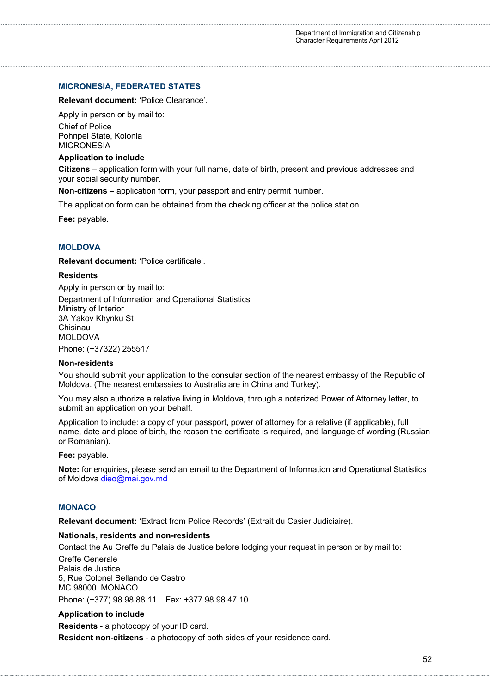# **MICRONESIA, FEDERATED STATES**

#### **Relevant document:** 'Police Clearance'.

Apply in person or by mail to:

Chief of Police Pohnpei State, Kolonia **MICRONESIA** 

## **Application to include**

**Citizens** – application form with your full name, date of birth, present and previous addresses and your social security number.

**Non-citizens** – application form, your passport and entry permit number.

The application form can be obtained from the checking officer at the police station.

**Fee:** payable.

### **MOLDOVA**

**Relevant document:** 'Police certificate'.

### **Residents**

Apply in person or by mail to: Department of Information and Operational Statistics Ministry of Interior 3A Yakov Khynku St Chisinau MOLDOVA Phone: (+37322) 255517

#### **Non-residents**

You should submit your application to the consular section of the nearest embassy of the Republic of Moldova. (The nearest embassies to Australia are in China and Turkey).

You may also authorize a relative living in Moldova, through a notarized Power of Attorney letter, to submit an application on your behalf.

Application to include: a copy of your passport, power of attorney for a relative (if applicable), full name, date and place of birth, the reason the certificate is required, and language of wording (Russian or Romanian).

#### **Fee:** payable.

**Note:** for enquiries, please send an email to the Department of Information and Operational Statistics of Moldova dieo@mai.gov.md

### **MONACO**

**Relevant document:** 'Extract from Police Records' (Extrait du Casier Judiciaire).

#### **Nationals, residents and non-residents**

Contact the Au Greffe du Palais de Justice before lodging your request in person or by mail to:

Greffe Generale Palais de Justice 5, Rue Colonel Bellando de Castro MC 98000 MONACO Phone: (+377) 98 98 88 11 Fax: +377 98 98 47 10

### **Application to include**

**Residents** - a photocopy of your ID card.

**Resident non-citizens** - a photocopy of both sides of your residence card.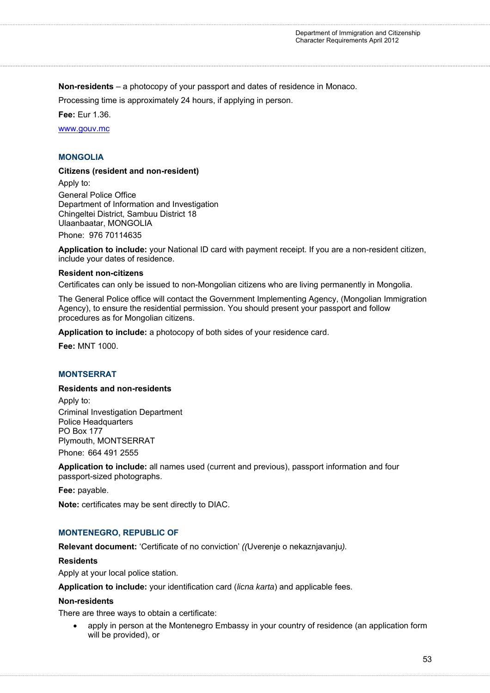**Non-residents** – a photocopy of your passport and dates of residence in Monaco.

Processing time is approximately 24 hours, if applying in person.

**Fee:** Eur 1.36.

www.gouv.mc

# **MONGOLIA**

### **Citizens (resident and non-resident)**

Apply to: General Police Office Department of Information and Investigation Chingeltei District, Sambuu District 18 Ulaanbaatar, MONGOLIA Phone: 976 70114635

**Application to include:** your National ID card with payment receipt. If you are a non-resident citizen, include your dates of residence.

#### **Resident non-citizens**

Certificates can only be issued to non-Mongolian citizens who are living permanently in Mongolia.

The General Police office will contact the Government Implementing Agency, (Mongolian Immigration Agency), to ensure the residential permission. You should present your passport and follow procedures as for Mongolian citizens.

**Application to include:** a photocopy of both sides of your residence card.

**Fee:** MNT 1000.

# **MONTSERRAT**

### **Residents and non-residents**

Apply to: Criminal Investigation Department Police Headquarters PO Box 177 Plymouth, MONTSERRAT Phone: 664 491 2555

**Application to include:** all names used (current and previous), passport information and four passport-sized photographs.

**Fee:** payable.

**Note:** certificates may be sent directly to DIAC.

### **MONTENEGRO, REPUBLIC OF**

**Relevant document:** 'Certificate of no conviction' *((*Uverenje o nekaznjavanju*).*

### **Residents**

Apply at your local police station.

**Application to include:** your identification card (*licna karta*) and applicable fees.

### **Non-residents**

There are three ways to obtain a certificate:

 apply in person at the Montenegro Embassy in your country of residence (an application form will be provided), or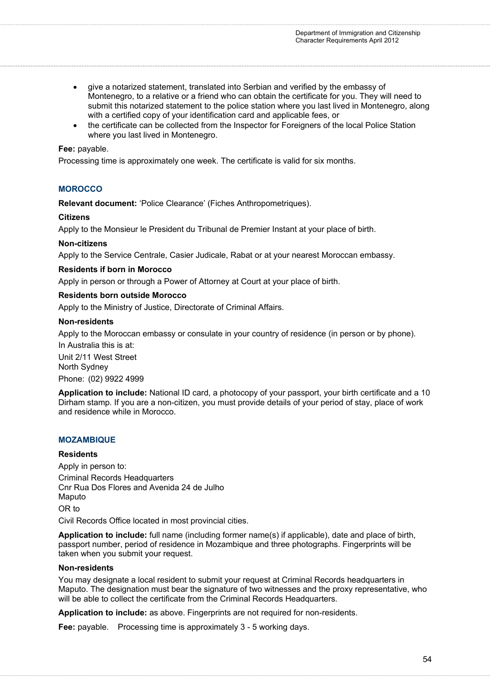- give a notarized statement, translated into Serbian and verified by the embassy of Montenegro, to a relative or a friend who can obtain the certificate for you. They will need to submit this notarized statement to the police station where you last lived in Montenegro, along with a certified copy of your identification card and applicable fees, or
- the certificate can be collected from the Inspector for Foreigners of the local Police Station where you last lived in Montenegro.

## **Fee:** payable.

Processing time is approximately one week. The certificate is valid for six months.

# **MOROCCO**

**Relevant document:** 'Police Clearance' (Fiches Anthropometriques).

### **Citizens**

Apply to the Monsieur le President du Tribunal de Premier Instant at your place of birth.

### **Non-citizens**

Apply to the Service Centrale, Casier Judicale, Rabat or at your nearest Moroccan embassy.

### **Residents if born in Morocco**

Apply in person or through a Power of Attorney at Court at your place of birth.

## **Residents born outside Morocco**

Apply to the Ministry of Justice, Directorate of Criminal Affairs.

### **Non-residents**

Apply to the Moroccan embassy or consulate in your country of residence (in person or by phone).

In Australia this is at: Unit 2/11 West Street North Sydney

Phone: (02) 9922 4999

**Application to include:** National ID card, a photocopy of your passport, your birth certificate and a 10 Dirham stamp. If you are a non-citizen, you must provide details of your period of stay, place of work and residence while in Morocco.

## **MOZAMBIQUE**

#### **Residents**

Apply in person to: Criminal Records Headquarters Cnr Rua Dos Flores and Avenida 24 de Julho Maputo OR to

Civil Records Office located in most provincial cities.

**Application to include:** full name (including former name(s) if applicable), date and place of birth, passport number, period of residence in Mozambique and three photographs. Fingerprints will be taken when you submit your request.

#### **Non-residents**

You may designate a local resident to submit your request at Criminal Records headquarters in Maputo. The designation must bear the signature of two witnesses and the proxy representative, who will be able to collect the certificate from the Criminal Records Headquarters.

**Application to include:** as above. Fingerprints are not required for non-residents.

**Fee:** payable. Processing time is approximately 3 - 5 working days.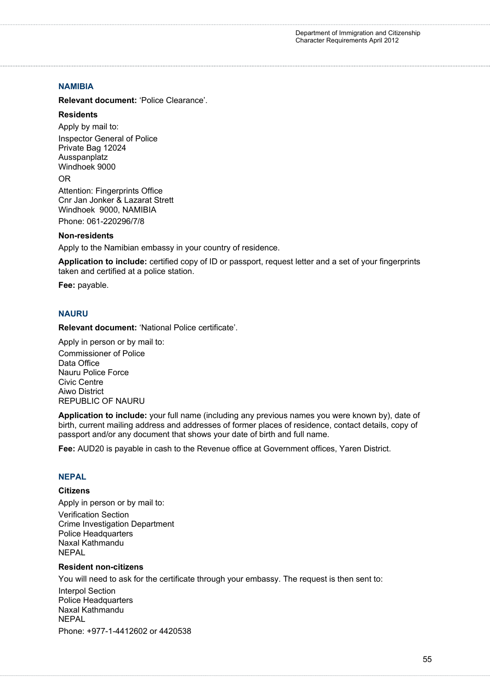# **NAMIBIA**

#### **Relevant document:** 'Police Clearance'.

### **Residents**

Apply by mail to: Inspector General of Police Private Bag 12024 Ausspanplatz Windhoek 9000 O<sub>D</sub>

Attention: Fingerprints Office Cnr Jan Jonker & Lazarat Strett Windhoek 9000, NAMIBIA Phone: 061-220296/7/8

#### **Non-residents**

Apply to the Namibian embassy in your country of residence.

**Application to include:** certified copy of ID or passport, request letter and a set of your fingerprints taken and certified at a police station.

**Fee:** payable.

### **NAURU**

**Relevant document:** 'National Police certificate'.

Apply in person or by mail to: Commissioner of Police Data Office Nauru Police Force Civic Centre Aiwo District REPUBLIC OF NAURU

**Application to include:** your full name (including any previous names you were known by), date of birth, current mailing address and addresses of former places of residence, contact details, copy of passport and/or any document that shows your date of birth and full name.

**Fee:** AUD20 is payable in cash to the Revenue office at Government offices, Yaren District.

### **NEPAL**

# **Citizens**

Apply in person or by mail to:

Verification Section Crime Investigation Department Police Headquarters Naxal Kathmandu NEPAL

#### **Resident non-citizens**

You will need to ask for the certificate through your embassy. The request is then sent to: Interpol Section Police Headquarters Naxal Kathmandu **NFPAL** Phone: +977-1-4412602 or 4420538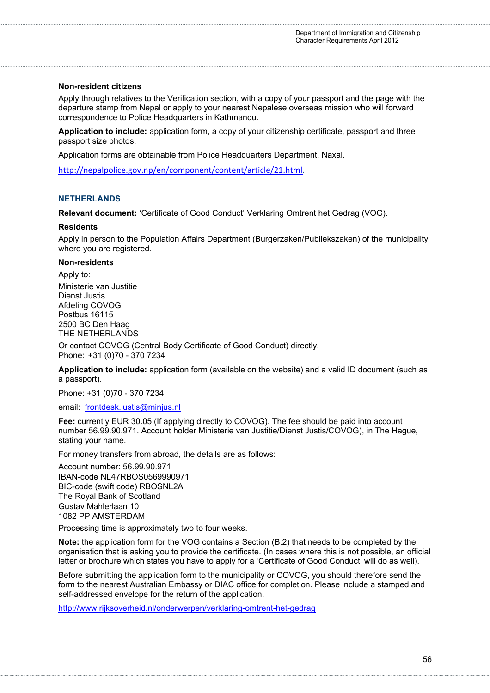## **Non-resident citizens**

Apply through relatives to the Verification section, with a copy of your passport and the page with the departure stamp from Nepal or apply to your nearest Nepalese overseas mission who will forward correspondence to Police Headquarters in Kathmandu.

**Application to include:** application form, a copy of your citizenship certificate, passport and three passport size photos.

Application forms are obtainable from Police Headquarters Department, Naxal.

http://nepalpolice.gov.np/en/component/content/article/21.html.

## **NETHERLANDS**

**Relevant document:** 'Certificate of Good Conduct' Verklaring Omtrent het Gedrag (VOG).

#### **Residents**

Apply in person to the Population Affairs Department (Burgerzaken/Publiekszaken) of the municipality where you are registered.

#### **Non-residents**

Apply to: Ministerie van Justitie Dienst Justis Afdeling COVOG Postbus 16115 2500 BC Den Haag THE NETHERLANDS

Or contact COVOG (Central Body Certificate of Good Conduct) directly. Phone: +31 (0)70 - 370 7234

**Application to include:** application form (available on the website) and a valid ID document (such as a passport).

Phone: +31 (0)70 - 370 7234

email: frontdesk.justis@minjus.nl

**Fee:** currently EUR 30.05 (If applying directly to COVOG). The fee should be paid into account number 56.99.90.971. Account holder Ministerie van Justitie/Dienst Justis/COVOG), in The Hague, stating your name.

For money transfers from abroad, the details are as follows:

Account number: 56.99.90.971 IBAN-code NL47RBOS0569990971 BIC-code (swift code) RBOSNL2A The Royal Bank of Scotland Gustav Mahlerlaan 10 1082 PP AMSTERDAM

Processing time is approximately two to four weeks.

**Note:** the application form for the VOG contains a Section (B.2) that needs to be completed by the organisation that is asking you to provide the certificate. (In cases where this is not possible, an official letter or brochure which states you have to apply for a 'Certificate of Good Conduct' will do as well).

Before submitting the application form to the municipality or COVOG, you should therefore send the form to the nearest Australian Embassy or DIAC office for completion. Please include a stamped and self-addressed envelope for the return of the application.

http://www.rijksoverheid.nl/onderwerpen/verklaring-omtrent-het-gedrag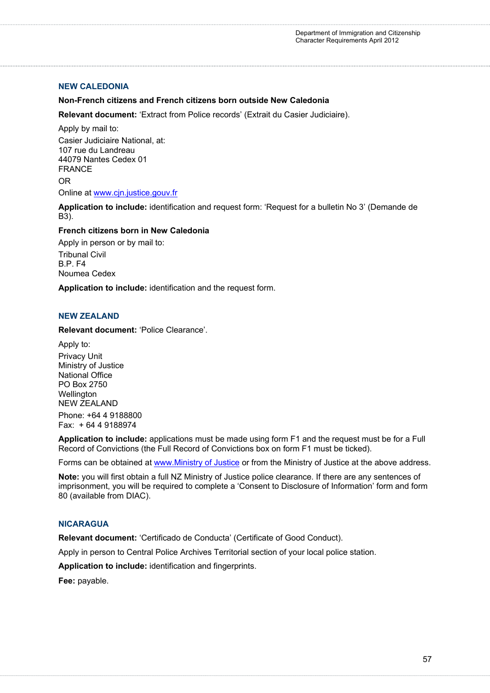Department of Immigration and Citizenship Character Requirements April 2012

# **NEW CALEDONIA**

# **Non-French citizens and French citizens born outside New Caledonia**

**Relevant document:** 'Extract from Police records' (Extrait du Casier Judiciaire).

Apply by mail to: Casier Judiciaire National, at: 107 rue du Landreau 44079 Nantes Cedex 01 FRANCE OR Online at www.cjn.justice.gouv.fr

**Application to include:** identification and request form: 'Request for a bulletin No 3' (Demande de B3).

#### **French citizens born in New Caledonia**

Apply in person or by mail to: Tribunal Civil B.P. F4 Noumea Cedex

**Application to include:** identification and the request form.

### **NEW ZEALAND**

**Relevant document:** 'Police Clearance'.

Apply to: Privacy Unit Ministry of Justice National Office PO Box 2750 **Wellington** NEW ZEALAND Phone: +64 4 9188800 Fax: + 64 4 9188974

**Application to include:** applications must be made using form F1 and the request must be for a Full Record of Convictions (the Full Record of Convictions box on form F1 must be ticked).

Forms can be obtained at www.Ministry of Justice or from the Ministry of Justice at the above address.

**Note:** you will first obtain a full NZ Ministry of Justice police clearance. If there are any sentences of imprisonment, you will be required to complete a 'Consent to Disclosure of Information' form and form 80 (available from DIAC).

## **NICARAGUA**

**Relevant document:** 'Certificado de Conducta' (Certificate of Good Conduct).

Apply in person to Central Police Archives Territorial section of your local police station.

**Application to include:** identification and fingerprints.

**Fee:** payable.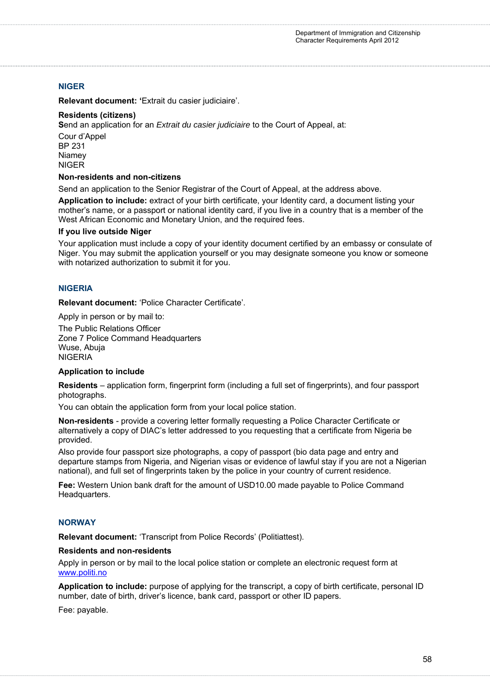# **NIGER**

**Relevant document: '**Extrait du casier judiciaire'.

## **Residents (citizens)**

**S**end an application for an *Extrait du casier judiciaire* to the Court of Appeal, at:

Cour d'Appel BP 231 Niamey NIGER

# **Non-residents and non-citizens**

Send an application to the Senior Registrar of the Court of Appeal, at the address above.

**Application to include:** extract of your birth certificate, your Identity card, a document listing your mother's name, or a passport or national identity card, if you live in a country that is a member of the West African Economic and Monetary Union, and the required fees.

## **If you live outside Niger**

Your application must include a copy of your identity document certified by an embassy or consulate of Niger. You may submit the application yourself or you may designate someone you know or someone with notarized authorization to submit it for you.

# **NIGERIA**

**Relevant document:** 'Police Character Certificate'.

Apply in person or by mail to: The Public Relations Officer Zone 7 Police Command Headquarters Wuse, Abuja NIGERIA

# **Application to include**

**Residents** – application form, fingerprint form (including a full set of fingerprints), and four passport photographs.

You can obtain the application form from your local police station.

**Non-residents** - provide a covering letter formally requesting a Police Character Certificate or alternatively a copy of DIAC's letter addressed to you requesting that a certificate from Nigeria be provided.

Also provide four passport size photographs, a copy of passport (bio data page and entry and departure stamps from Nigeria, and Nigerian visas or evidence of lawful stay if you are not a Nigerian national), and full set of fingerprints taken by the police in your country of current residence.

**Fee:** Western Union bank draft for the amount of USD10.00 made payable to Police Command Headquarters.

# **NORWAY**

**Relevant document:** 'Transcript from Police Records' (Politiattest).

### **Residents and non-residents**

Apply in person or by mail to the local police station or complete an electronic request form at www.politi.no

**Application to include:** purpose of applying for the transcript, a copy of birth certificate, personal ID number, date of birth, driver's licence, bank card, passport or other ID papers.

Fee: payable.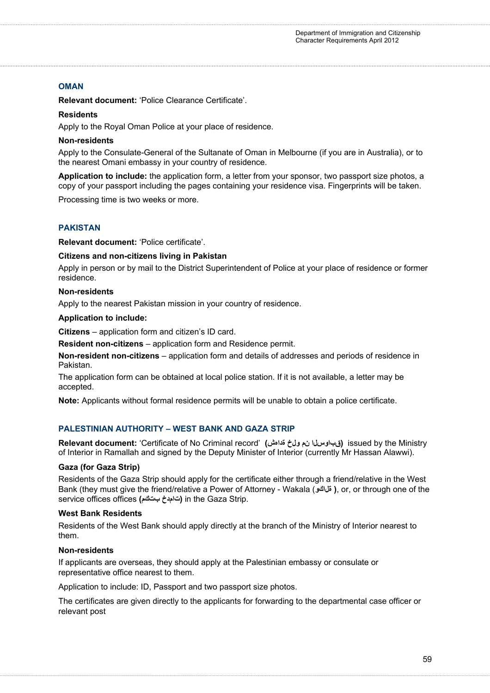# **OMAN**

**Relevant document:** 'Police Clearance Certificate'.

## **Residents**

Apply to the Royal Oman Police at your place of residence.

## **Non-residents**

Apply to the Consulate-General of the Sultanate of Oman in Melbourne (if you are in Australia), or to the nearest Omani embassy in your country of residence.

**Application to include:** the application form, a letter from your sponsor, two passport size photos, a copy of your passport including the pages containing your residence visa. Fingerprints will be taken.

Processing time is two weeks or more.

# **PAKISTAN**

**Relevant document:** 'Police certificate'.

### **Citizens and non-citizens living in Pakistan**

Apply in person or by mail to the District Superintendent of Police at your place of residence or former residence.

### **Non-residents**

Apply to the nearest Pakistan mission in your country of residence.

### **Application to include:**

**Citizens** – application form and citizen's ID card.

**Resident non-citizens** – application form and Residence permit.

**Non-resident non-citizens** – application form and details of addresses and periods of residence in Pakistan.

The application form can be obtained at local police station. If it is not available, a letter may be accepted.

**Note:** Applicants without formal residence permits will be unable to obtain a police certificate.

# **PALESTINIAN AUTHORITY – WEST BANK AND GAZA STRIP**

**Relevant document:** 'Certificate of No Criminal record' **(ةداهش ولخ نم قباوسلا (**issued by the Ministry of Interior in Ramallah and signed by the Deputy Minister of Interior (currently Mr Hassan Alawwi).

### **Gaza (for Gaza Strip)**

Residents of the Gaza Strip should apply for the certificate either through a friend/relative in the West Bank (they must give the friend/relative a Power of Attorney - Wakala (**ةلاكو(** , or, or through one of the service offices offices **(بتكم تامدخ (**in the Gaza Strip.

### **West Bank Residents**

Residents of the West Bank should apply directly at the branch of the Ministry of Interior nearest to them.

### **Non-residents**

If applicants are overseas, they should apply at the Palestinian embassy or consulate or representative office nearest to them.

Application to include: ID, Passport and two passport size photos.

The certificates are given directly to the applicants for forwarding to the departmental case officer or relevant post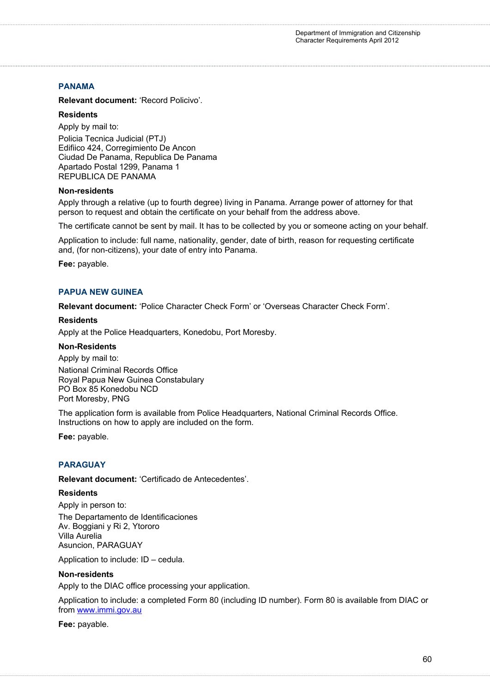# **PANAMA**

**Relevant document:** 'Record Policivo'.

## **Residents**

Apply by mail to: Policia Tecnica Judicial (PTJ) Edifiico 424, Corregimiento De Ancon Ciudad De Panama, Republica De Panama Apartado Postal 1299, Panama 1 REPUBLICA DE PANAMA

### **Non-residents**

Apply through a relative (up to fourth degree) living in Panama. Arrange power of attorney for that person to request and obtain the certificate on your behalf from the address above.

The certificate cannot be sent by mail. It has to be collected by you or someone acting on your behalf.

Application to include: full name, nationality, gender, date of birth, reason for requesting certificate and, (for non-citizens), your date of entry into Panama.

**Fee:** payable.

## **PAPUA NEW GUINEA**

**Relevant document:** 'Police Character Check Form' or 'Overseas Character Check Form'.

#### **Residents**

Apply at the Police Headquarters, Konedobu, Port Moresby.

### **Non-Residents**

Apply by mail to:

National Criminal Records Office Royal Papua New Guinea Constabulary PO Box 85 Konedobu NCD Port Moresby, PNG

The application form is available from Police Headquarters, National Criminal Records Office. Instructions on how to apply are included on the form.

**Fee:** payable.

## **PARAGUAY**

**Relevant document:** 'Certificado de Antecedentes'.

### **Residents**

Apply in person to: The Departamento de Identificaciones Av. Boggiani y Ri 2, Ytororo Villa Aurelia Asuncion, PARAGUAY

Application to include: ID – cedula.

### **Non-residents**

Apply to the DIAC office processing your application.

Application to include: a completed Form 80 (including ID number). Form 80 is available from DIAC or from www.immi.gov.au

**Fee:** payable.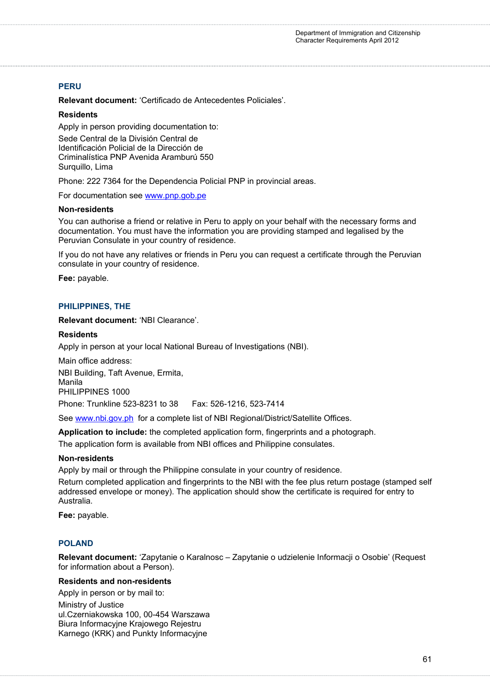# **PERU**

**Relevant document:** 'Certificado de Antecedentes Policiales'.

## **Residents**

Apply in person providing documentation to:

Sede Central de la División Central de Identificación Policial de la Dirección de Criminalística PNP Avenida Aramburú 550 Surquillo, Lima

Phone: 222 7364 for the Dependencia Policial PNP in provincial areas.

For documentation see www.pnp.gob.pe

### **Non-residents**

You can authorise a friend or relative in Peru to apply on your behalf with the necessary forms and documentation. You must have the information you are providing stamped and legalised by the Peruvian Consulate in your country of residence.

If you do not have any relatives or friends in Peru you can request a certificate through the Peruvian consulate in your country of residence.

**Fee:** payable.

### **PHILIPPINES, THE**

**Relevant document:** 'NBI Clearance'.

#### **Residents**

Apply in person at your local National Bureau of Investigations (NBI).

Main office address: NBI Building, Taft Avenue, Ermita, Manila PHILIPPINES 1000

Phone: Trunkline 523-8231 to 38 Fax: 526-1216, 523-7414

See www.nbi.gov.ph for a complete list of NBI Regional/District/Satellite Offices.

**Application to include:** the completed application form, fingerprints and a photograph. The application form is available from NBI offices and Philippine consulates.

### **Non-residents**

Apply by mail or through the Philippine consulate in your country of residence.

Return completed application and fingerprints to the NBI with the fee plus return postage (stamped self addressed envelope or money). The application should show the certificate is required for entry to Australia.

**Fee:** payable.

### **POLAND**

**Relevant document:** 'Zapytanie o Karalnosc – Zapytanie o udzielenie Informacji o Osobie' (Request for information about a Person).

## **Residents and non-residents**

Apply in person or by mail to: Ministry of Justice ul.Czerniakowska 100, 00-454 Warszawa Biura Informacyjne Krajowego Rejestru Karnego (KRK) and Punkty Informacyjne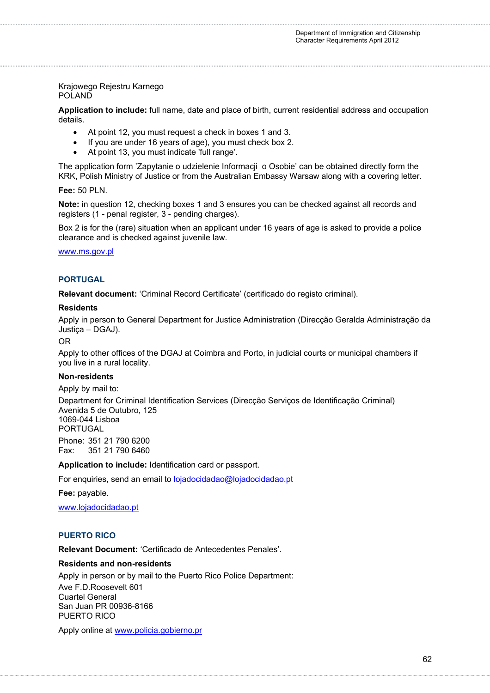## Krajowego Rejestru Karnego POLAND

**Application to include:** full name, date and place of birth, current residential address and occupation details.

- At point 12, you must request a check in boxes 1 and 3.
- If you are under 16 years of age), you must check box 2.
- At point 13, you must indicate 'full range'.

The application form 'Zapytanie o udzielenie Informacji o Osobie' can be obtained directly form the KRK, Polish Ministry of Justice or from the Australian Embassy Warsaw along with a covering letter.

**Fee:** 50 PLN.

**Note:** in question 12, checking boxes 1 and 3 ensures you can be checked against all records and registers (1 - penal register, 3 - pending charges).

Box 2 is for the (rare) situation when an applicant under 16 years of age is asked to provide a police clearance and is checked against juvenile law.

www.ms.gov.pl

## **PORTUGAL**

**Relevant document:** 'Criminal Record Certificate' (certificado do registo criminal).

### **Residents**

Apply in person to General Department for Justice Administration (Direcção Geralda Administração da Justiça – DGAJ).

OR

Apply to other offices of the DGAJ at Coimbra and Porto, in judicial courts or municipal chambers if you live in a rural locality.

## **Non-residents**

Apply by mail to: Department for Criminal Identification Services (Direcção Serviços de Identificação Criminal) Avenida 5 de Outubro, 125 1069-044 Lisboa PORTUGAL Phone: 351 21 790 6200 Fax: 351 21 790 6460

**Application to include:** Identification card or passport.

For enquiries, send an email to lojadocidadao@lojadocidadao.pt

**Fee:** payable.

www.lojadocidadao.pt

# **PUERTO RICO**

**Relevant Document:** 'Certificado de Antecedentes Penales'.

## **Residents and non-residents**

Apply in person or by mail to the Puerto Rico Police Department:

Ave F.D.Roosevelt 601 Cuartel General San Juan PR 00936-8166 PUERTO RICO

Apply online at www.policia.gobierno.pr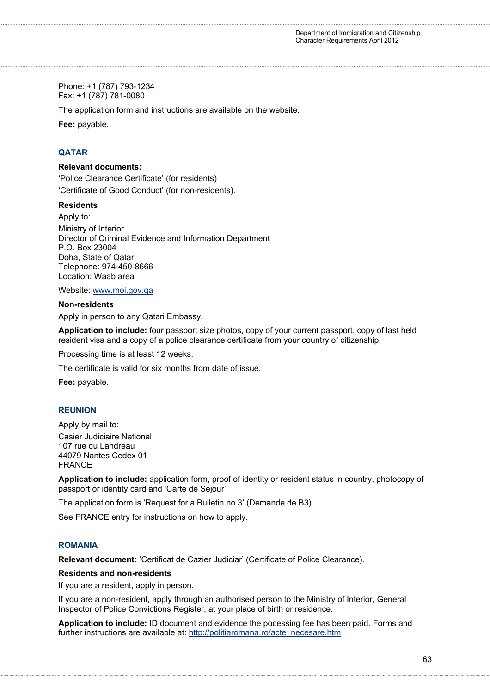Phone: +1 (787) 793-1234 Fax: +1 (787) 781-0080

The application form and instructions are available on the website.

**Fee:** payable.

# **QATAR**

## **Relevant documents:**

'Police Clearance Certificate' (for residents) 'Certificate of Good Conduct' (for non-residents).

## **Residents**

Apply to: Ministry of Interior Director of Criminal Evidence and Information Department P.O. Box 23004 Doha, State of Qatar Telephone: 974-450-8666 Location: Waab area

Website: www.moi.gov.qa

#### **Non-residents**

Apply in person to any Qatari Embassy.

**Application to include:** four passport size photos, copy of your current passport, copy of last held resident visa and a copy of a police clearance certificate from your country of citizenship.

Processing time is at least 12 weeks.

The certificate is valid for six months from date of issue.

**Fee:** payable.

## **REUNION**

Apply by mail to: Casier Judiciaire National 107 rue du Landreau 44079 Nantes Cedex 01 FRANCE

**Application to include:** application form, proof of identity or resident status in country, photocopy of passport or identity card and 'Carte de Sejour'.

The application form is 'Request for a Bulletin no 3' (Demande de B3).

See FRANCE entry for instructions on how to apply.

### **ROMANIA**

**Relevant document:** 'Certificat de Cazier Judiciar' (Certificate of Police Clearance).

# **Residents and non-residents**

If you are a resident, apply in person.

If you are a non-resident, apply through an authorised person to the Ministry of Interior, General Inspector of Police Convictions Register, at your place of birth or residence.

**Application to include:** ID document and evidence the pocessing fee has been paid. Forms and further instructions are available at: http://politiaromana.ro/acte\_necesare.htm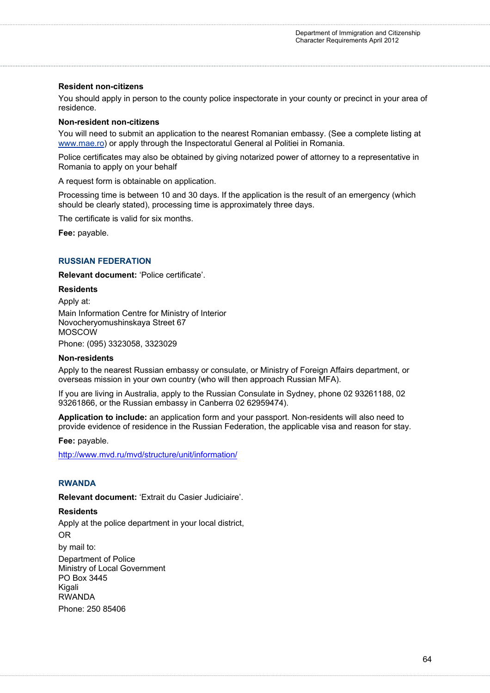## **Resident non-citizens**

You should apply in person to the county police inspectorate in your county or precinct in your area of residence.

#### **Non-resident non-citizens**

You will need to submit an application to the nearest Romanian embassy. (See a complete listing at www.mae.ro) or apply through the Inspectoratul General al Politiei in Romania.

Police certificates may also be obtained by giving notarized power of attorney to a representative in Romania to apply on your behalf

A request form is obtainable on application.

Processing time is between 10 and 30 days. If the application is the result of an emergency (which should be clearly stated), processing time is approximately three days.

The certificate is valid for six months.

**Fee:** payable.

#### **RUSSIAN FEDERATION**

**Relevant document:** 'Police certificate'.

### **Residents**

Apply at: Main Information Centre for Ministry of Interior Novocheryomushinskaya Street 67 MOSCOW Phone: (095) 3323058, 3323029

#### **Non-residents**

Apply to the nearest Russian embassy or consulate, or Ministry of Foreign Affairs department, or overseas mission in your own country (who will then approach Russian MFA).

If you are living in Australia, apply to the Russian Consulate in Sydney, phone 02 93261188, 02 93261866, or the Russian embassy in Canberra 02 62959474).

**Application to include:** an application form and your passport. Non-residents will also need to provide evidence of residence in the Russian Federation, the applicable visa and reason for stay.

**Fee:** payable.

http://www.mvd.ru/mvd/structure/unit/information/

# **RWANDA**

**Relevant document:** 'Extrait du Casier Judiciaire'.

### **Residents**

Apply at the police department in your local district,

OR

by mail to:

Department of Police Ministry of Local Government PO Box 3445 Kigali RWANDA Phone: 250 85406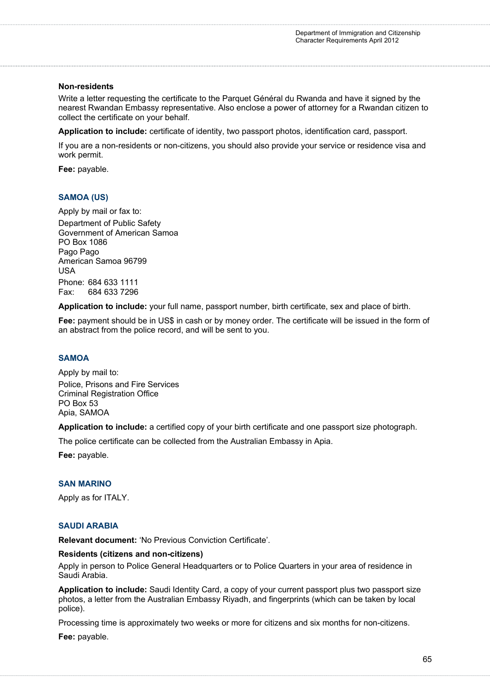## **Non-residents**

Write a letter requesting the certificate to the Parquet Général du Rwanda and have it signed by the nearest Rwandan Embassy representative. Also enclose a power of attorney for a Rwandan citizen to collect the certificate on your behalf.

**Application to include:** certificate of identity, two passport photos, identification card, passport.

If you are a non-residents or non-citizens, you should also provide your service or residence visa and work permit.

**Fee:** payable.

# **SAMOA (US)**

Apply by mail or fax to: Department of Public Safety Government of American Samoa PO Box 1086 Pago Pago American Samoa 96799 USA Phone: 684 633 1111 Fax: 684 633 7296

**Application to include:** your full name, passport number, birth certificate, sex and place of birth.

**Fee:** payment should be in US\$ in cash or by money order. The certificate will be issued in the form of an abstract from the police record, and will be sent to you.

# **SAMOA**

Apply by mail to: Police, Prisons and Fire Services Criminal Registration Office PO Box 53 Apia, SAMOA

**Application to include:** a certified copy of your birth certificate and one passport size photograph.

The police certificate can be collected from the Australian Embassy in Apia.

**Fee:** payable.

## **SAN MARINO**

Apply as for ITALY.

### **SAUDI ARABIA**

**Relevant document:** 'No Previous Conviction Certificate'.

### **Residents (citizens and non-citizens)**

Apply in person to Police General Headquarters or to Police Quarters in your area of residence in Saudi Arabia.

**Application to include:** Saudi Identity Card, a copy of your current passport plus two passport size photos, a letter from the Australian Embassy Riyadh, and fingerprints (which can be taken by local police).

Processing time is approximately two weeks or more for citizens and six months for non-citizens.

**Fee:** payable.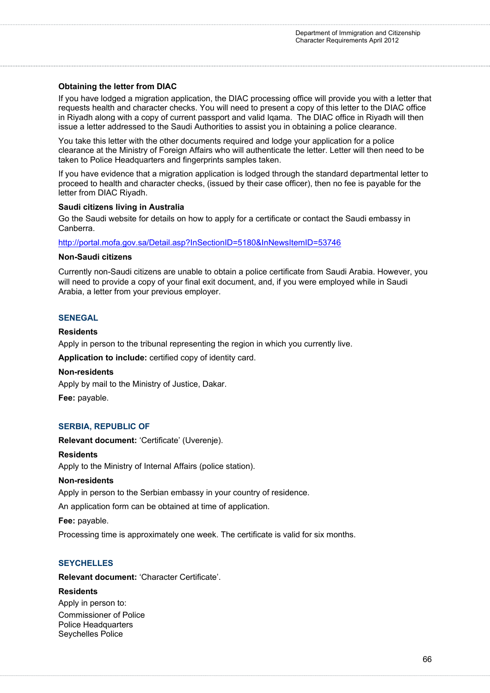# **Obtaining the letter from DIAC**

If you have lodged a migration application, the DIAC processing office will provide you with a letter that requests health and character checks. You will need to present a copy of this letter to the DIAC office in Riyadh along with a copy of current passport and valid Iqama. The DIAC office in Riyadh will then issue a letter addressed to the Saudi Authorities to assist you in obtaining a police clearance.

You take this letter with the other documents required and lodge your application for a police clearance at the Ministry of Foreign Affairs who will authenticate the letter. Letter will then need to be taken to Police Headquarters and fingerprints samples taken.

If you have evidence that a migration application is lodged through the standard departmental letter to proceed to health and character checks, (issued by their case officer), then no fee is payable for the letter from DIAC Riyadh.

### **Saudi citizens living in Australia**

Go the Saudi website for details on how to apply for a certificate or contact the Saudi embassy in Canberra.

http://portal.mofa.gov.sa/Detail.asp?InSectionID=5180&InNewsItemID=53746

# **Non-Saudi citizens**

Currently non-Saudi citizens are unable to obtain a police certificate from Saudi Arabia. However, you will need to provide a copy of your final exit document, and, if you were employed while in Saudi Arabia, a letter from your previous employer.

# **SENEGAL**

## **Residents**

Apply in person to the tribunal representing the region in which you currently live.

**Application to include:** certified copy of identity card.

### **Non-residents**

Apply by mail to the Ministry of Justice, Dakar.

**Fee:** payable.

# **SERBIA, REPUBLIC OF**

**Relevant document:** 'Certificate' (Uverenje).

### **Residents**

Apply to the Ministry of Internal Affairs (police station).

### **Non-residents**

Apply in person to the Serbian embassy in your country of residence.

An application form can be obtained at time of application.

**Fee:** payable.

Processing time is approximately one week. The certificate is valid for six months.

# **SEYCHELLES**

# **Relevant document:** 'Character Certificate'.

## **Residents**

Apply in person to: Commissioner of Police Police Headquarters Seychelles Police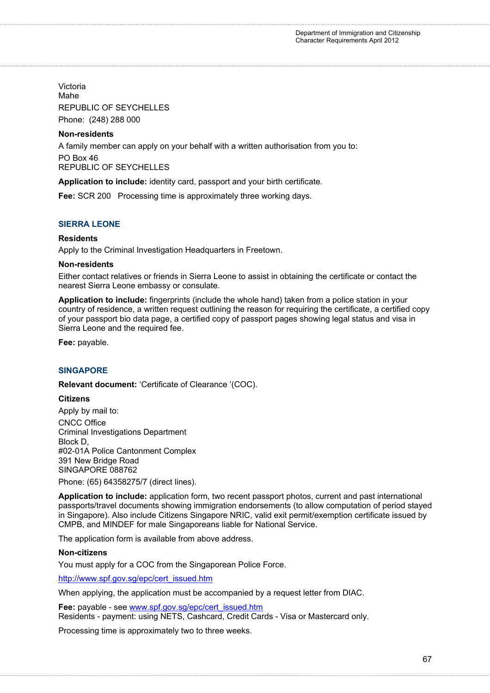Victoria Mahe REPUBLIC OF SEYCHELLES Phone: (248) 288 000

## **Non-residents**

A family member can apply on your behalf with a written authorisation from you to:

PO Box 46 REPUBLIC OF SEYCHELLES

**Application to include:** identity card, passport and your birth certificate.

**Fee:** SCR 200 Processing time is approximately three working days.

# **SIERRA LEONE**

### **Residents**

Apply to the Criminal Investigation Headquarters in Freetown.

#### **Non-residents**

Either contact relatives or friends in Sierra Leone to assist in obtaining the certificate or contact the nearest Sierra Leone embassy or consulate.

**Application to include:** fingerprints (include the whole hand) taken from a police station in your country of residence, a written request outlining the reason for requiring the certificate, a certified copy of your passport bio data page, a certified copy of passport pages showing legal status and visa in Sierra Leone and the required fee.

**Fee:** payable.

# **SINGAPORE**

**Relevant document:** 'Certificate of Clearance '(COC).

### **Citizens**

Apply by mail to: CNCC Office Criminal Investigations Department Block D, #02-01A Police Cantonment Complex 391 New Bridge Road SINGAPORE 088762

Phone: (65) 64358275/7 (direct lines).

**Application to include:** application form, two recent passport photos, current and past international passports/travel documents showing immigration endorsements (to allow computation of period stayed in Singapore). Also include Citizens Singapore NRIC, valid exit permit/exemption certificate issued by CMPB, and MINDEF for male Singaporeans liable for National Service.

The application form is available from above address.

#### **Non-citizens**

You must apply for a COC from the Singaporean Police Force.

http://www.spf.gov.sg/epc/cert\_issued.htm

When applying, the application must be accompanied by a request letter from DIAC.

Fee: payable - see www.spf.gov.sg/epc/cert\_issued.htm Residents - payment: using NETS, Cashcard, Credit Cards - Visa or Mastercard only.

Processing time is approximately two to three weeks.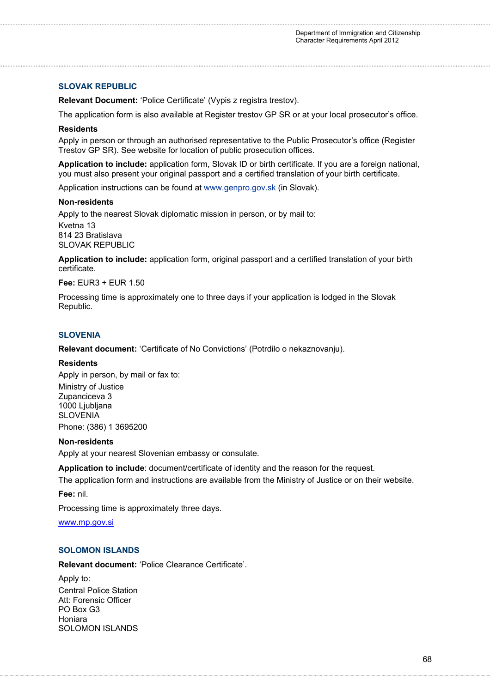# **SLOVAK REPUBLIC**

**Relevant Document:** 'Police Certificate' (Vypis z registra trestov).

The application form is also available at Register trestov GP SR or at your local prosecutor's office.

## **Residents**

Apply in person or through an authorised representative to the Public Prosecutor's office (Register Trestov GP SR). See website for location of public prosecution offices.

**Application to include:** application form, Slovak ID or birth certificate. If you are a foreign national, you must also present your original passport and a certified translation of your birth certificate.

Application instructions can be found at www.genpro.gov.sk (in Slovak).

## **Non-residents**

Apply to the nearest Slovak diplomatic mission in person, or by mail to:

Kvetna 13 814 23 Bratislava SLOVAK REPUBLIC

**Application to include:** application form, original passport and a certified translation of your birth certificate.

## **Fee:** EUR3 + EUR 1.50

Processing time is approximately one to three days if your application is lodged in the Slovak Republic.

## **SLOVENIA**

**Relevant document:** 'Certificate of No Convictions' (Potrdilo o nekaznovanju).

### **Residents**

Apply in person, by mail or fax to:

Ministry of Justice Zupanciceva 3 1000 Liubliana **SLOVENIA** Phone: (386) 1 3695200

### **Non-residents**

Apply at your nearest Slovenian embassy or consulate.

**Application to include**: document/certificate of identity and the reason for the request.

The application form and instructions are available from the Ministry of Justice or on their website.

**Fee:** nil.

Processing time is approximately three days.

#### www.mp.gov.si

### **SOLOMON ISLANDS**

**Relevant document:** 'Police Clearance Certificate'.

Apply to: Central Police Station Att: Forensic Officer PO Box G3 Honiara SOLOMON ISLANDS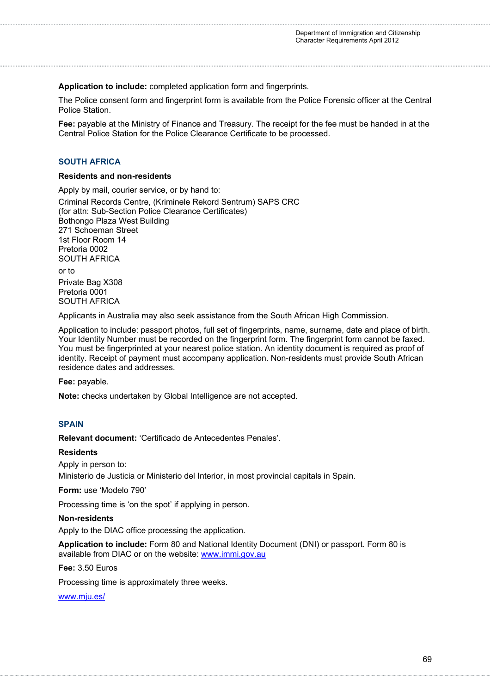**Application to include:** completed application form and fingerprints.

The Police consent form and fingerprint form is available from the Police Forensic officer at the Central Police Station.

**Fee:** payable at the Ministry of Finance and Treasury. The receipt for the fee must be handed in at the Central Police Station for the Police Clearance Certificate to be processed.

#### **SOUTH AFRICA**

## **Residents and non-residents**

Apply by mail, courier service, or by hand to: Criminal Records Centre, (Kriminele Rekord Sentrum) SAPS CRC (for attn: Sub-Section Police Clearance Certificates) Bothongo Plaza West Building 271 Schoeman Street 1st Floor Room 14 Pretoria 0002 SOUTH AFRICA or to Private Bag X308 Pretoria 0001 SOUTH AFRICA

Applicants in Australia may also seek assistance from the South African High Commission.

Application to include: passport photos, full set of fingerprints, name, surname, date and place of birth. Your Identity Number must be recorded on the fingerprint form. The fingerprint form cannot be faxed. You must be fingerprinted at your nearest police station. An identity document is required as proof of identity. Receipt of payment must accompany application. Non-residents must provide South African residence dates and addresses.

**Fee:** payable.

**Note:** checks undertaken by Global Intelligence are not accepted.

### **SPAIN**

**Relevant document:** 'Certificado de Antecedentes Penales'.

#### **Residents**

Apply in person to:

Ministerio de Justicia or Ministerio del Interior, in most provincial capitals in Spain.

**Form:** use 'Modelo 790'

Processing time is 'on the spot' if applying in person.

## **Non-residents**

Apply to the DIAC office processing the application.

**Application to include:** Form 80 and National Identity Document (DNI) or passport. Form 80 is available from DIAC or on the website: www.immi.gov.au

**Fee:** 3.50 Euros

Processing time is approximately three weeks.

www.mju.es/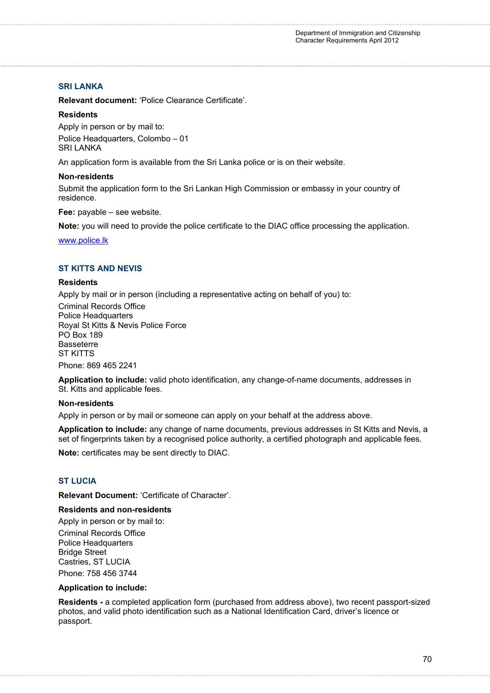# **SRI LANKA**

**Relevant document:** 'Police Clearance Certificate'.

### **Residents**

Apply in person or by mail to: Police Headquarters, Colombo – 01 SRI LANKA

An application form is available from the Sri Lanka police or is on their website.

#### **Non-residents**

Submit the application form to the Sri Lankan High Commission or embassy in your country of residence.

**Fee:** payable – see website.

**Note:** you will need to provide the police certificate to the DIAC office processing the application.

www.police.lk

## **ST KITTS AND NEVIS**

#### **Residents**

Apply by mail or in person (including a representative acting on behalf of you) to:

Criminal Records Office Police Headquarters Royal St Kitts & Nevis Police Force PO Box 189 Basseterre ST KITTS Phone: 869 465 2241

**Application to include:** valid photo identification, any change-of-name documents, addresses in St. Kitts and applicable fees.

### **Non-residents**

Apply in person or by mail or someone can apply on your behalf at the address above.

**Application to include:** any change of name documents, previous addresses in St Kitts and Nevis, a set of fingerprints taken by a recognised police authority, a certified photograph and applicable fees.

**Note:** certificates may be sent directly to DIAC.

# **ST LUCIA**

**Relevant Document:** 'Certificate of Character'.

# **Residents and non-residents**

Apply in person or by mail to: Criminal Records Office Police Headquarters Bridge Street Castries, ST LUCIA Phone: 758 456 3744

### **Application to include:**

**Residents -** a completed application form (purchased from address above), two recent passport-sized photos, and valid photo identification such as a National Identification Card, driver's licence or passport.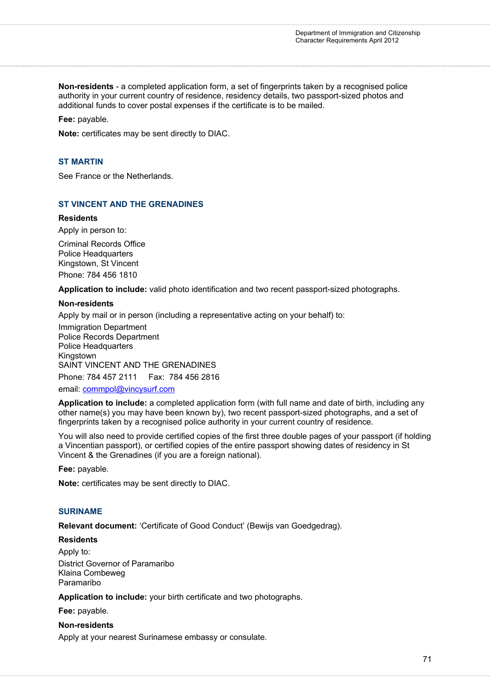**Non-residents** - a completed application form, a set of fingerprints taken by a recognised police authority in your current country of residence, residency details, two passport-sized photos and additional funds to cover postal expenses if the certificate is to be mailed.

**Fee:** payable.

**Note:** certificates may be sent directly to DIAC.

### **ST MARTIN**

See France or the Netherlands.

## **ST VINCENT AND THE GRENADINES**

#### **Residents**

Apply in person to:

Criminal Records Office Police Headquarters Kingstown, St Vincent Phone: 784 456 1810

**Application to include:** valid photo identification and two recent passport-sized photographs.

#### **Non-residents**

Apply by mail or in person (including a representative acting on your behalf) to:

Immigration Department Police Records Department Police Headquarters Kingstown SAINT VINCENT AND THE GRENADINES Phone: 784 457 2111 Fax: 784 456 2816

email: commpol@vincysurf.com

**Application to include:** a completed application form (with full name and date of birth, including any other name(s) you may have been known by), two recent passport-sized photographs, and a set of fingerprints taken by a recognised police authority in your current country of residence.

You will also need to provide certified copies of the first three double pages of your passport (if holding a Vincentian passport), or certified copies of the entire passport showing dates of residency in St Vincent & the Grenadines (if you are a foreign national).

**Fee:** payable.

**Note:** certificates may be sent directly to DIAC.

## **SURINAME**

**Relevant document:** 'Certificate of Good Conduct' (Bewijs van Goedgedrag).

### **Residents**

Apply to: District Governor of Paramaribo Klaina Combeweg Paramaribo

**Application to include:** your birth certificate and two photographs.

**Fee:** payable.

#### **Non-residents**

Apply at your nearest Surinamese embassy or consulate.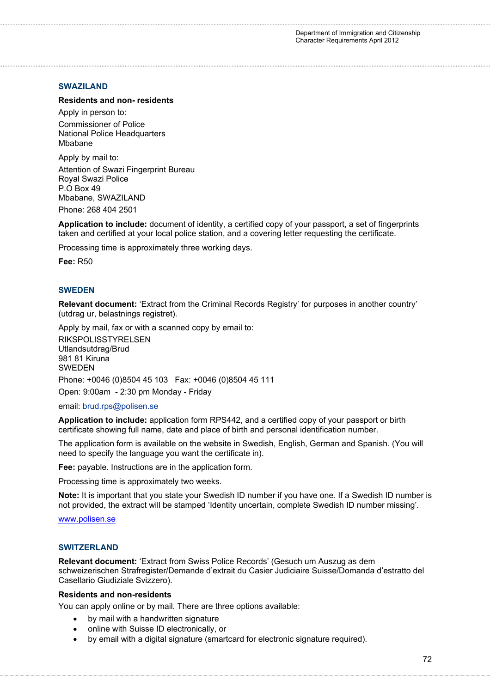# **SWAZILAND**

#### **Residents and non- residents**

Apply in person to: Commissioner of Police National Police Headquarters Mbabane

Apply by mail to: Attention of Swazi Fingerprint Bureau Royal Swazi Police P.O Box 49 Mbabane, SWAZILAND Phone: 268 404 2501

**Application to include:** document of identity, a certified copy of your passport, a set of fingerprints taken and certified at your local police station, and a covering letter requesting the certificate.

Processing time is approximately three working days.

**Fee:** R50

#### **SWEDEN**

**Relevant document:** 'Extract from the Criminal Records Registry' for purposes in another country' (utdrag ur, belastnings registret).

Apply by mail, fax or with a scanned copy by email to: RIKSPOLISSTYRELSEN Utlandsutdrag/Brud 981 81 Kiruna SWEDEN Phone: +0046 (0)8504 45 103 Fax: +0046 (0)8504 45 111

Open: 9:00am - 2:30 pm Monday - Friday

#### email: brud.rps@polisen.se

**Application to include:** application form RPS442, and a certified copy of your passport or birth certificate showing full name, date and place of birth and personal identification number.

The application form is available on the website in Swedish, English, German and Spanish. (You will need to specify the language you want the certificate in).

**Fee:** payable. Instructions are in the application form.

Processing time is approximately two weeks.

**Note:** It is important that you state your Swedish ID number if you have one. If a Swedish ID number is not provided, the extract will be stamped 'Identity uncertain, complete Swedish ID number missing'.

#### www.polisen.se

#### **SWITZERLAND**

**Relevant document:** 'Extract from Swiss Police Records' (Gesuch um Auszug as dem schweizerischen Strafregister/Demande d'extrait du Casier Judiciaire Suisse/Domanda d'estratto del Casellario Giudiziale Svizzero).

#### **Residents and non-residents**

You can apply online or by mail. There are three options available:

- by mail with a handwritten signature
- online with Suisse ID electronically, or
- by email with a digital signature (smartcard for electronic signature required).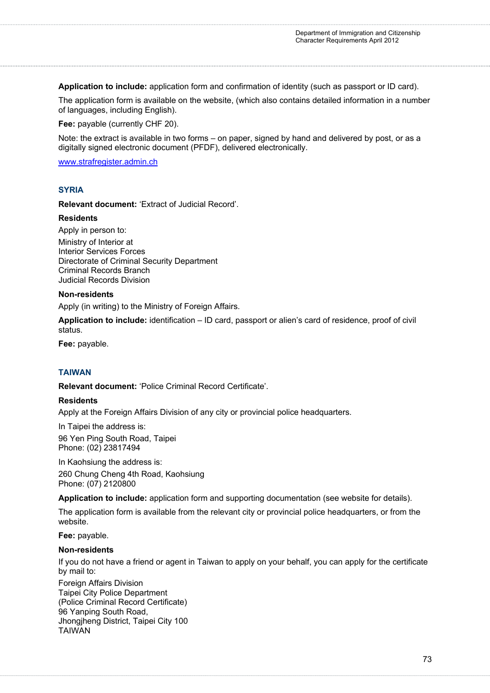**Application to include:** application form and confirmation of identity (such as passport or ID card).

The application form is available on the website, (which also contains detailed information in a number of languages, including English).

**Fee:** payable (currently CHF 20).

Note: the extract is available in two forms – on paper, signed by hand and delivered by post, or as a digitally signed electronic document (PFDF), delivered electronically.

www.strafregister.admin.ch

# **SYRIA**

**Relevant document:** 'Extract of Judicial Record'.

#### **Residents**

Apply in person to: Ministry of Interior at Interior Services Forces Directorate of Criminal Security Department Criminal Records Branch Judicial Records Division

### **Non-residents**

Apply (in writing) to the Ministry of Foreign Affairs.

**Application to include:** identification – ID card, passport or alien's card of residence, proof of civil status.

**Fee:** payable.

# **TAIWAN**

**Relevant document:** 'Police Criminal Record Certificate'.

### **Residents**

Apply at the Foreign Affairs Division of any city or provincial police headquarters.

In Taipei the address is: 96 Yen Ping South Road, Taipei Phone: (02) 23817494

In Kaohsiung the address is: 260 Chung Cheng 4th Road, Kaohsiung Phone: (07) 2120800

**Application to include:** application form and supporting documentation (see website for details).

The application form is available from the relevant city or provincial police headquarters, or from the website.

**Fee:** payable.

#### **Non-residents**

If you do not have a friend or agent in Taiwan to apply on your behalf, you can apply for the certificate by mail to:

Foreign Affairs Division Taipei City Police Department (Police Criminal Record Certificate) 96 Yanping South Road, Jhongjheng District, Taipei City 100 TAIWAN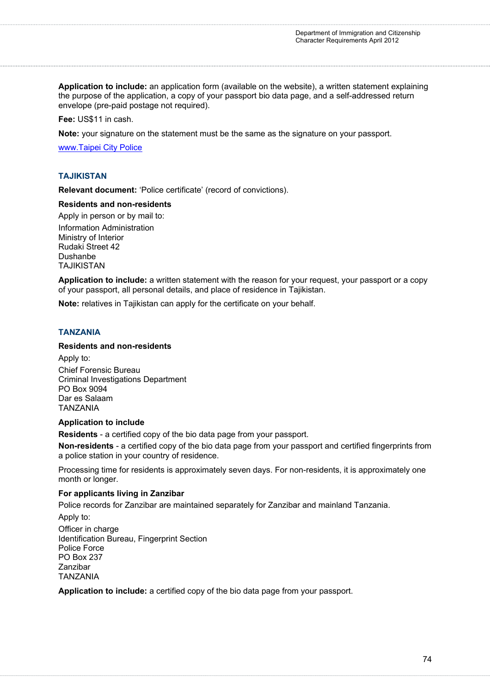**Application to include:** an application form (available on the website), a written statement explaining the purpose of the application, a copy of your passport bio data page, and a self-addressed return envelope (pre-paid postage not required).

**Fee:** US\$11 in cash.

**Note:** your signature on the statement must be the same as the signature on your passport.

www.Taipei City Police

## **TAJIKISTAN**

**Relevant document:** 'Police certificate' (record of convictions).

#### **Residents and non-residents**

Apply in person or by mail to: Information Administration Ministry of Interior Rudaki Street 42 Dushanbe **TAJIKISTAN** 

**Application to include:** a written statement with the reason for your request, your passport or a copy of your passport, all personal details, and place of residence in Tajikistan.

**Note:** relatives in Tajikistan can apply for the certificate on your behalf.

### **TANZANIA**

## **Residents and non-residents**

Apply to: Chief Forensic Bureau Criminal Investigations Department PO Box 9094 Dar es Salaam **TANZANIA** 

#### **Application to include**

**Residents** - a certified copy of the bio data page from your passport.

**Non-residents** - a certified copy of the bio data page from your passport and certified fingerprints from a police station in your country of residence.

Processing time for residents is approximately seven days. For non-residents, it is approximately one month or longer.

## **For applicants living in Zanzibar**

Police records for Zanzibar are maintained separately for Zanzibar and mainland Tanzania.

Apply to: Officer in charge Identification Bureau, Fingerprint Section Police Force PO Box 237 Zanzibar TANZANIA

**Application to include:** a certified copy of the bio data page from your passport.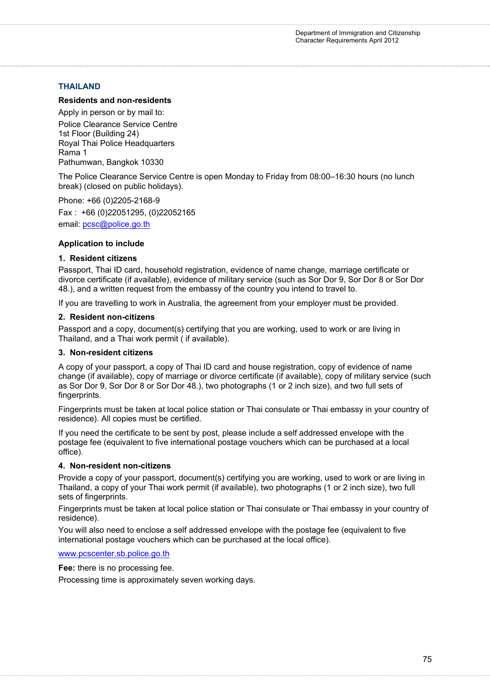# **THAILAND**

# **Residents and non-residents**

Apply in person or by mail to: Police Clearance Service Centre 1st Floor (Building 24) Royal Thai Police Headquarters Rama 1 Pathumwan, Bangkok 10330

The Police Clearance Service Centre is open Monday to Friday from 08:00–16:30 hours (no lunch break) (closed on public holidays).

Phone: +66 (0)2205-2168-9 Fax : +66 (0)22051295, (0)22052165 email: pcsc@police.go.th

## **Application to include**

## **1. Resident citizens**

Passport, Thai ID card, household registration, evidence of name change, marriage certificate or divorce certificate (if available), evidence of military service (such as Sor Dor 9, Sor Dor 8 or Sor Dor 48.), and a written request from the embassy of the country you intend to travel to.

If you are travelling to work in Australia, the agreement from your employer must be provided.

### **2. Resident non-citizens**

Passport and a copy, document(s) certifying that you are working, used to work or are living in Thailand, and a Thai work permit ( if available).

### **3. Non-resident citizens**

A copy of your passport, a copy of Thai ID card and house registration, copy of evidence of name change (if available), copy of marriage or divorce certificate (if available), copy of military service (such as Sor Dor 9, Sor Dor 8 or Sor Dor 48.), two photographs (1 or 2 inch size), and two full sets of fingerprints.

Fingerprints must be taken at local police station or Thai consulate or Thai embassy in your country of residence). All copies must be certified.

If you need the certificate to be sent by post, please include a self addressed envelope with the postage fee (equivalent to five international postage vouchers which can be purchased at a local office).

### **4. Non-resident non-citizens**

Provide a copy of your passport, document(s) certifying you are working, used to work or are living in Thailand, a copy of your Thai work permit (if available), two photographs (1 or 2 inch size), two full sets of fingerprints.

Fingerprints must be taken at local police station or Thai consulate or Thai embassy in your country of residence).

You will also need to enclose a self addressed envelope with the postage fee (equivalent to five international postage vouchers which can be purchased at the local office).

## www.pcscenter.sb.police.go.th

**Fee:** there is no processing fee.

Processing time is approximately seven working days.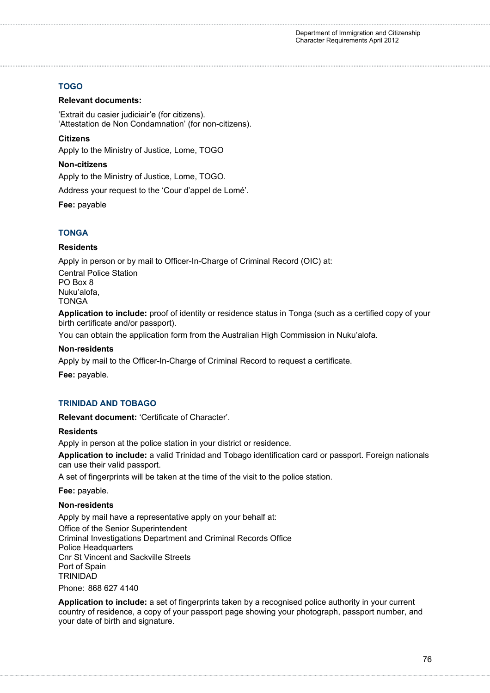# **TOGO**

# **Relevant documents:**

'Extrait du casier judiciair'e (for citizens). 'Attestation de Non Condamnation' (for non-citizens).

## **Citizens**

Apply to the Ministry of Justice, Lome, TOGO

## **Non-citizens**

Apply to the Ministry of Justice, Lome, TOGO.

Address your request to the 'Cour d'appel de Lomé'.

**Fee:** payable

# **TONGA**

### **Residents**

Apply in person or by mail to Officer-In-Charge of Criminal Record (OIC) at: Central Police Station PO Box 8 Nuku'alofa, TONGA

**Application to include:** proof of identity or residence status in Tonga (such as a certified copy of your birth certificate and/or passport).

You can obtain the application form from the Australian High Commission in Nuku'alofa.

## **Non-residents**

Apply by mail to the Officer-In-Charge of Criminal Record to request a certificate.

**Fee:** payable.

# **TRINIDAD AND TOBAGO**

**Relevant document:** 'Certificate of Character'.

### **Residents**

Apply in person at the police station in your district or residence.

**Application to include:** a valid Trinidad and Tobago identification card or passport. Foreign nationals can use their valid passport.

A set of fingerprints will be taken at the time of the visit to the police station.

**Fee:** payable.

### **Non-residents**

Apply by mail have a representative apply on your behalf at:

Office of the Senior Superintendent Criminal Investigations Department and Criminal Records Office Police Headquarters Cnr St Vincent and Sackville Streets Port of Spain **TRINIDAD** 

Phone: 868 627 4140

**Application to include:** a set of fingerprints taken by a recognised police authority in your current country of residence, a copy of your passport page showing your photograph, passport number, and your date of birth and signature.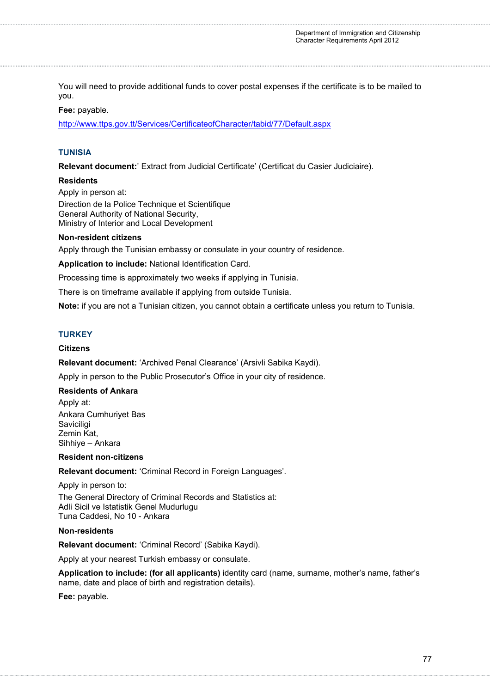You will need to provide additional funds to cover postal expenses if the certificate is to be mailed to you.

**Fee:** payable.

http://www.ttps.gov.tt/Services/CertificateofCharacter/tabid/77/Default.aspx

# **TUNISIA**

**Relevant document:**' Extract from Judicial Certificate' (Certificat du Casier Judiciaire).

## **Residents**

Apply in person at: Direction de la Police Technique et Scientifique General Authority of National Security, Ministry of Interior and Local Development

## **Non-resident citizens**

Apply through the Tunisian embassy or consulate in your country of residence.

**Application to include:** National Identification Card.

Processing time is approximately two weeks if applying in Tunisia.

There is on timeframe available if applying from outside Tunisia.

**Note:** if you are not a Tunisian citizen, you cannot obtain a certificate unless you return to Tunisia.

# **TURKEY**

## **Citizens**

**Relevant document:** 'Archived Penal Clearance' (Arsivli Sabika Kaydi).

Apply in person to the Public Prosecutor's Office in your city of residence.

# **Residents of Ankara**

Apply at: Ankara Cumhuriyet Bas **Saviciligi** Zemin Kat, Sihhiye – Ankara

## **Resident non-citizens**

**Relevant document:** 'Criminal Record in Foreign Languages'.

Apply in person to:

The General Directory of Criminal Records and Statistics at: Adli Sicil ve Istatistik Genel Mudurlugu Tuna Caddesi, No 10 - Ankara

### **Non-residents**

**Relevant document:** 'Criminal Record' (Sabika Kaydi).

Apply at your nearest Turkish embassy or consulate.

**Application to include: (for all applicants)** identity card (name, surname, mother's name, father's name, date and place of birth and registration details).

**Fee:** payable.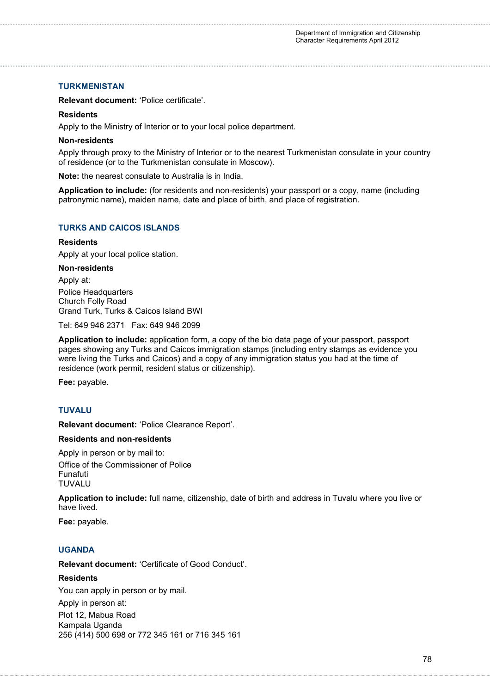# **TURKMENISTAN**

**Relevant document:** 'Police certificate'.

## **Residents**

Apply to the Ministry of Interior or to your local police department.

#### **Non-residents**

Apply through proxy to the Ministry of Interior or to the nearest Turkmenistan consulate in your country of residence (or to the Turkmenistan consulate in Moscow).

**Note:** the nearest consulate to Australia is in India.

**Application to include:** (for residents and non-residents) your passport or a copy, name (including patronymic name), maiden name, date and place of birth, and place of registration.

### **TURKS AND CAICOS ISLANDS**

#### **Residents**

Apply at your local police station.

#### **Non-residents**

Apply at: Police Headquarters Church Folly Road Grand Turk, Turks & Caicos Island BWI

Tel: 649 946 2371 Fax: 649 946 2099

**Application to include:** application form, a copy of the bio data page of your passport, passport pages showing any Turks and Caicos immigration stamps (including entry stamps as evidence you were living the Turks and Caicos) and a copy of any immigration status you had at the time of residence (work permit, resident status or citizenship).

**Fee:** payable.

# **TUVALU**

**Relevant document:** 'Police Clearance Report'.

#### **Residents and non-residents**

Apply in person or by mail to: Office of the Commissioner of Police Funafuti TUVALU

**Application to include:** full name, citizenship, date of birth and address in Tuvalu where you live or have lived.

**Fee:** payable.

### **UGANDA**

**Relevant document:** 'Certificate of Good Conduct'.

#### **Residents**

You can apply in person or by mail. Apply in person at: Plot 12, Mabua Road Kampala Uganda 256 (414) 500 698 or 772 345 161 or 716 345 161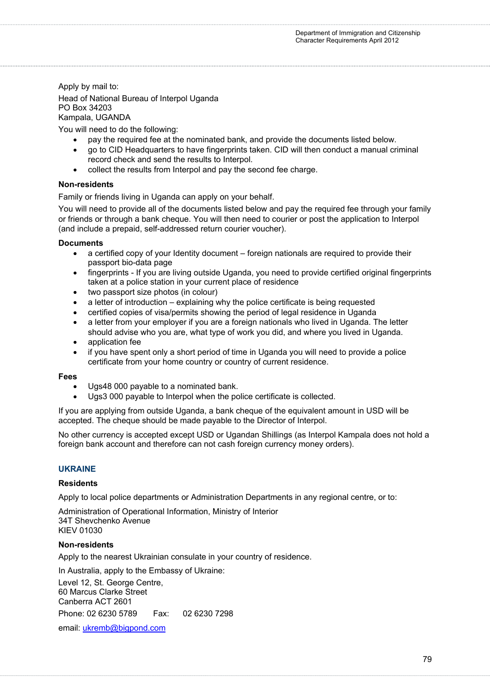Apply by mail to: Head of National Bureau of Interpol Uganda PO Box 34203 Kampala, UGANDA

You will need to do the following:

- pay the required fee at the nominated bank, and provide the documents listed below.
- go to CID Headquarters to have fingerprints taken. CID will then conduct a manual criminal record check and send the results to Interpol.
- collect the results from Interpol and pay the second fee charge.

# **Non-residents**

Family or friends living in Uganda can apply on your behalf.

You will need to provide all of the documents listed below and pay the required fee through your family or friends or through a bank cheque. You will then need to courier or post the application to Interpol (and include a prepaid, self-addressed return courier voucher).

## **Documents**

- a certified copy of your Identity document foreign nationals are required to provide their passport bio-data page
- fingerprints If you are living outside Uganda, you need to provide certified original fingerprints taken at a police station in your current place of residence
- two passport size photos (in colour)
- a letter of introduction explaining why the police certificate is being requested
- certified copies of visa/permits showing the period of legal residence in Uganda
- a letter from your employer if you are a foreign nationals who lived in Uganda. The letter should advise who you are, what type of work you did, and where you lived in Uganda.
- application fee
- if you have spent only a short period of time in Uganda you will need to provide a police certificate from your home country or country of current residence.

### **Fees**

- Ugs48 000 payable to a nominated bank.
- Ugs3 000 payable to Interpol when the police certificate is collected.

If you are applying from outside Uganda, a bank cheque of the equivalent amount in USD will be accepted. The cheque should be made payable to the Director of Interpol.

No other currency is accepted except USD or Ugandan Shillings (as Interpol Kampala does not hold a foreign bank account and therefore can not cash foreign currency money orders).

# **UKRAINE**

### **Residents**

Apply to local police departments or Administration Departments in any regional centre, or to:

Administration of Operational Information, Ministry of Interior 34T Shevchenko Avenue KIEV 01030

### **Non-residents**

Apply to the nearest Ukrainian consulate in your country of residence.

In Australia, apply to the Embassy of Ukraine:

Level 12, St. George Centre, 60 Marcus Clarke Street Canberra ACT 2601 Phone: 02 6230 5789 Fax: 02 6230 7298

email: ukremb@bigpond.com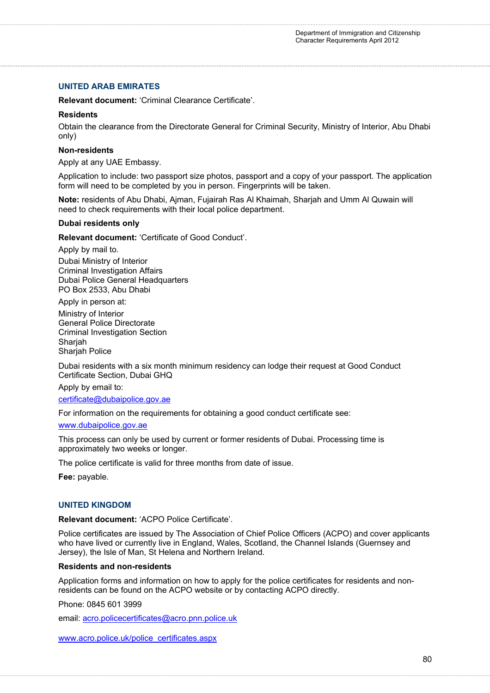# **UNITED ARAB EMIRATES**

**Relevant document:** 'Criminal Clearance Certificate'.

#### **Residents**

Obtain the clearance from the Directorate General for Criminal Security, Ministry of Interior, Abu Dhabi only)

#### **Non-residents**

Apply at any UAE Embassy.

Application to include: two passport size photos, passport and a copy of your passport. The application form will need to be completed by you in person. Fingerprints will be taken.

**Note:** residents of Abu Dhabi, Ajman, Fujairah Ras Al Khaimah, Sharjah and Umm Al Quwain will need to check requirements with their local police department.

#### **Dubai residents only**

**Relevant document:** 'Certificate of Good Conduct'.

Apply by mail to. Dubai Ministry of Interior Criminal Investigation Affairs Dubai Police General Headquarters PO Box 2533, Abu Dhabi

Apply in person at: Ministry of Interior General Police Directorate Criminal Investigation Section Shariah Sharjah Police

Dubai residents with a six month minimum residency can lodge their request at Good Conduct Certificate Section, Dubai GHQ

Apply by email to:

certificate@dubaipolice.gov.ae

For information on the requirements for obtaining a good conduct certificate see:

www.dubaipolice.gov.ae

This process can only be used by current or former residents of Dubai. Processing time is approximately two weeks or longer.

The police certificate is valid for three months from date of issue.

**Fee:** payable.

#### **UNITED KINGDOM**

**Relevant document:** 'ACPO Police Certificate'.

Police certificates are issued by The Association of Chief Police Officers (ACPO) and cover applicants who have lived or currently live in England, Wales, Scotland, the Channel Islands (Guernsey and Jersey), the Isle of Man, St Helena and Northern Ireland.

#### **Residents and non-residents**

Application forms and information on how to apply for the police certificates for residents and nonresidents can be found on the ACPO website or by contacting ACPO directly.

Phone: 0845 601 3999

email: acro.policecertificates@acro.pnn.police.uk

www.acro.police.uk/police\_certificates.aspx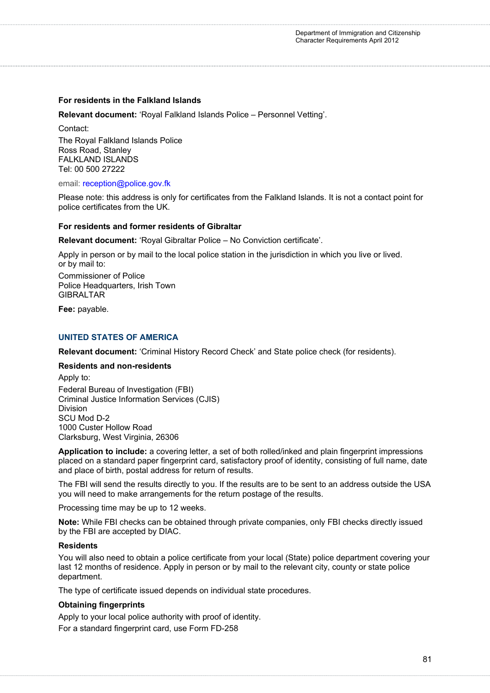# **For residents in the Falkland Islands**

**Relevant document:** 'Royal Falkland Islands Police – Personnel Vetting'.

Contact:

The Royal Falkland Islands Police Ross Road, Stanley FALKLAND ISLANDS Tel: 00 500 27222

email: reception@police.gov.fk

Please note: this address is only for certificates from the Falkland Islands. It is not a contact point for police certificates from the UK.

### **For residents and former residents of Gibraltar**

**Relevant document:** 'Royal Gibraltar Police – No Conviction certificate'.

Apply in person or by mail to the local police station in the jurisdiction in which you live or lived. or by mail to:

Commissioner of Police Police Headquarters, Irish Town **GIBRALTAR** 

**Fee:** payable.

## **UNITED STATES OF AMERICA**

**Relevant document:** 'Criminal History Record Check' and State police check (for residents).

## **Residents and non-residents**

Apply to: Federal Bureau of Investigation (FBI) Criminal Justice Information Services (CJIS) Division SCU Mod D-2 1000 Custer Hollow Road Clarksburg, West Virginia, 26306

**Application to include:** a covering letter, a set of both rolled/inked and plain fingerprint impressions placed on a standard paper fingerprint card, satisfactory proof of identity, consisting of full name, date and place of birth, postal address for return of results.

The FBI will send the results directly to you. If the results are to be sent to an address outside the USA you will need to make arrangements for the return postage of the results.

Processing time may be up to 12 weeks.

**Note:** While FBI checks can be obtained through private companies, only FBI checks directly issued by the FBI are accepted by DIAC.

#### **Residents**

You will also need to obtain a police certificate from your local (State) police department covering your last 12 months of residence. Apply in person or by mail to the relevant city, county or state police department.

The type of certificate issued depends on individual state procedures.

### **Obtaining fingerprints**

Apply to your local police authority with proof of identity. For a standard fingerprint card, use Form FD-258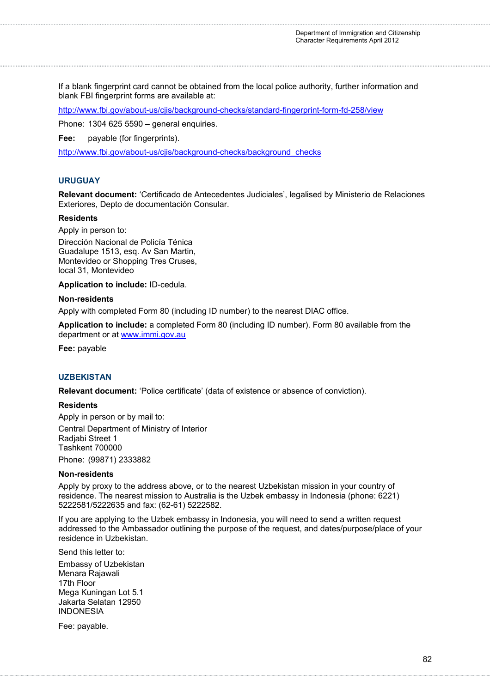If a blank fingerprint card cannot be obtained from the local police authority, further information and blank FBI fingerprint forms are available at:

http://www.fbi.gov/about-us/cjis/background-checks/standard-fingerprint-form-fd-258/view

Phone: 1304 625 5590 – general enquiries.

**Fee:** payable (for fingerprints).

http://www.fbi.gov/about-us/cijs/background-checks/background\_checks

### **URUGUAY**

**Relevant document:** 'Certificado de Antecedentes Judiciales', legalised by Ministerio de Relaciones Exteriores, Depto de documentación Consular.

#### **Residents**

Apply in person to: Dirección Nacional de Policía Ténica Guadalupe 1513, esq. Av San Martin, Montevideo or Shopping Tres Cruses, local 31, Montevideo

**Application to include:** ID-cedula.

#### **Non-residents**

Apply with completed Form 80 (including ID number) to the nearest DIAC office.

**Application to include:** a completed Form 80 (including ID number). Form 80 available from the department or at www.immi.gov.au

**Fee:** payable

### **UZBEKISTAN**

**Relevant document:** 'Police certificate' (data of existence or absence of conviction).

#### **Residents**

Apply in person or by mail to: Central Department of Ministry of Interior Radjabi Street 1 Tashkent 700000 Phone: (99871) 2333882

#### **Non-residents**

Apply by proxy to the address above, or to the nearest Uzbekistan mission in your country of residence. The nearest mission to Australia is the Uzbek embassy in Indonesia (phone: 6221) 5222581/5222635 and fax: (62-61) 5222582.

If you are applying to the Uzbek embassy in Indonesia, you will need to send a written request addressed to the Ambassador outlining the purpose of the request, and dates/purpose/place of your residence in Uzbekistan.

Send this letter to:

Embassy of Uzbekistan Menara Rajawali 17th Floor Mega Kuningan Lot 5.1 Jakarta Selatan 12950 INDONESIA

Fee: payable.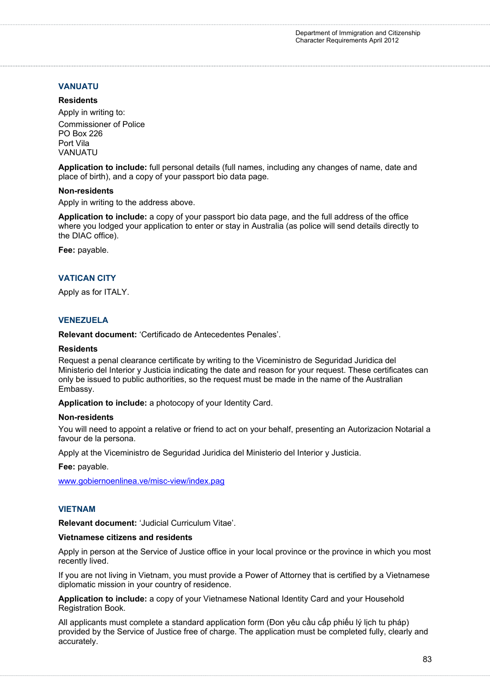# **VANUATU**

**Residents**  Apply in writing to: Commissioner of Police PO Box 226 Port Vila VANUATU

**Application to include:** full personal details (full names, including any changes of name, date and place of birth), and a copy of your passport bio data page.

#### **Non-residents**

Apply in writing to the address above.

**Application to include:** a copy of your passport bio data page, and the full address of the office where you lodged your application to enter or stay in Australia (as police will send details directly to the DIAC office).

**Fee:** payable.

## **VATICAN CITY**

Apply as for ITALY.

### **VENEZUELA**

**Relevant document:** 'Certificado de Antecedentes Penales'.

#### **Residents**

Request a penal clearance certificate by writing to the Viceministro de Seguridad Juridica del Ministerio del Interior y Justicia indicating the date and reason for your request. These certificates can only be issued to public authorities, so the request must be made in the name of the Australian Embassy.

**Application to include:** a photocopy of your Identity Card.

### **Non-residents**

You will need to appoint a relative or friend to act on your behalf, presenting an Autorizacion Notarial a favour de la persona.

Apply at the Viceministro de Seguridad Juridica del Ministerio del Interior y Justicia.

**Fee:** payable.

www.gobiernoenlinea.ve/misc-view/index.pag

## **VIETNAM**

**Relevant document:** 'Judicial Curriculum Vitae'.

#### **Vietnamese citizens and residents**

Apply in person at the Service of Justice office in your local province or the province in which you most recently lived.

If you are not living in Vietnam, you must provide a Power of Attorney that is certified by a Vietnamese diplomatic mission in your country of residence.

**Application to include:** a copy of your Vietnamese National Identity Card and your Household Registration Book.

All applicants must complete a standard application form (Ðon yêu cầu cấp phiếu lý lịch tu pháp) provided by the Service of Justice free of charge. The application must be completed fully, clearly and accurately.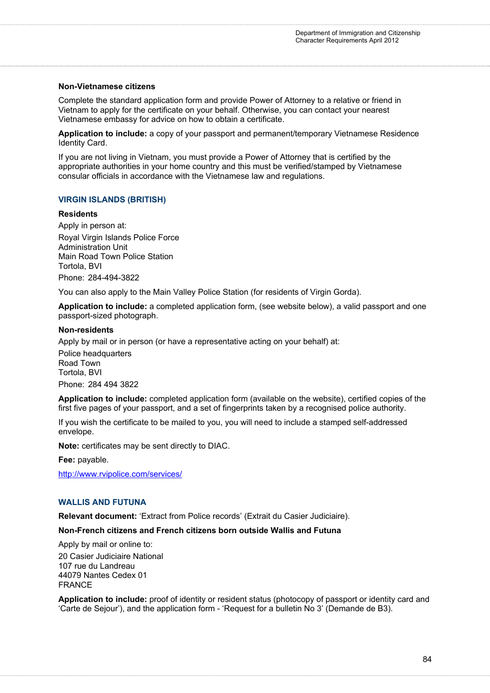## **Non-Vietnamese citizens**

Complete the standard application form and provide Power of Attorney to a relative or friend in Vietnam to apply for the certificate on your behalf. Otherwise, you can contact your nearest Vietnamese embassy for advice on how to obtain a certificate.

**Application to include:** a copy of your passport and permanent/temporary Vietnamese Residence Identity Card.

If you are not living in Vietnam, you must provide a Power of Attorney that is certified by the appropriate authorities in your home country and this must be verified/stamped by Vietnamese consular officials in accordance with the Vietnamese law and regulations.

## **VIRGIN ISLANDS (BRITISH)**

#### **Residents**

Apply in person at: Royal Virgin Islands Police Force Administration Unit Main Road Town Police Station Tortola, BVI Phone: 284-494-3822

You can also apply to the Main Valley Police Station (for residents of Virgin Gorda).

**Application to include:** a completed application form, (see website below), a valid passport and one passport-sized photograph.

#### **Non-residents**

Apply by mail or in person (or have a representative acting on your behalf) at:

Police headquarters Road Town Tortola, BVI Phone: 284 494 3822

**Application to include:** completed application form (available on the website), certified copies of the first five pages of your passport, and a set of fingerprints taken by a recognised police authority.

If you wish the certificate to be mailed to you, you will need to include a stamped self-addressed envelope.

**Note:** certificates may be sent directly to DIAC.

**Fee:** payable.

http://www.rvipolice.com/services/

## **WALLIS AND FUTUNA**

**Relevant document:** 'Extract from Police records' (Extrait du Casier Judiciaire).

### **Non-French citizens and French citizens born outside Wallis and Futuna**

Apply by mail or online to: 20 Casier Judiciaire National 107 rue du Landreau 44079 Nantes Cedex 01 FRANCE

**Application to include:** proof of identity or resident status (photocopy of passport or identity card and 'Carte de Sejour'), and the application form - 'Request for a bulletin No 3' (Demande de B3).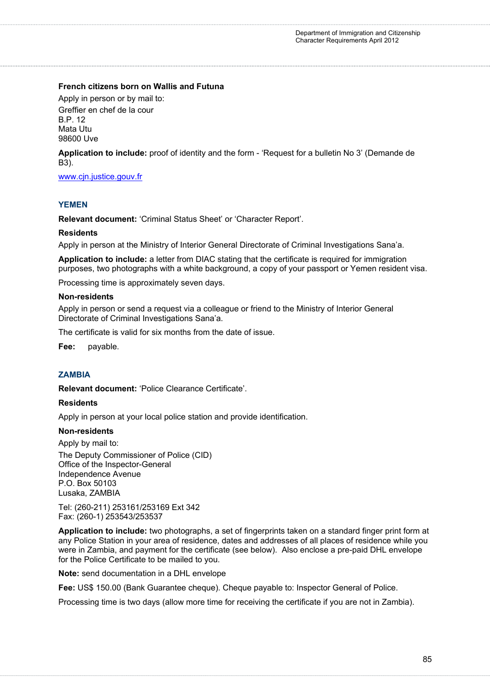# **French citizens born on Wallis and Futuna**

Apply in person or by mail to: Greffier en chef de la cour B.P. 12 Mata Utu 98600 Uve

**Application to include:** proof of identity and the form - 'Request for a bulletin No 3' (Demande de B3).

www.cjn.justice.gouv.fr

# **YEMEN**

**Relevant document:** 'Criminal Status Sheet' or 'Character Report'.

### **Residents**

Apply in person at the Ministry of Interior General Directorate of Criminal Investigations Sana'a.

**Application to include:** a letter from DIAC stating that the certificate is required for immigration purposes, two photographs with a white background, a copy of your passport or Yemen resident visa.

Processing time is approximately seven days.

#### **Non-residents**

Apply in person or send a request via a colleague or friend to the Ministry of Interior General Directorate of Criminal Investigations Sana'a.

The certificate is valid for six months from the date of issue.

**Fee:** payable.

# **ZAMBIA**

**Relevant document:** 'Police Clearance Certificate'.

### **Residents**

Apply in person at your local police station and provide identification.

# **Non-residents**

Apply by mail to: The Deputy Commissioner of Police (CID) Office of the Inspector-General Independence Avenue P.O. Box 50103 Lusaka, ZAMBIA

Tel: (260-211) 253161/253169 Ext 342 Fax: (260-1) 253543/253537

**Application to include:** two photographs, a set of fingerprints taken on a standard finger print form at any Police Station in your area of residence, dates and addresses of all places of residence while you were in Zambia, and payment for the certificate (see below). Also enclose a pre-paid DHL envelope for the Police Certificate to be mailed to you.

**Note:** send documentation in a DHL envelope

**Fee:** US\$ 150.00 (Bank Guarantee cheque). Cheque payable to: Inspector General of Police.

Processing time is two days (allow more time for receiving the certificate if you are not in Zambia).